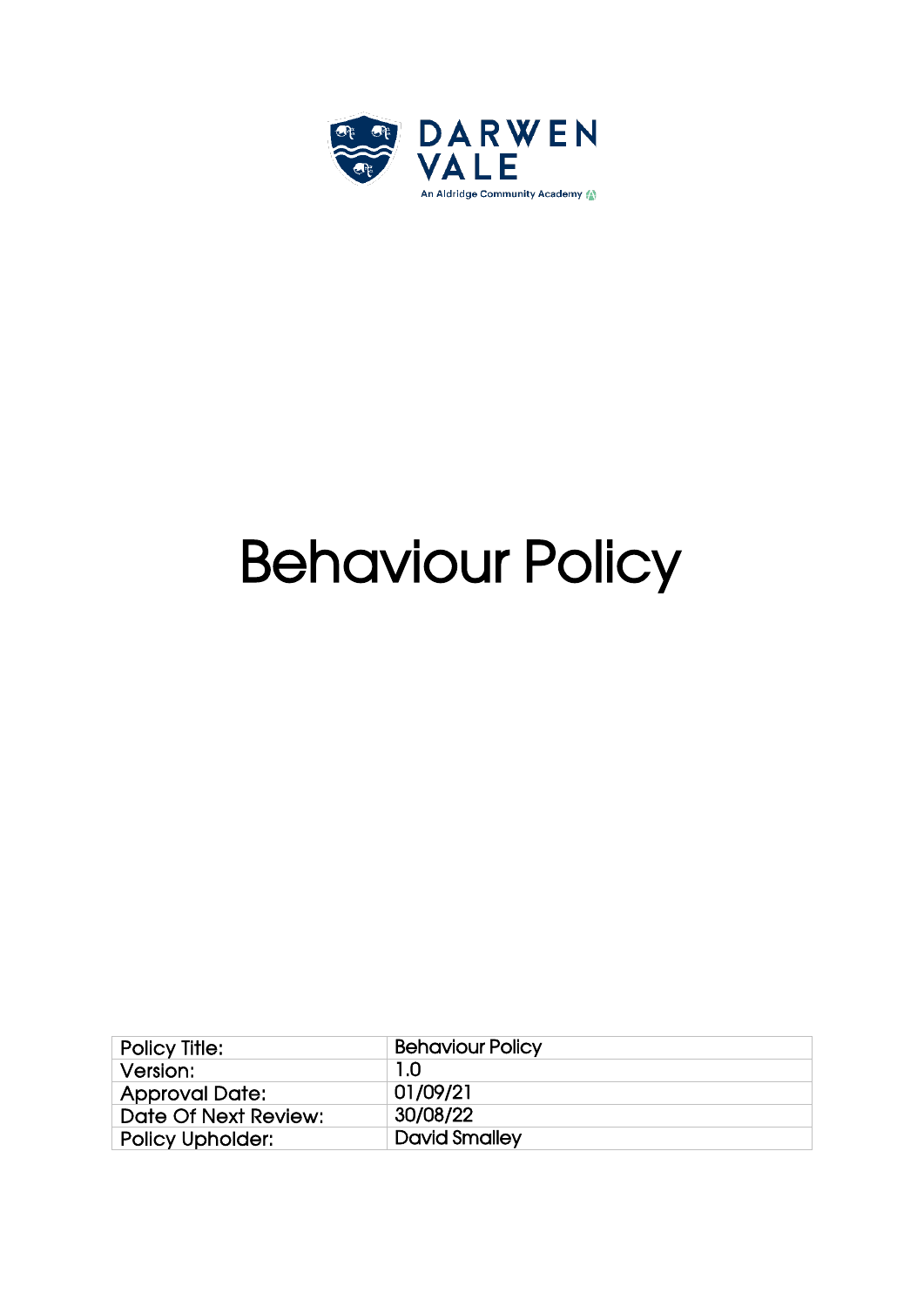

# Behaviour Policy

| <b>Policy Title:</b>    | <b>Behaviour Policy</b> |
|-------------------------|-------------------------|
| Version:                | 1.0                     |
| <b>Approval Date:</b>   | 01/09/21                |
| Date Of Next Review:    | 30/08/22                |
| <b>Policy Upholder:</b> | <b>David Smalley</b>    |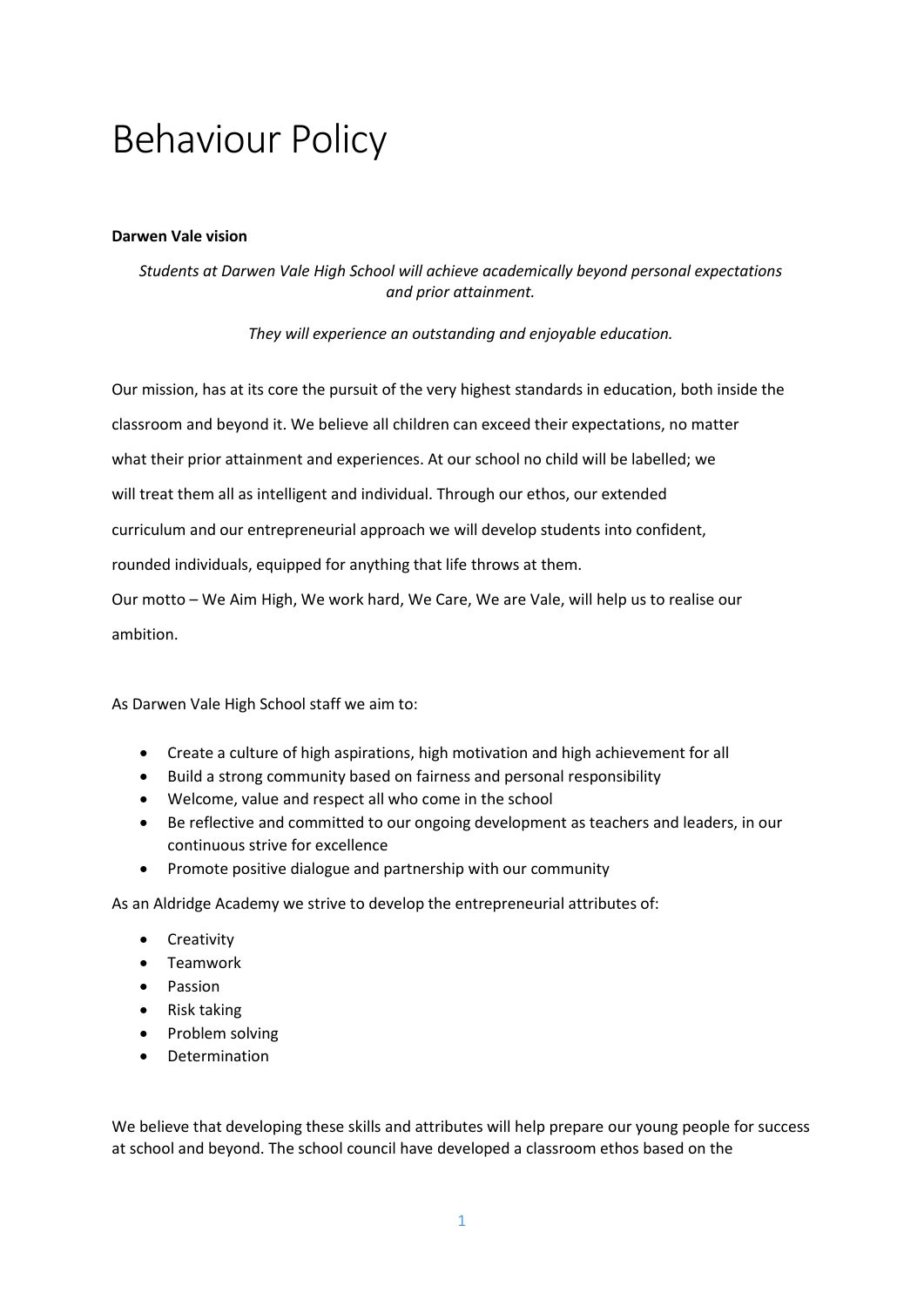# Behaviour Policy

#### **Darwen Vale vision**

# *Students at Darwen Vale High School will achieve academically beyond personal expectations and prior attainment.*

*They will experience an outstanding and enjoyable education.* 

Our mission, has at its core the pursuit of the very highest standards in education, both inside the classroom and beyond it. We believe all children can exceed their expectations, no matter what their prior attainment and experiences. At our school no child will be labelled; we will treat them all as intelligent and individual. Through our ethos, our extended curriculum and our entrepreneurial approach we will develop students into confident, rounded individuals, equipped for anything that life throws at them. Our motto – We Aim High, We work hard, We Care, We are Vale, will help us to realise our

ambition.

As Darwen Vale High School staff we aim to:

- Create a culture of high aspirations, high motivation and high achievement for all
- Build a strong community based on fairness and personal responsibility
- Welcome, value and respect all who come in the school
- Be reflective and committed to our ongoing development as teachers and leaders, in our continuous strive for excellence
- Promote positive dialogue and partnership with our community

As an Aldridge Academy we strive to develop the entrepreneurial attributes of:

- Creativity
- Teamwork
- Passion
- Risk taking
- Problem solving
- Determination

We believe that developing these skills and attributes will help prepare our young people for success at school and beyond. The school council have developed a classroom ethos based on the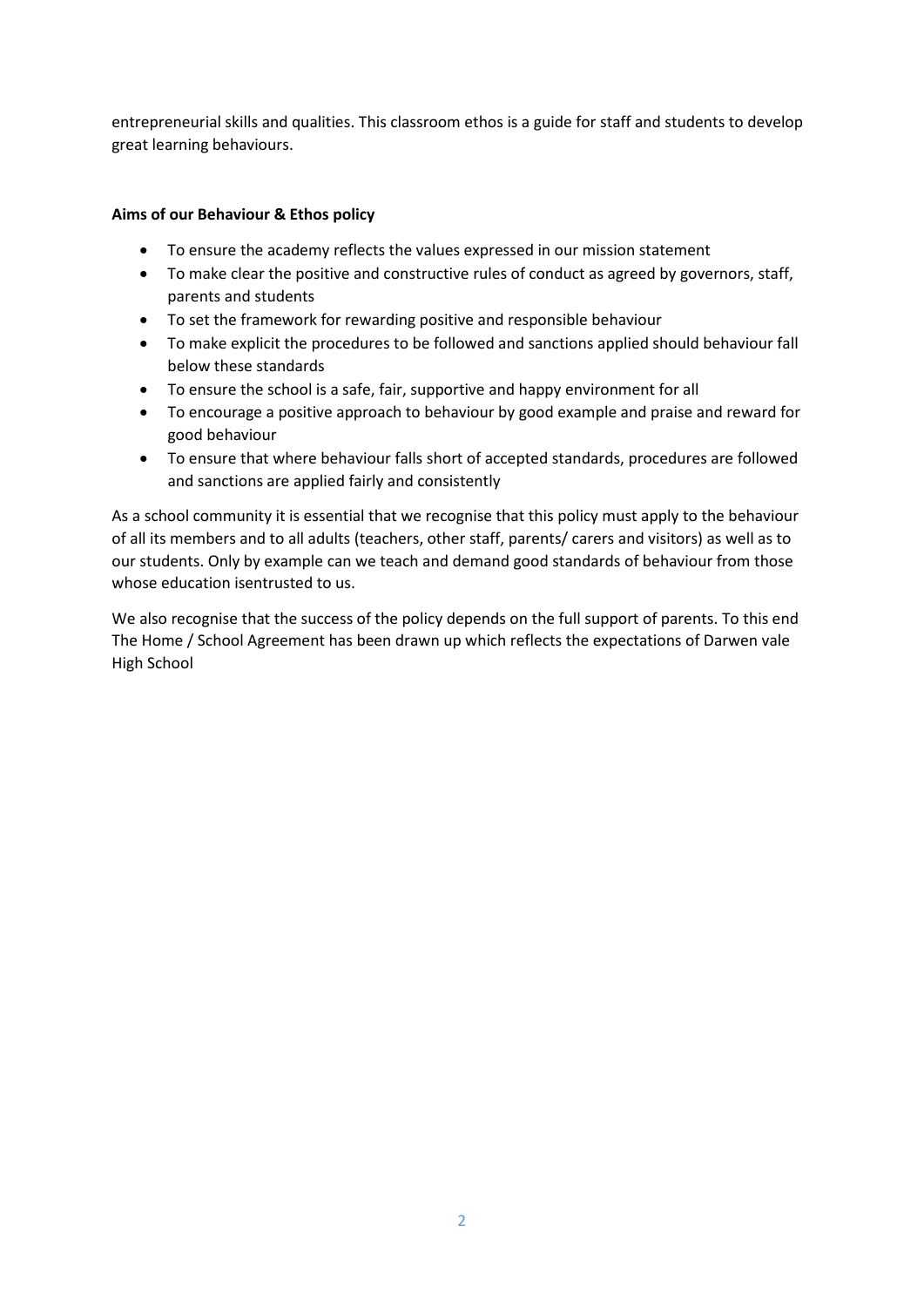entrepreneurial skills and qualities. This classroom ethos is a guide for staff and students to develop great learning behaviours.

# **Aims of our Behaviour & Ethos policy**

- To ensure the academy reflects the values expressed in our mission statement
- To make clear the positive and constructive rules of conduct as agreed by governors, staff, parents and students
- To set the framework for rewarding positive and responsible behaviour
- To make explicit the procedures to be followed and sanctions applied should behaviour fall below these standards
- To ensure the school is a safe, fair, supportive and happy environment for all
- To encourage a positive approach to behaviour by good example and praise and reward for good behaviour
- To ensure that where behaviour falls short of accepted standards, procedures are followed and sanctions are applied fairly and consistently

As a school community it is essential that we recognise that this policy must apply to the behaviour of all its members and to all adults (teachers, other staff, parents/ carers and visitors) as well as to our students. Only by example can we teach and demand good standards of behaviour from those whose education isentrusted to us.

We also recognise that the success of the policy depends on the full support of parents. To this end The Home / School Agreement has been drawn up which reflects the expectations of Darwen vale High School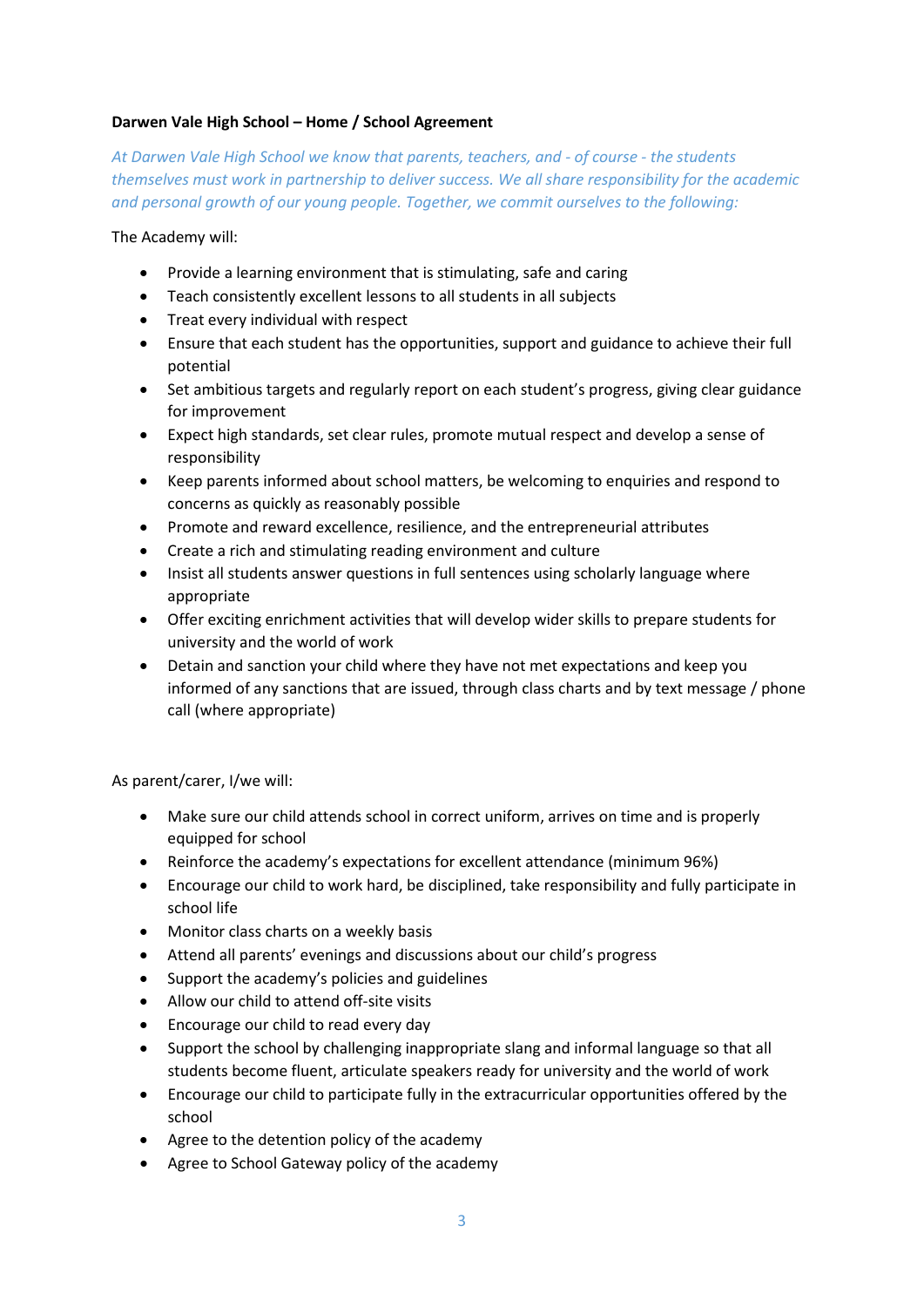# **Darwen Vale High School – Home / School Agreement**

*At Darwen Vale High School we know that parents, teachers, and - of course - the students themselves must work in partnership to deliver success. We all share responsibility for the academic and personal growth of our young people. Together, we commit ourselves to the following:*

The Academy will:

- Provide a learning environment that is stimulating, safe and caring
- Teach consistently excellent lessons to all students in all subjects
- Treat every individual with respect
- Ensure that each student has the opportunities, support and guidance to achieve their full potential
- Set ambitious targets and regularly report on each student's progress, giving clear guidance for improvement
- Expect high standards, set clear rules, promote mutual respect and develop a sense of responsibility
- Keep parents informed about school matters, be welcoming to enquiries and respond to concerns as quickly as reasonably possible
- Promote and reward excellence, resilience, and the entrepreneurial attributes
- Create a rich and stimulating reading environment and culture
- Insist all students answer questions in full sentences using scholarly language where appropriate
- Offer exciting enrichment activities that will develop wider skills to prepare students for university and the world of work
- Detain and sanction your child where they have not met expectations and keep you informed of any sanctions that are issued, through class charts and by text message / phone call (where appropriate)

As parent/carer, I/we will:

- Make sure our child attends school in correct uniform, arrives on time and is properly equipped for school
- Reinforce the academy's expectations for excellent attendance (minimum 96%)
- Encourage our child to work hard, be disciplined, take responsibility and fully participate in school life
- Monitor class charts on a weekly basis
- Attend all parents' evenings and discussions about our child's progress
- Support the academy's policies and guidelines
- Allow our child to attend off-site visits
- Encourage our child to read every day
- Support the school by challenging inappropriate slang and informal language so that all students become fluent, articulate speakers ready for university and the world of work
- Encourage our child to participate fully in the extracurricular opportunities offered by the school
- Agree to the detention policy of the academy
- Agree to School Gateway policy of the academy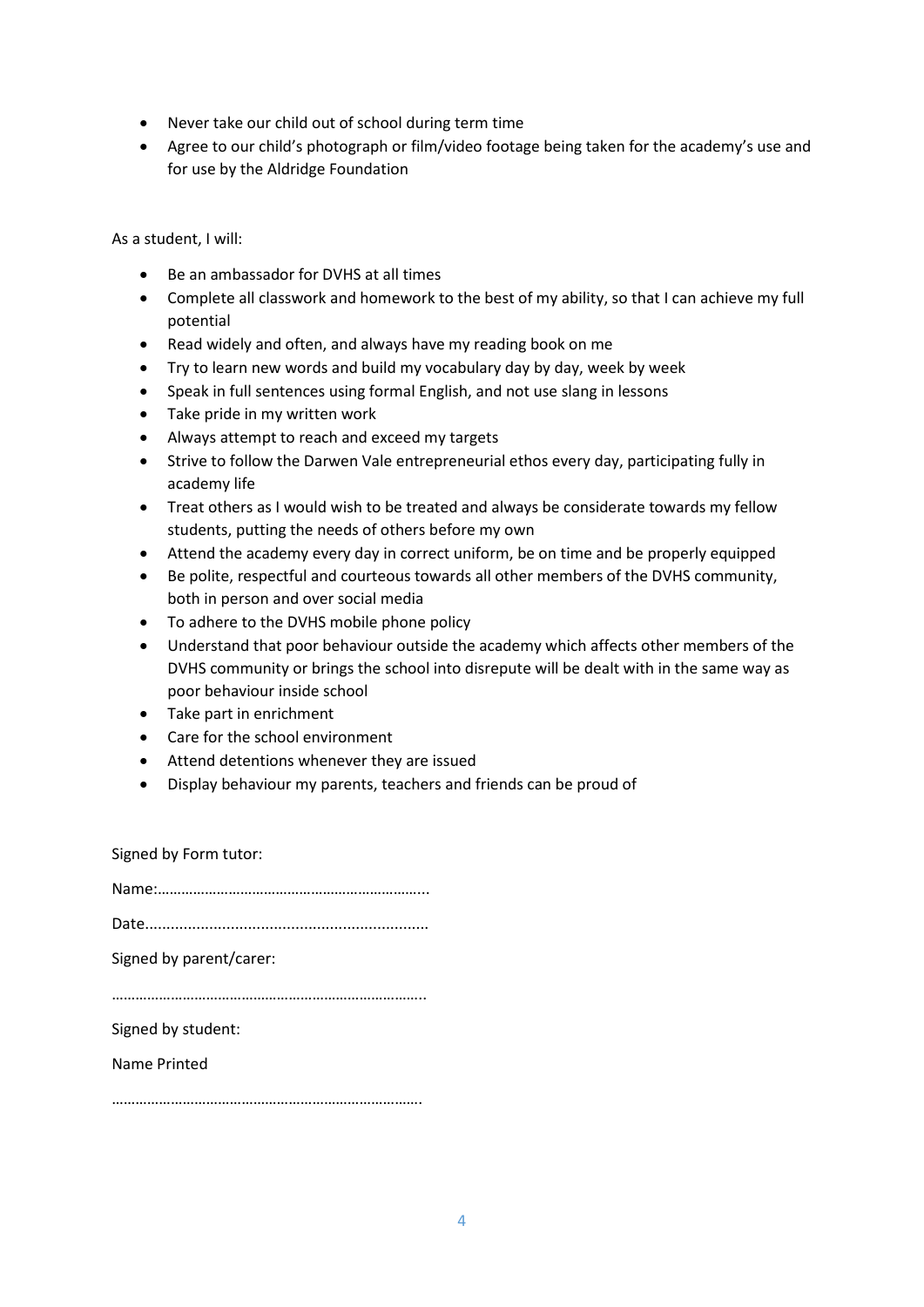- Never take our child out of school during term time
- Agree to our child's photograph or film/video footage being taken for the academy's use and for use by the Aldridge Foundation

As a student, I will:

- Be an ambassador for DVHS at all times
- Complete all classwork and homework to the best of my ability, so that I can achieve my full potential
- Read widely and often, and always have my reading book on me
- Try to learn new words and build my vocabulary day by day, week by week
- Speak in full sentences using formal English, and not use slang in lessons
- Take pride in my written work
- Always attempt to reach and exceed my targets
- Strive to follow the Darwen Vale entrepreneurial ethos every day, participating fully in academy life
- Treat others as I would wish to be treated and always be considerate towards my fellow students, putting the needs of others before my own
- Attend the academy every day in correct uniform, be on time and be properly equipped
- Be polite, respectful and courteous towards all other members of the DVHS community, both in person and over social media
- To adhere to the DVHS mobile phone policy
- Understand that poor behaviour outside the academy which affects other members of the DVHS community or brings the school into disrepute will be dealt with in the same way as poor behaviour inside school
- Take part in enrichment
- Care for the school environment
- Attend detentions whenever they are issued
- Display behaviour my parents, teachers and friends can be proud of

Signed by Form tutor:

| Signed by parent/carer: |
|-------------------------|
|                         |
| Signed by student:      |
| Name Printed            |
|                         |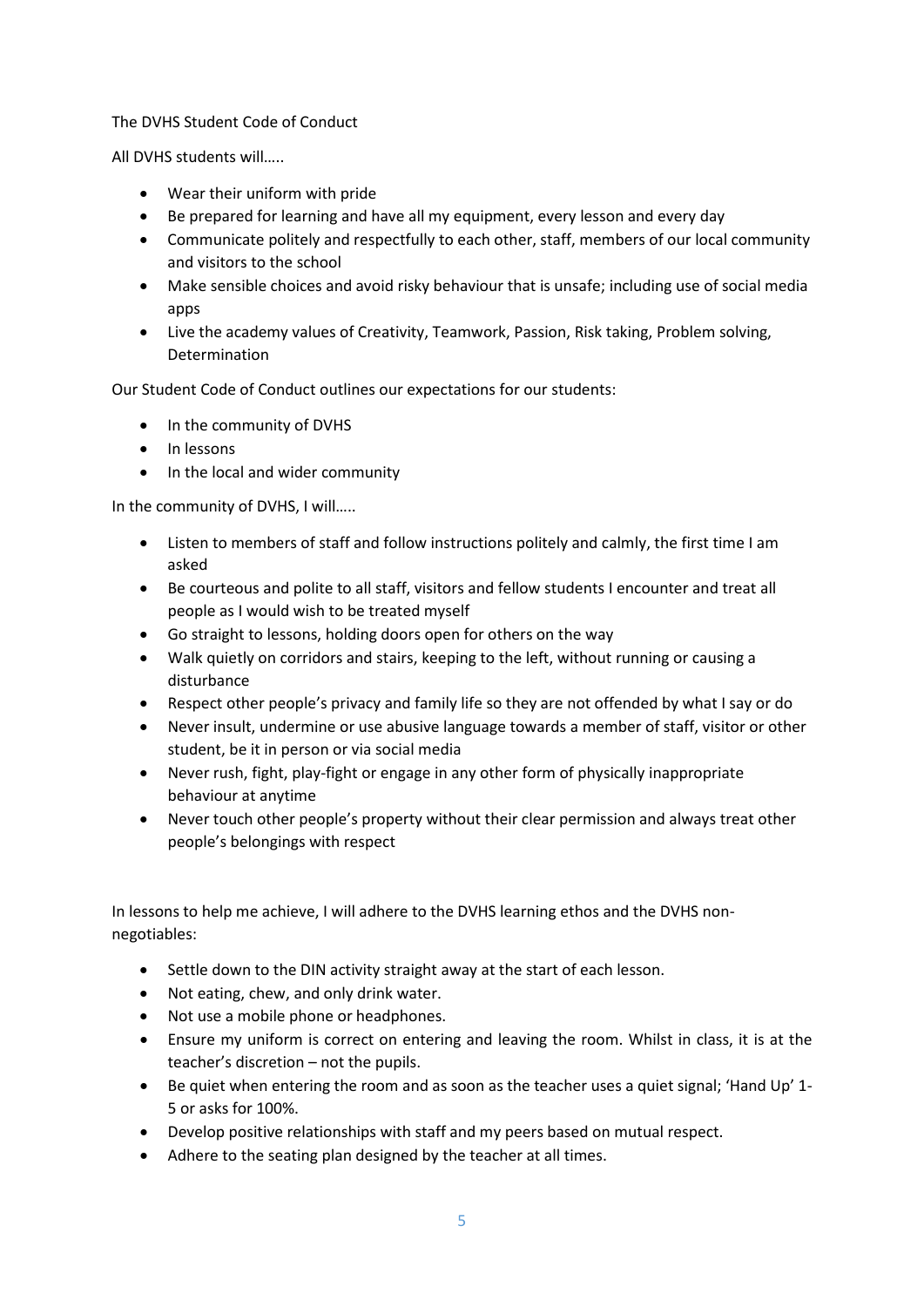# The DVHS Student Code of Conduct

All DVHS students will…..

- Wear their uniform with pride
- Be prepared for learning and have all my equipment, every lesson and every day
- Communicate politely and respectfully to each other, staff, members of our local community and visitors to the school
- Make sensible choices and avoid risky behaviour that is unsafe; including use of social media apps
- Live the academy values of Creativity, Teamwork, Passion, Risk taking, Problem solving, Determination

Our Student Code of Conduct outlines our expectations for our students:

- In the community of DVHS
- In lessons
- In the local and wider community

In the community of DVHS, I will…..

- Listen to members of staff and follow instructions politely and calmly, the first time I am asked
- Be courteous and polite to all staff, visitors and fellow students I encounter and treat all people as I would wish to be treated myself
- Go straight to lessons, holding doors open for others on the way
- Walk quietly on corridors and stairs, keeping to the left, without running or causing a disturbance
- Respect other people's privacy and family life so they are not offended by what I say or do
- Never insult, undermine or use abusive language towards a member of staff, visitor or other student, be it in person or via social media
- Never rush, fight, play-fight or engage in any other form of physically inappropriate behaviour at anytime
- Never touch other people's property without their clear permission and always treat other people's belongings with respect

In lessons to help me achieve, I will adhere to the DVHS learning ethos and the DVHS nonnegotiables:

- Settle down to the DIN activity straight away at the start of each lesson.
- Not eating, chew, and only drink water.
- Not use a mobile phone or headphones.
- Ensure my uniform is correct on entering and leaving the room. Whilst in class, it is at the teacher's discretion – not the pupils.
- Be quiet when entering the room and as soon as the teacher uses a quiet signal; 'Hand Up' 1- 5 or asks for 100%.
- Develop positive relationships with staff and my peers based on mutual respect.
- Adhere to the seating plan designed by the teacher at all times.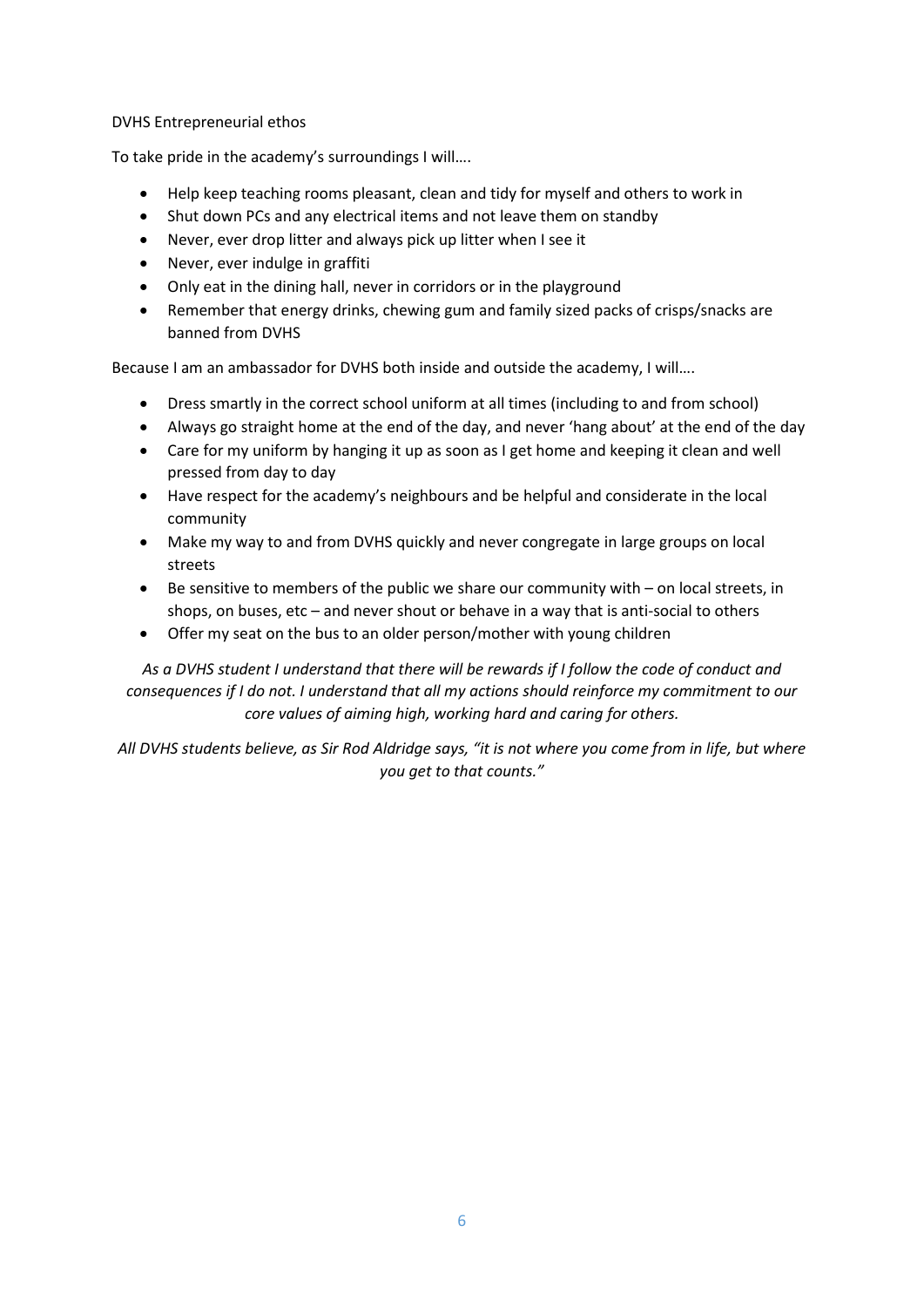#### DVHS Entrepreneurial ethos

To take pride in the academy's surroundings I will….

- Help keep teaching rooms pleasant, clean and tidy for myself and others to work in
- Shut down PCs and any electrical items and not leave them on standby
- Never, ever drop litter and always pick up litter when I see it
- Never, ever indulge in graffiti
- Only eat in the dining hall, never in corridors or in the playground
- Remember that energy drinks, chewing gum and family sized packs of crisps/snacks are banned from DVHS

Because I am an ambassador for DVHS both inside and outside the academy, I will….

- Dress smartly in the correct school uniform at all times (including to and from school)
- Always go straight home at the end of the day, and never 'hang about' at the end of the day
- Care for my uniform by hanging it up as soon as I get home and keeping it clean and well pressed from day to day
- Have respect for the academy's neighbours and be helpful and considerate in the local community
- Make my way to and from DVHS quickly and never congregate in large groups on local streets
- Be sensitive to members of the public we share our community with on local streets, in shops, on buses, etc – and never shout or behave in a way that is anti-social to others
- Offer my seat on the bus to an older person/mother with young children

*As a DVHS student I understand that there will be rewards if I follow the code of conduct and consequences if I do not. I understand that all my actions should reinforce my commitment to our core values of aiming high, working hard and caring for others.*

*All DVHS students believe, as Sir Rod Aldridge says, "it is not where you come from in life, but where you get to that counts."*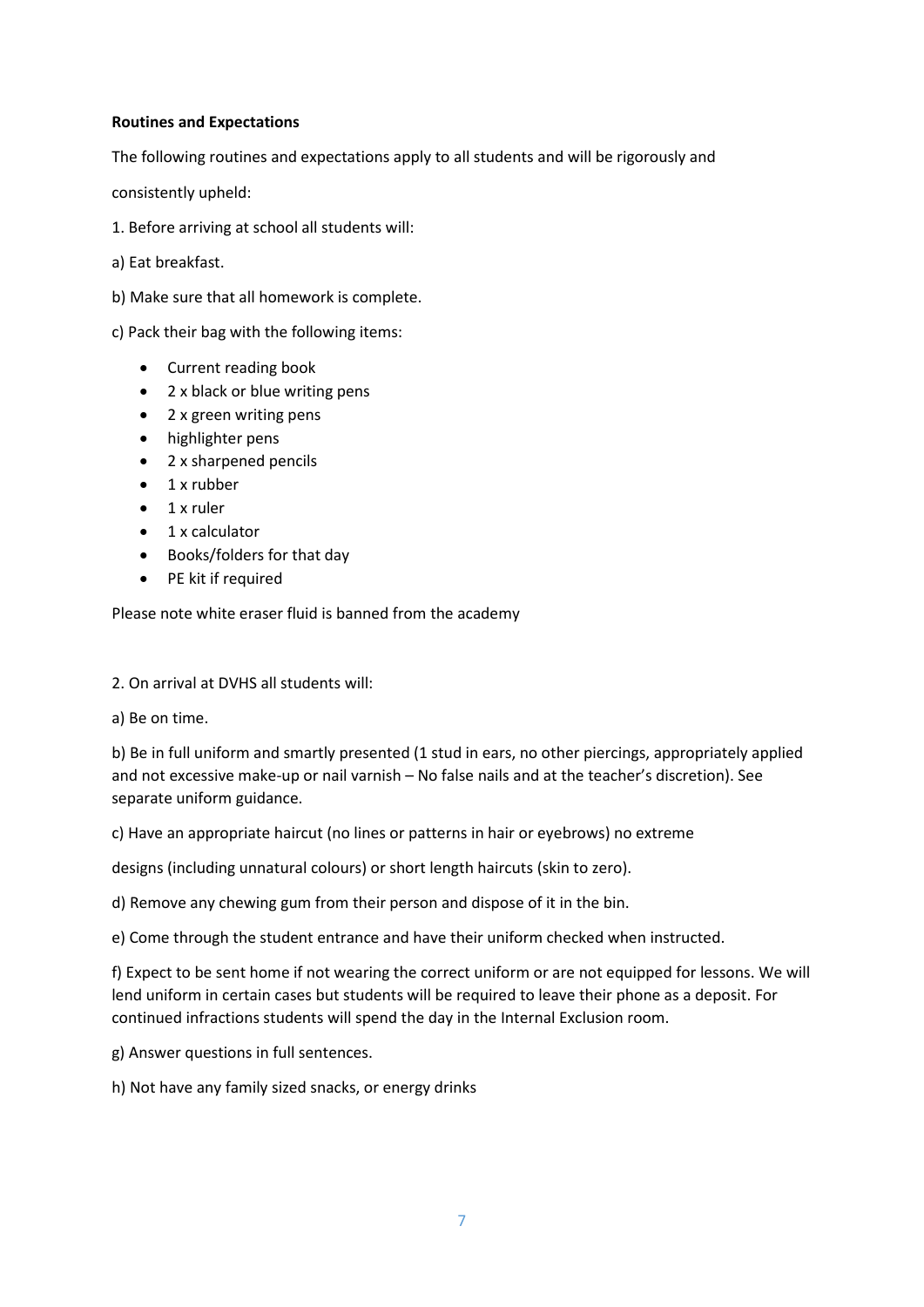# **Routines and Expectations**

The following routines and expectations apply to all students and will be rigorously and

consistently upheld:

1. Before arriving at school all students will:

a) Eat breakfast.

b) Make sure that all homework is complete.

c) Pack their bag with the following items:

- Current reading book
- 2 x black or blue writing pens
- 2 x green writing pens
- highlighter pens
- 2 x sharpened pencils
- 1 x rubber
- 1 x ruler
- 1 x calculator
- Books/folders for that day
- PE kit if required

Please note white eraser fluid is banned from the academy

2. On arrival at DVHS all students will:

a) Be on time.

b) Be in full uniform and smartly presented (1 stud in ears, no other piercings, appropriately applied and not excessive make-up or nail varnish – No false nails and at the teacher's discretion). See separate uniform guidance.

c) Have an appropriate haircut (no lines or patterns in hair or eyebrows) no extreme

designs (including unnatural colours) or short length haircuts (skin to zero).

d) Remove any chewing gum from their person and dispose of it in the bin.

e) Come through the student entrance and have their uniform checked when instructed.

f) Expect to be sent home if not wearing the correct uniform or are not equipped for lessons. We will lend uniform in certain cases but students will be required to leave their phone as a deposit. For continued infractions students will spend the day in the Internal Exclusion room.

g) Answer questions in full sentences.

h) Not have any family sized snacks, or energy drinks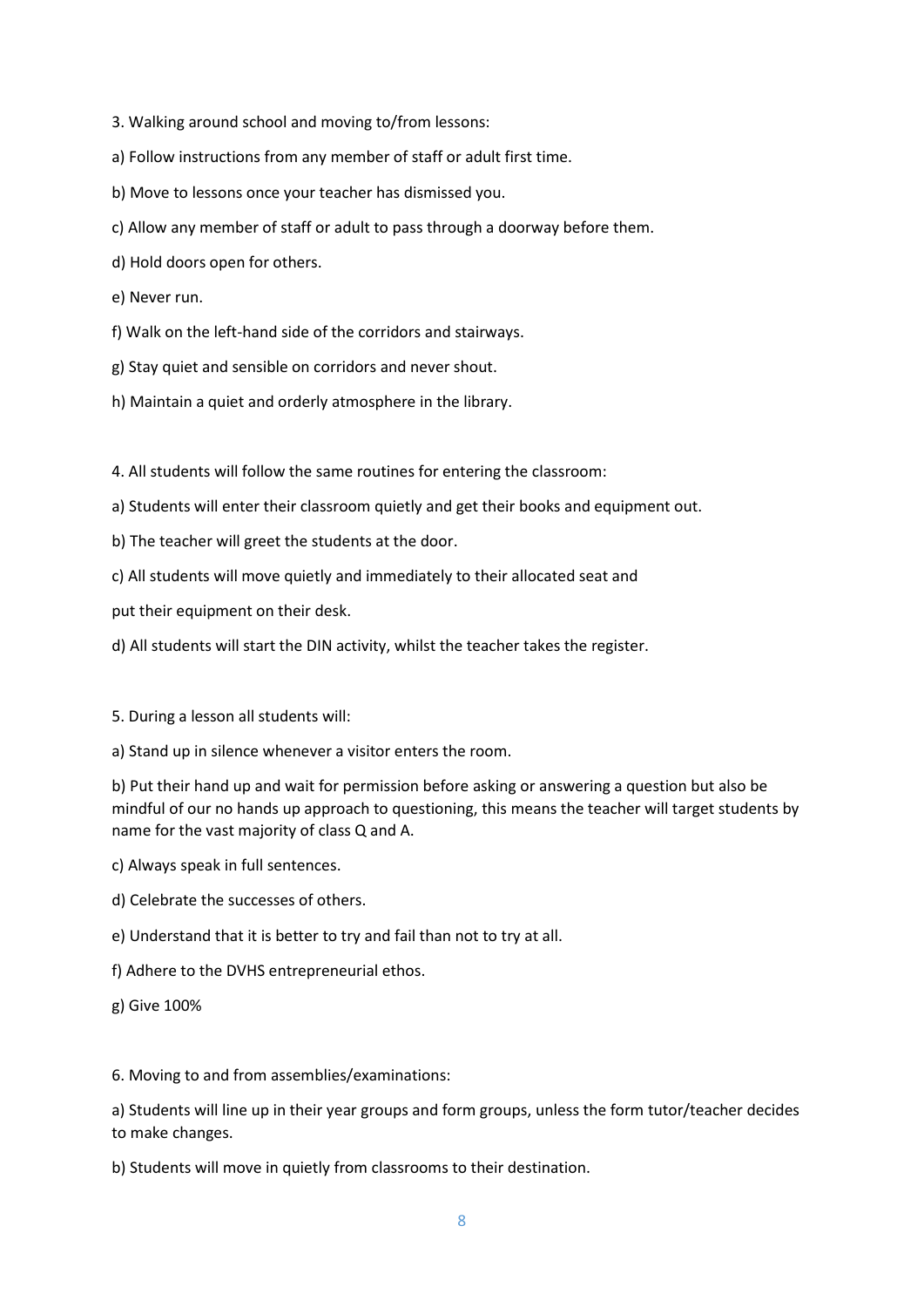- 3. Walking around school and moving to/from lessons:
- a) Follow instructions from any member of staff or adult first time.
- b) Move to lessons once your teacher has dismissed you.
- c) Allow any member of staff or adult to pass through a doorway before them.
- d) Hold doors open for others.
- e) Never run.
- f) Walk on the left-hand side of the corridors and stairways.
- g) Stay quiet and sensible on corridors and never shout.
- h) Maintain a quiet and orderly atmosphere in the library.

4. All students will follow the same routines for entering the classroom:

- a) Students will enter their classroom quietly and get their books and equipment out.
- b) The teacher will greet the students at the door.
- c) All students will move quietly and immediately to their allocated seat and

put their equipment on their desk.

- d) All students will start the DIN activity, whilst the teacher takes the register.
- 5. During a lesson all students will:
- a) Stand up in silence whenever a visitor enters the room.

b) Put their hand up and wait for permission before asking or answering a question but also be mindful of our no hands up approach to questioning, this means the teacher will target students by name for the vast majority of class Q and A.

- c) Always speak in full sentences.
- d) Celebrate the successes of others.
- e) Understand that it is better to try and fail than not to try at all.
- f) Adhere to the DVHS entrepreneurial ethos.
- g) Give 100%

6. Moving to and from assemblies/examinations:

a) Students will line up in their year groups and form groups, unless the form tutor/teacher decides to make changes.

b) Students will move in quietly from classrooms to their destination.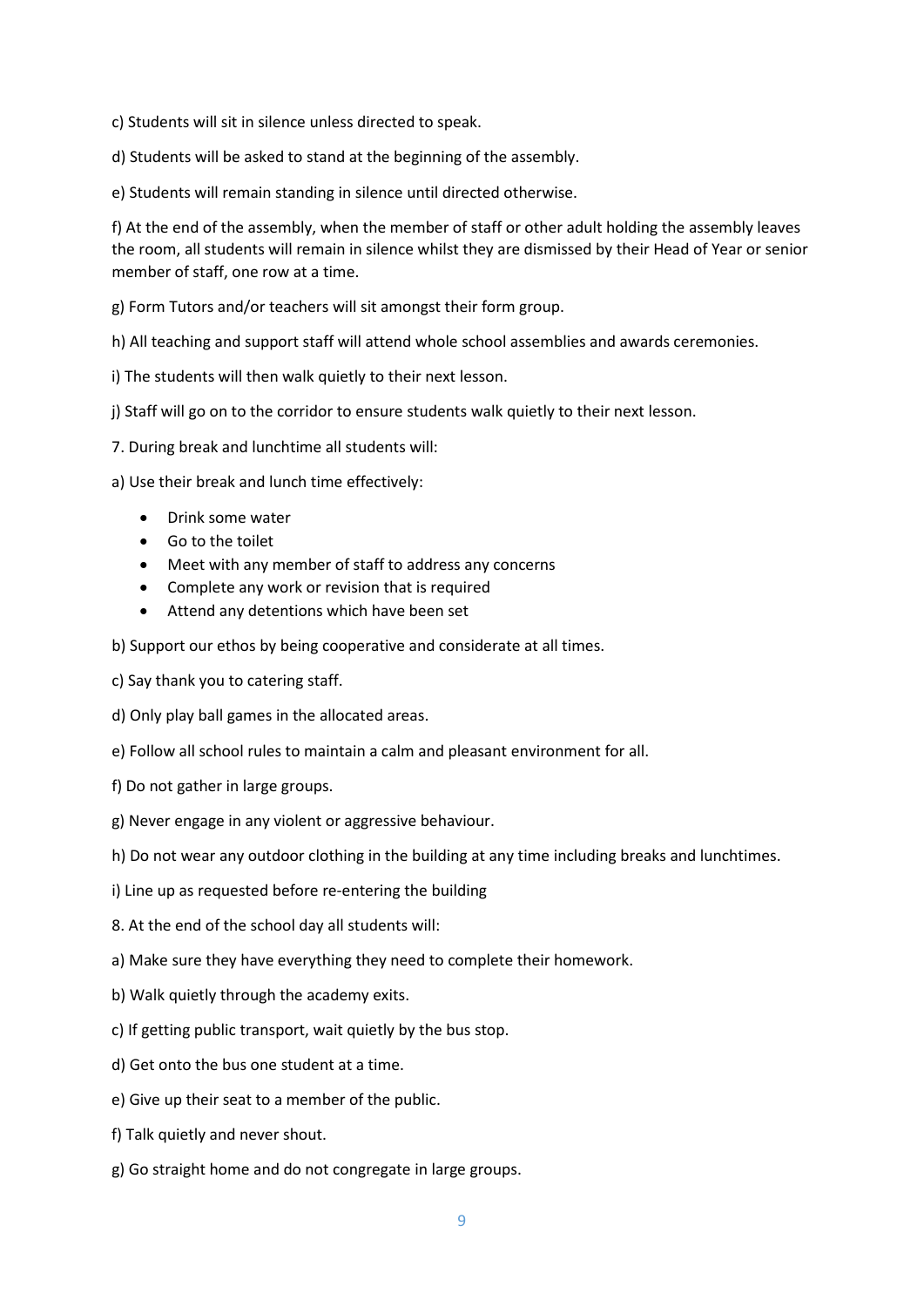c) Students will sit in silence unless directed to speak.

d) Students will be asked to stand at the beginning of the assembly.

e) Students will remain standing in silence until directed otherwise.

f) At the end of the assembly, when the member of staff or other adult holding the assembly leaves the room, all students will remain in silence whilst they are dismissed by their Head of Year or senior member of staff, one row at a time.

g) Form Tutors and/or teachers will sit amongst their form group.

h) All teaching and support staff will attend whole school assemblies and awards ceremonies.

i) The students will then walk quietly to their next lesson.

j) Staff will go on to the corridor to ensure students walk quietly to their next lesson.

7. During break and lunchtime all students will:

a) Use their break and lunch time effectively:

- Drink some water
- Go to the toilet
- Meet with any member of staff to address any concerns
- Complete any work or revision that is required
- Attend any detentions which have been set

b) Support our ethos by being cooperative and considerate at all times.

c) Say thank you to catering staff.

d) Only play ball games in the allocated areas.

e) Follow all school rules to maintain a calm and pleasant environment for all.

f) Do not gather in large groups.

g) Never engage in any violent or aggressive behaviour.

h) Do not wear any outdoor clothing in the building at any time including breaks and lunchtimes.

i) Line up as requested before re-entering the building

8. At the end of the school day all students will:

a) Make sure they have everything they need to complete their homework.

b) Walk quietly through the academy exits.

c) If getting public transport, wait quietly by the bus stop.

d) Get onto the bus one student at a time.

e) Give up their seat to a member of the public.

f) Talk quietly and never shout.

g) Go straight home and do not congregate in large groups.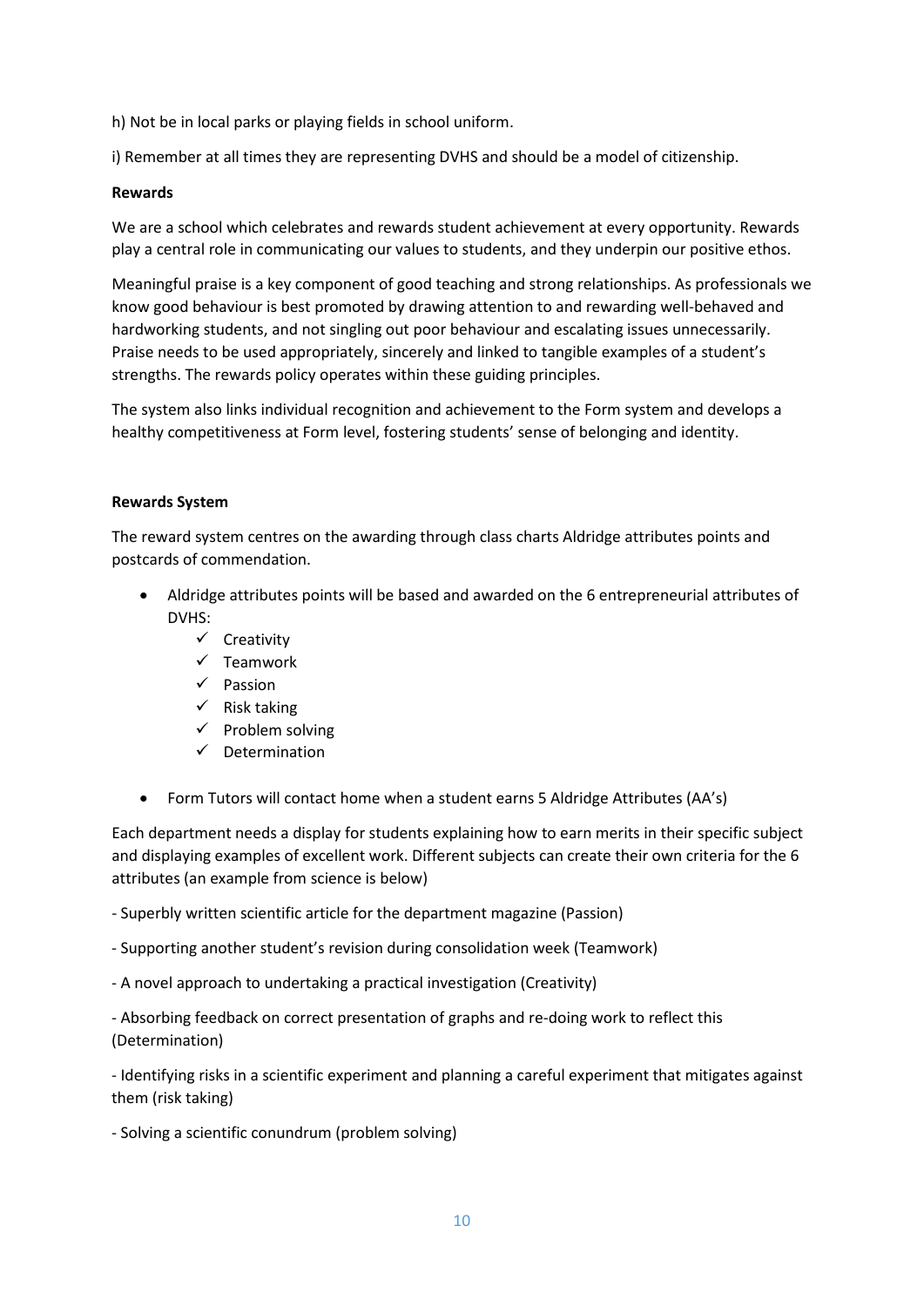h) Not be in local parks or playing fields in school uniform.

i) Remember at all times they are representing DVHS and should be a model of citizenship.

#### **Rewards**

We are a school which celebrates and rewards student achievement at every opportunity. Rewards play a central role in communicating our values to students, and they underpin our positive ethos.

Meaningful praise is a key component of good teaching and strong relationships. As professionals we know good behaviour is best promoted by drawing attention to and rewarding well-behaved and hardworking students, and not singling out poor behaviour and escalating issues unnecessarily. Praise needs to be used appropriately, sincerely and linked to tangible examples of a student's strengths. The rewards policy operates within these guiding principles.

The system also links individual recognition and achievement to the Form system and develops a healthy competitiveness at Form level, fostering students' sense of belonging and identity.

# **Rewards System**

The reward system centres on the awarding through class charts Aldridge attributes points and postcards of commendation.

- Aldridge attributes points will be based and awarded on the 6 entrepreneurial attributes of DVHS:
	- $\checkmark$  Creativity
	- $\checkmark$  Teamwork
	- $\checkmark$  Passion
	- $\checkmark$  Risk taking
	- $\checkmark$  Problem solving
	- $\checkmark$  Determination
- Form Tutors will contact home when a student earns 5 Aldridge Attributes (AA's)

Each department needs a display for students explaining how to earn merits in their specific subject and displaying examples of excellent work. Different subjects can create their own criteria for the 6 attributes (an example from science is below)

- Superbly written scientific article for the department magazine (Passion)

- Supporting another student's revision during consolidation week (Teamwork)

- A novel approach to undertaking a practical investigation (Creativity)

- Absorbing feedback on correct presentation of graphs and re-doing work to reflect this (Determination)

- Identifying risks in a scientific experiment and planning a careful experiment that mitigates against them (risk taking)

- Solving a scientific conundrum (problem solving)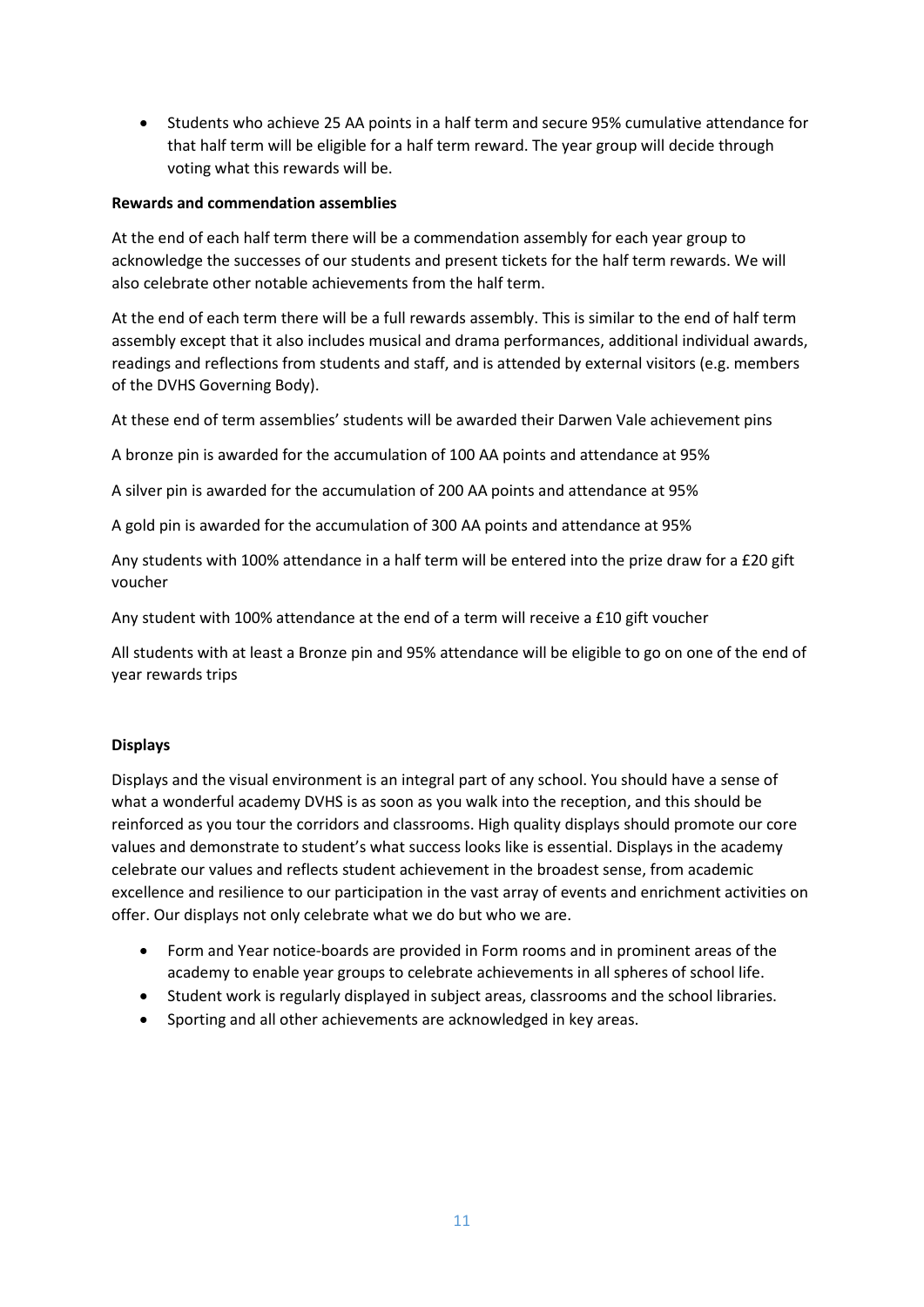• Students who achieve 25 AA points in a half term and secure 95% cumulative attendance for that half term will be eligible for a half term reward. The year group will decide through voting what this rewards will be.

#### **Rewards and commendation assemblies**

At the end of each half term there will be a commendation assembly for each year group to acknowledge the successes of our students and present tickets for the half term rewards. We will also celebrate other notable achievements from the half term.

At the end of each term there will be a full rewards assembly. This is similar to the end of half term assembly except that it also includes musical and drama performances, additional individual awards, readings and reflections from students and staff, and is attended by external visitors (e.g. members of the DVHS Governing Body).

At these end of term assemblies' students will be awarded their Darwen Vale achievement pins

A bronze pin is awarded for the accumulation of 100 AA points and attendance at 95%

A silver pin is awarded for the accumulation of 200 AA points and attendance at 95%

A gold pin is awarded for the accumulation of 300 AA points and attendance at 95%

Any students with 100% attendance in a half term will be entered into the prize draw for a £20 gift voucher

Any student with 100% attendance at the end of a term will receive a £10 gift voucher

All students with at least a Bronze pin and 95% attendance will be eligible to go on one of the end of year rewards trips

#### **Displays**

Displays and the visual environment is an integral part of any school. You should have a sense of what a wonderful academy DVHS is as soon as you walk into the reception, and this should be reinforced as you tour the corridors and classrooms. High quality displays should promote our core values and demonstrate to student's what success looks like is essential. Displays in the academy celebrate our values and reflects student achievement in the broadest sense, from academic excellence and resilience to our participation in the vast array of events and enrichment activities on offer. Our displays not only celebrate what we do but who we are.

- Form and Year notice-boards are provided in Form rooms and in prominent areas of the academy to enable year groups to celebrate achievements in all spheres of school life.
- Student work is regularly displayed in subject areas, classrooms and the school libraries.
- Sporting and all other achievements are acknowledged in key areas.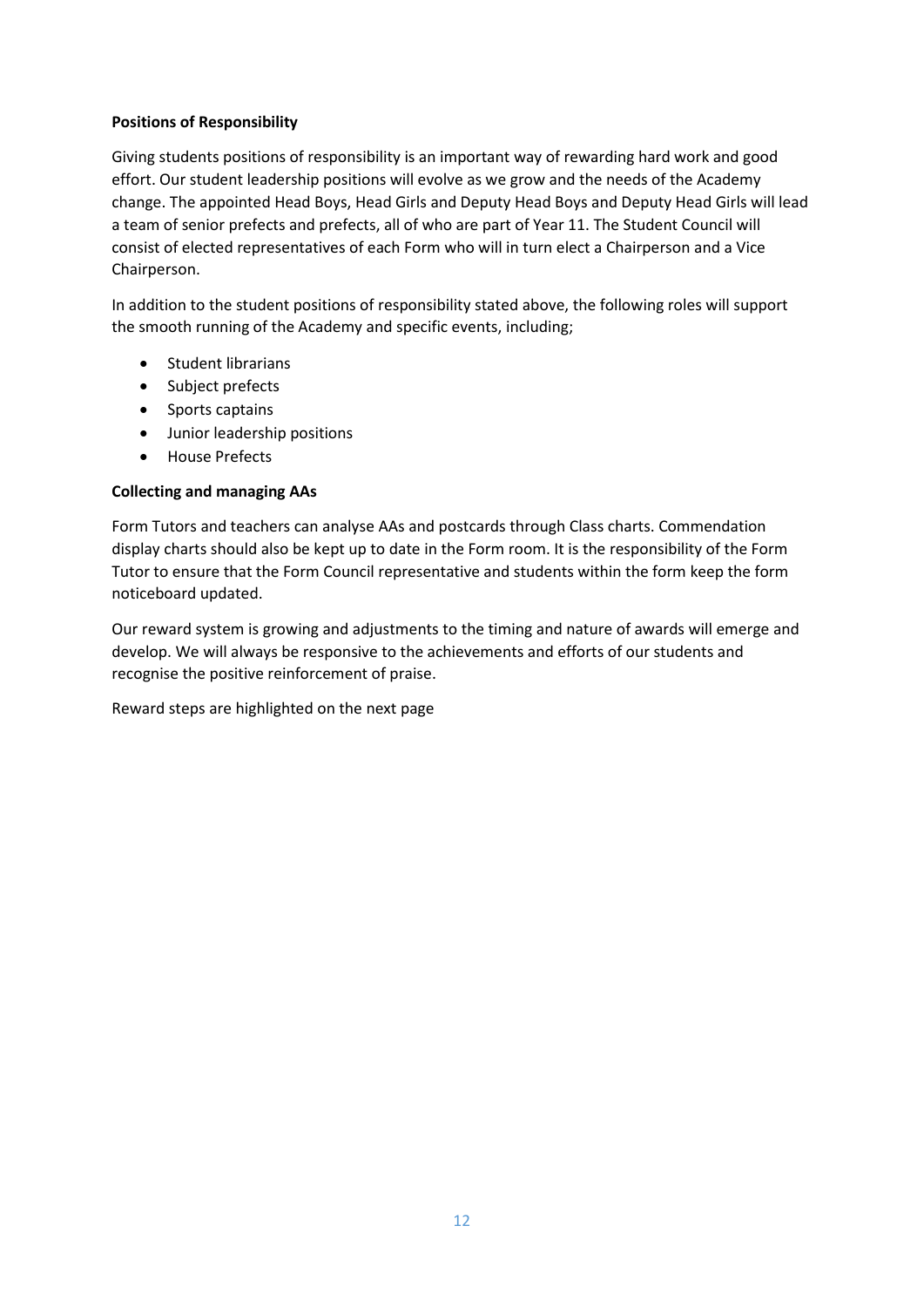# **Positions of Responsibility**

Giving students positions of responsibility is an important way of rewarding hard work and good effort. Our student leadership positions will evolve as we grow and the needs of the Academy change. The appointed Head Boys, Head Girls and Deputy Head Boys and Deputy Head Girls will lead a team of senior prefects and prefects, all of who are part of Year 11. The Student Council will consist of elected representatives of each Form who will in turn elect a Chairperson and a Vice Chairperson.

In addition to the student positions of responsibility stated above, the following roles will support the smooth running of the Academy and specific events, including;

- Student librarians
- Subject prefects
- Sports captains
- Junior leadership positions
- House Prefects

# **Collecting and managing AAs**

Form Tutors and teachers can analyse AAs and postcards through Class charts. Commendation display charts should also be kept up to date in the Form room. It is the responsibility of the Form Tutor to ensure that the Form Council representative and students within the form keep the form noticeboard updated.

Our reward system is growing and adjustments to the timing and nature of awards will emerge and develop. We will always be responsive to the achievements and efforts of our students and recognise the positive reinforcement of praise.

Reward steps are highlighted on the next page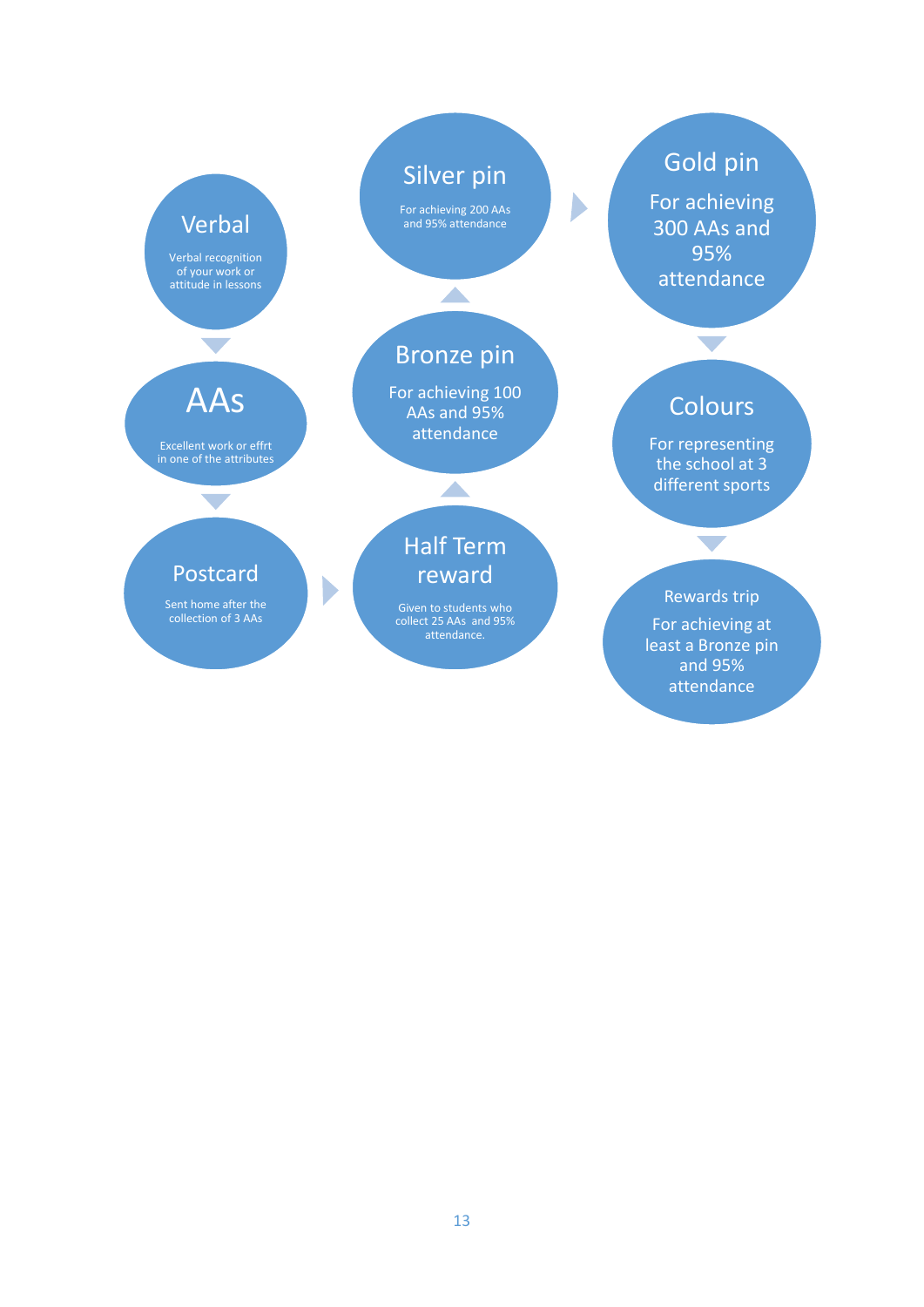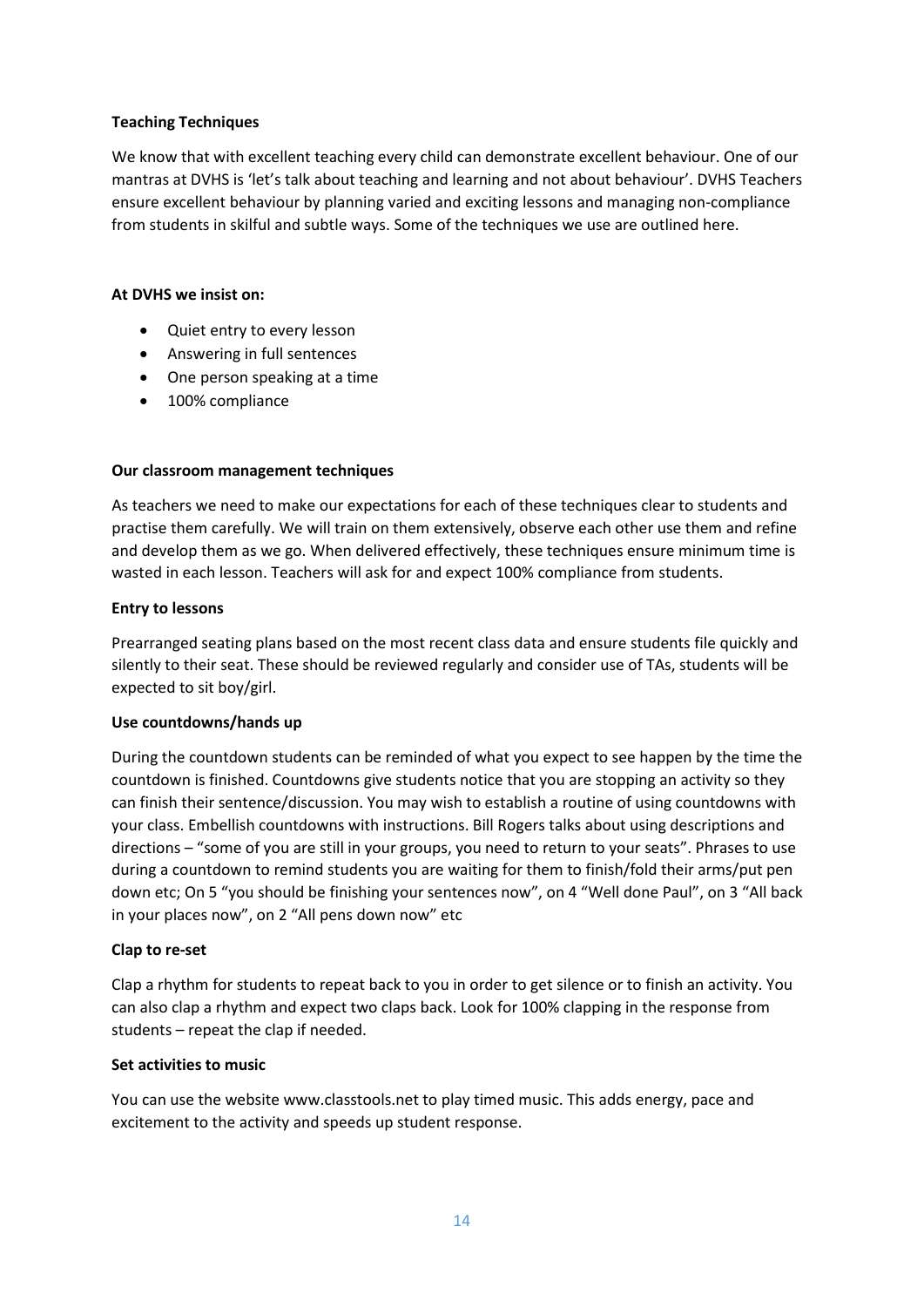# **Teaching Techniques**

We know that with excellent teaching every child can demonstrate excellent behaviour. One of our mantras at DVHS is 'let's talk about teaching and learning and not about behaviour'. DVHS Teachers ensure excellent behaviour by planning varied and exciting lessons and managing non-compliance from students in skilful and subtle ways. Some of the techniques we use are outlined here.

#### **At DVHS we insist on:**

- Quiet entry to every lesson
- Answering in full sentences
- One person speaking at a time
- 100% compliance

#### **Our classroom management techniques**

As teachers we need to make our expectations for each of these techniques clear to students and practise them carefully. We will train on them extensively, observe each other use them and refine and develop them as we go. When delivered effectively, these techniques ensure minimum time is wasted in each lesson. Teachers will ask for and expect 100% compliance from students.

#### **Entry to lessons**

Prearranged seating plans based on the most recent class data and ensure students file quickly and silently to their seat. These should be reviewed regularly and consider use of TAs, students will be expected to sit boy/girl.

#### **Use countdowns/hands up**

During the countdown students can be reminded of what you expect to see happen by the time the countdown is finished. Countdowns give students notice that you are stopping an activity so they can finish their sentence/discussion. You may wish to establish a routine of using countdowns with your class. Embellish countdowns with instructions. Bill Rogers talks about using descriptions and directions – "some of you are still in your groups, you need to return to your seats". Phrases to use during a countdown to remind students you are waiting for them to finish/fold their arms/put pen down etc; On 5 "you should be finishing your sentences now", on 4 "Well done Paul", on 3 "All back in your places now", on 2 "All pens down now" etc

#### **Clap to re-set**

Clap a rhythm for students to repeat back to you in order to get silence or to finish an activity. You can also clap a rhythm and expect two claps back. Look for 100% clapping in the response from students – repeat the clap if needed.

#### **Set activities to music**

You can use the website www.classtools.net to play timed music. This adds energy, pace and excitement to the activity and speeds up student response.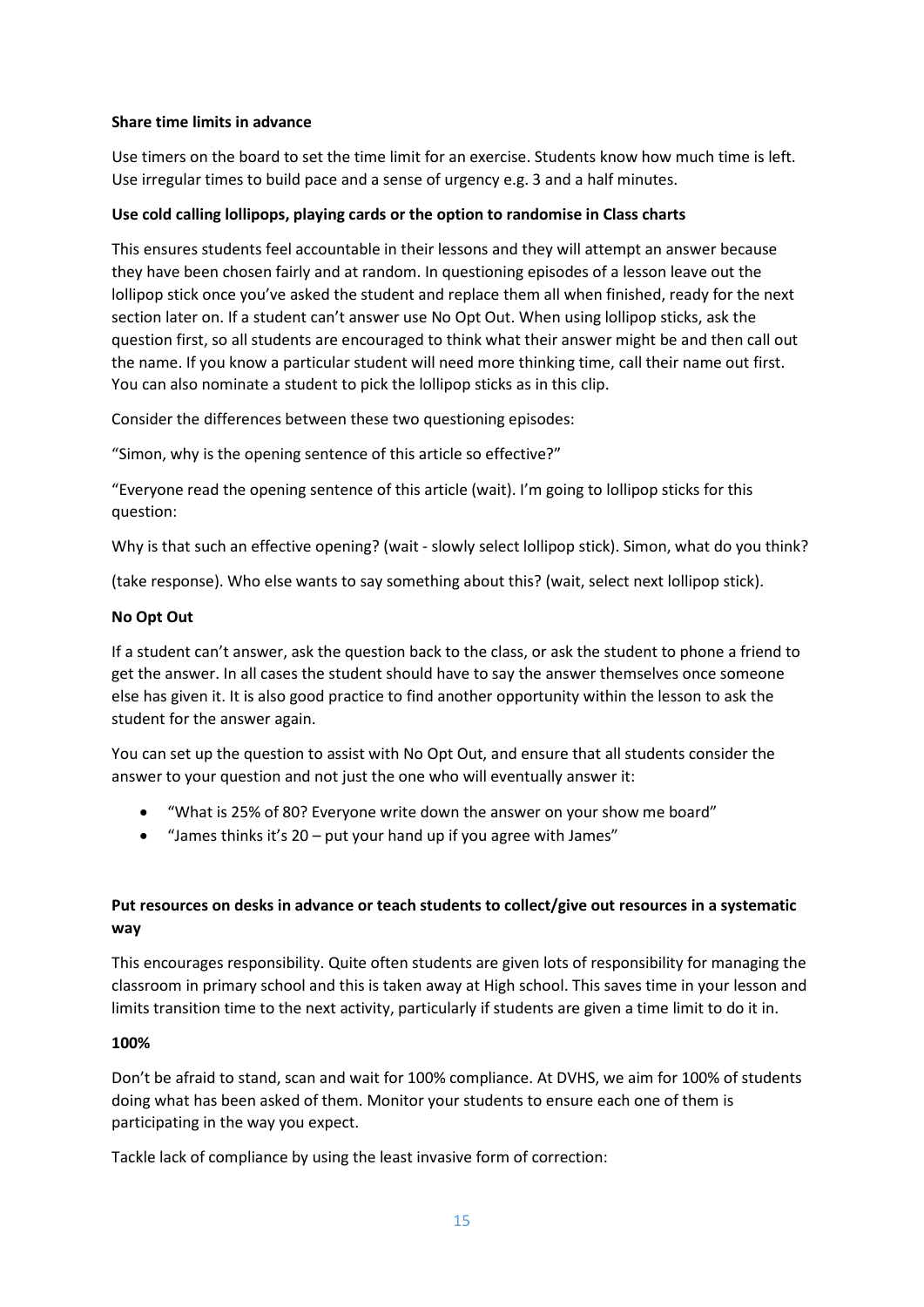# **Share time limits in advance**

Use timers on the board to set the time limit for an exercise. Students know how much time is left. Use irregular times to build pace and a sense of urgency e.g. 3 and a half minutes.

# **Use cold calling lollipops, playing cards or the option to randomise in Class charts**

This ensures students feel accountable in their lessons and they will attempt an answer because they have been chosen fairly and at random. In questioning episodes of a lesson leave out the lollipop stick once you've asked the student and replace them all when finished, ready for the next section later on. If a student can't answer use No Opt Out. When using lollipop sticks, ask the question first, so all students are encouraged to think what their answer might be and then call out the name. If you know a particular student will need more thinking time, call their name out first. You can also nominate a student to pick the lollipop sticks as in this clip.

Consider the differences between these two questioning episodes:

"Simon, why is the opening sentence of this article so effective?"

"Everyone read the opening sentence of this article (wait). I'm going to lollipop sticks for this question:

Why is that such an effective opening? (wait - slowly select lollipop stick). Simon, what do you think?

(take response). Who else wants to say something about this? (wait, select next lollipop stick).

# **No Opt Out**

If a student can't answer, ask the question back to the class, or ask the student to phone a friend to get the answer. In all cases the student should have to say the answer themselves once someone else has given it. It is also good practice to find another opportunity within the lesson to ask the student for the answer again.

You can set up the question to assist with No Opt Out, and ensure that all students consider the answer to your question and not just the one who will eventually answer it:

- "What is 25% of 80? Everyone write down the answer on your show me board"
- "James thinks it's  $20$  put your hand up if you agree with James"

# **Put resources on desks in advance or teach students to collect/give out resources in a systematic way**

This encourages responsibility. Quite often students are given lots of responsibility for managing the classroom in primary school and this is taken away at High school. This saves time in your lesson and limits transition time to the next activity, particularly if students are given a time limit to do it in.

#### **100%**

Don't be afraid to stand, scan and wait for 100% compliance. At DVHS, we aim for 100% of students doing what has been asked of them. Monitor your students to ensure each one of them is participating in the way you expect.

Tackle lack of compliance by using the least invasive form of correction: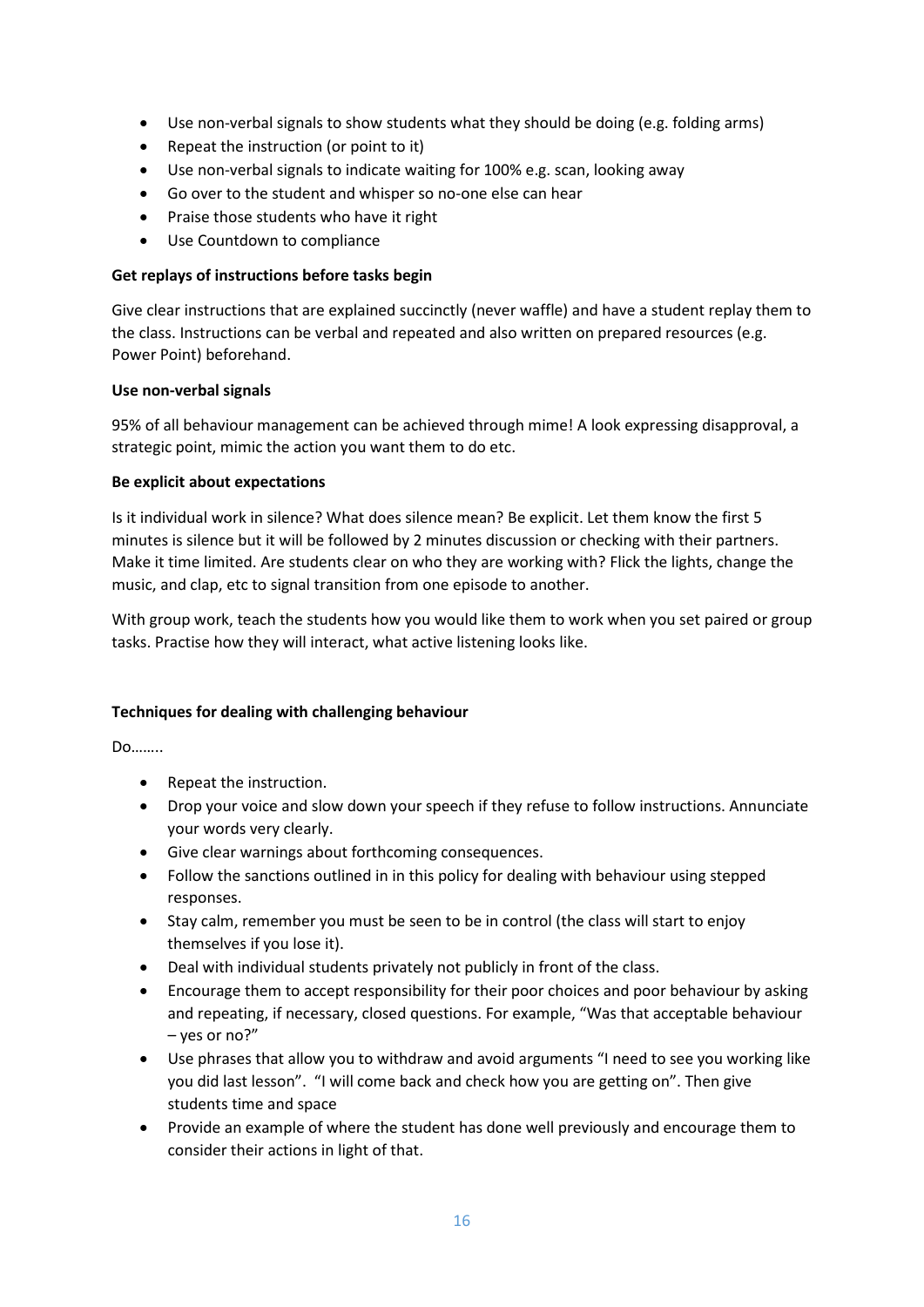- Use non-verbal signals to show students what they should be doing (e.g. folding arms)
- Repeat the instruction (or point to it)
- Use non-verbal signals to indicate waiting for 100% e.g. scan, looking away
- Go over to the student and whisper so no-one else can hear
- Praise those students who have it right
- Use Countdown to compliance

# **Get replays of instructions before tasks begin**

Give clear instructions that are explained succinctly (never waffle) and have a student replay them to the class. Instructions can be verbal and repeated and also written on prepared resources (e.g. Power Point) beforehand.

# **Use non-verbal signals**

95% of all behaviour management can be achieved through mime! A look expressing disapproval, a strategic point, mimic the action you want them to do etc.

# **Be explicit about expectations**

Is it individual work in silence? What does silence mean? Be explicit. Let them know the first 5 minutes is silence but it will be followed by 2 minutes discussion or checking with their partners. Make it time limited. Are students clear on who they are working with? Flick the lights, change the music, and clap, etc to signal transition from one episode to another.

With group work, teach the students how you would like them to work when you set paired or group tasks. Practise how they will interact, what active listening looks like.

# **Techniques for dealing with challenging behaviour**

Do……..

- Repeat the instruction.
- Drop your voice and slow down your speech if they refuse to follow instructions. Annunciate your words very clearly.
- Give clear warnings about forthcoming consequences.
- Follow the sanctions outlined in in this policy for dealing with behaviour using stepped responses.
- Stay calm, remember you must be seen to be in control (the class will start to enjoy themselves if you lose it).
- Deal with individual students privately not publicly in front of the class.
- Encourage them to accept responsibility for their poor choices and poor behaviour by asking and repeating, if necessary, closed questions. For example, "Was that acceptable behaviour – yes or no?"
- Use phrases that allow you to withdraw and avoid arguments "I need to see you working like you did last lesson". "I will come back and check how you are getting on". Then give students time and space
- Provide an example of where the student has done well previously and encourage them to consider their actions in light of that.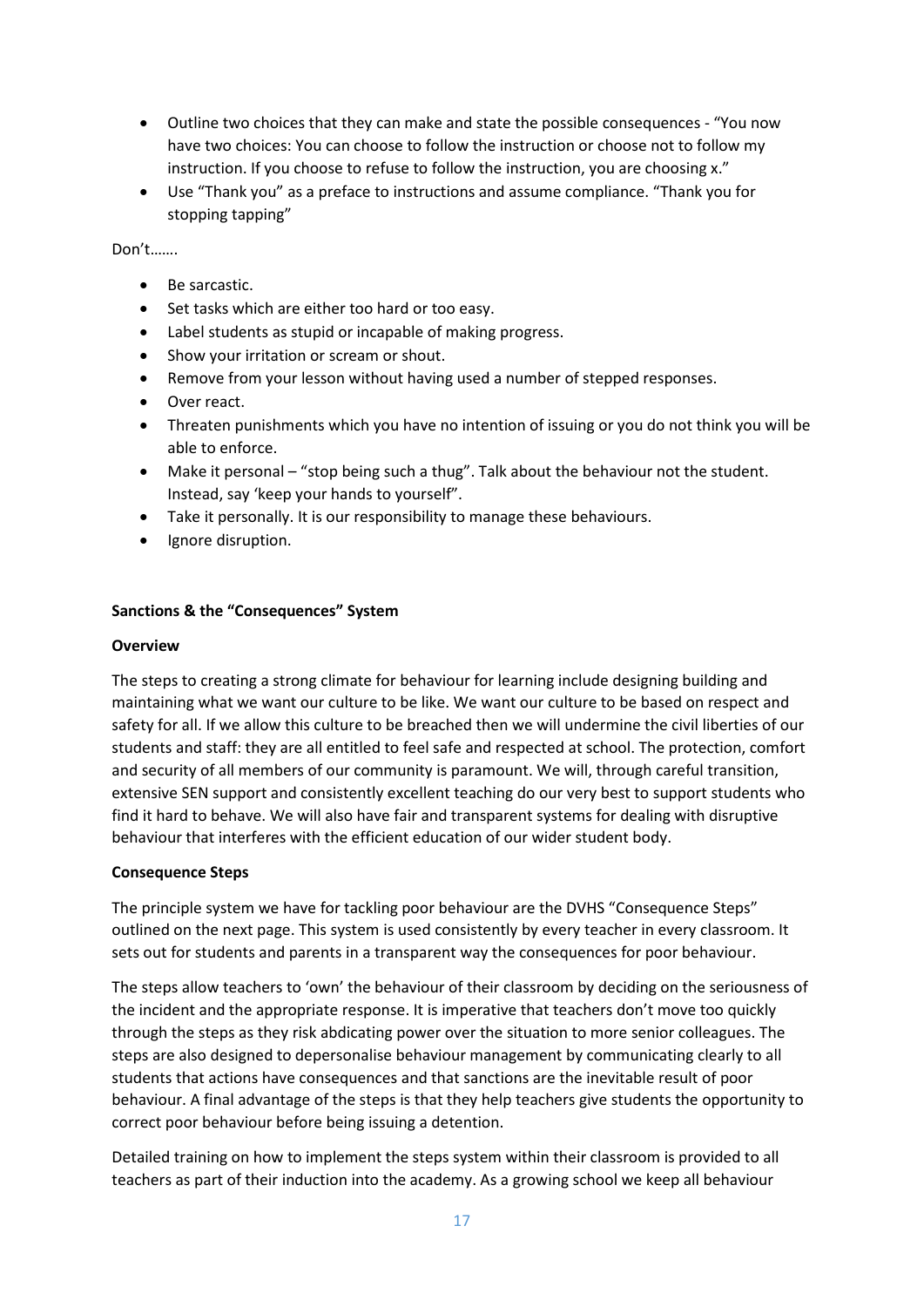- Outline two choices that they can make and state the possible consequences "You now have two choices: You can choose to follow the instruction or choose not to follow my instruction. If you choose to refuse to follow the instruction, you are choosing x."
- Use "Thank you" as a preface to instructions and assume compliance. "Thank you for stopping tapping"

Don't…….

- Be sarcastic.
- Set tasks which are either too hard or too easy.
- Label students as stupid or incapable of making progress.
- Show your irritation or scream or shout.
- Remove from your lesson without having used a number of stepped responses.
- Over react.
- Threaten punishments which you have no intention of issuing or you do not think you will be able to enforce.
- Make it personal "stop being such a thug". Talk about the behaviour not the student. Instead, say 'keep your hands to yourself".
- Take it personally. It is our responsibility to manage these behaviours.
- Ignore disruption.

#### **Sanctions & the "Consequences" System**

#### **Overview**

The steps to creating a strong climate for behaviour for learning include designing building and maintaining what we want our culture to be like. We want our culture to be based on respect and safety for all. If we allow this culture to be breached then we will undermine the civil liberties of our students and staff: they are all entitled to feel safe and respected at school. The protection, comfort and security of all members of our community is paramount. We will, through careful transition, extensive SEN support and consistently excellent teaching do our very best to support students who find it hard to behave. We will also have fair and transparent systems for dealing with disruptive behaviour that interferes with the efficient education of our wider student body.

#### **Consequence Steps**

The principle system we have for tackling poor behaviour are the DVHS "Consequence Steps" outlined on the next page. This system is used consistently by every teacher in every classroom. It sets out for students and parents in a transparent way the consequences for poor behaviour.

The steps allow teachers to 'own' the behaviour of their classroom by deciding on the seriousness of the incident and the appropriate response. It is imperative that teachers don't move too quickly through the steps as they risk abdicating power over the situation to more senior colleagues. The steps are also designed to depersonalise behaviour management by communicating clearly to all students that actions have consequences and that sanctions are the inevitable result of poor behaviour. A final advantage of the steps is that they help teachers give students the opportunity to correct poor behaviour before being issuing a detention.

Detailed training on how to implement the steps system within their classroom is provided to all teachers as part of their induction into the academy. As a growing school we keep all behaviour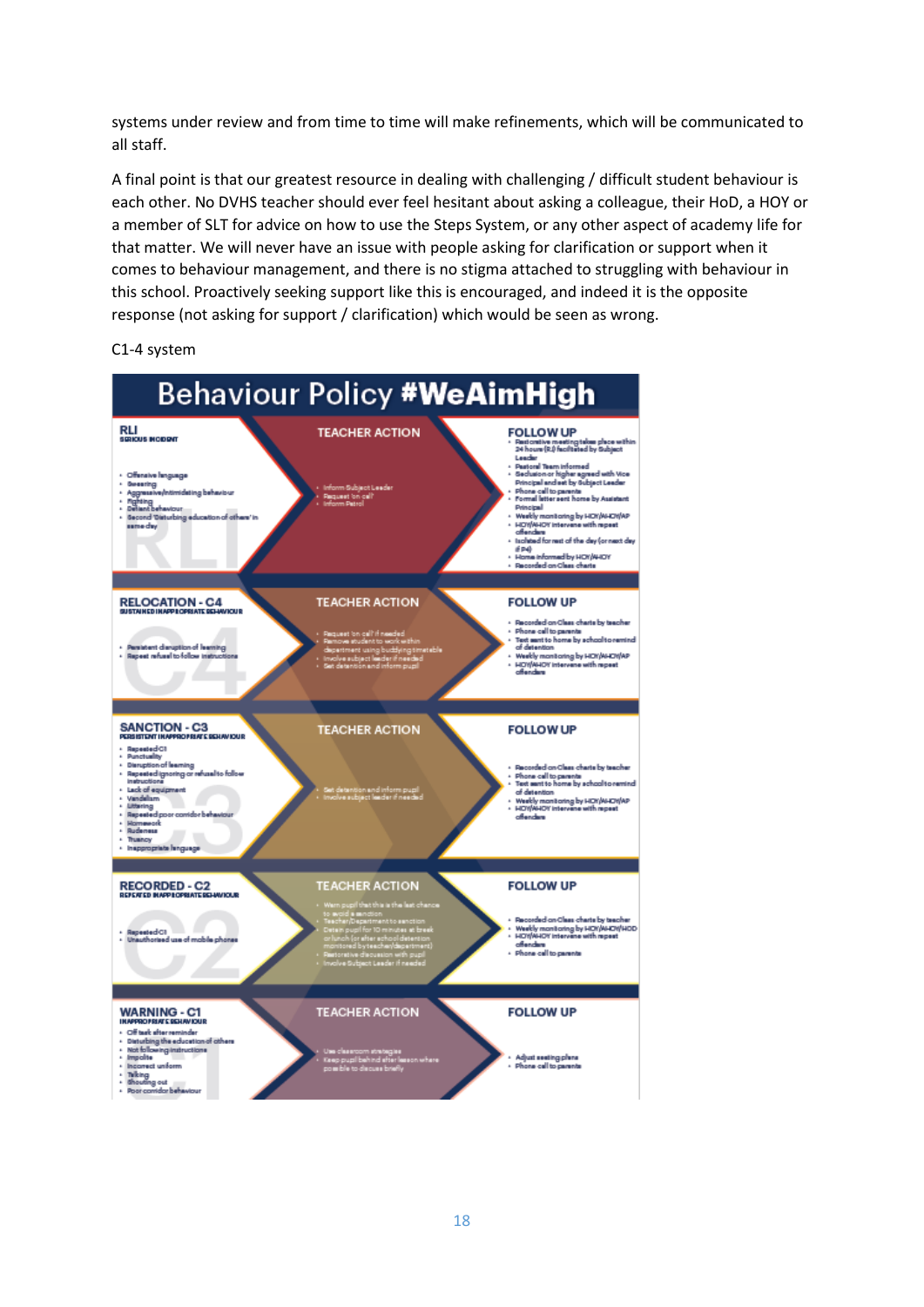systems under review and from time to time will make refinements, which will be communicated to all staff.

A final point is that our greatest resource in dealing with challenging / difficult student behaviour is each other. No DVHS teacher should ever feel hesitant about asking a colleague, their HoD, a HOY or a member of SLT for advice on how to use the Steps System, or any other aspect of academy life for that matter. We will never have an issue with people asking for clarification or support when it comes to behaviour management, and there is no stigma attached to struggling with behaviour in this school. Proactively seeking support like this is encouraged, and indeed it is the opposite response (not asking for support / clarification) which would be seen as wrong.

C1-4 system

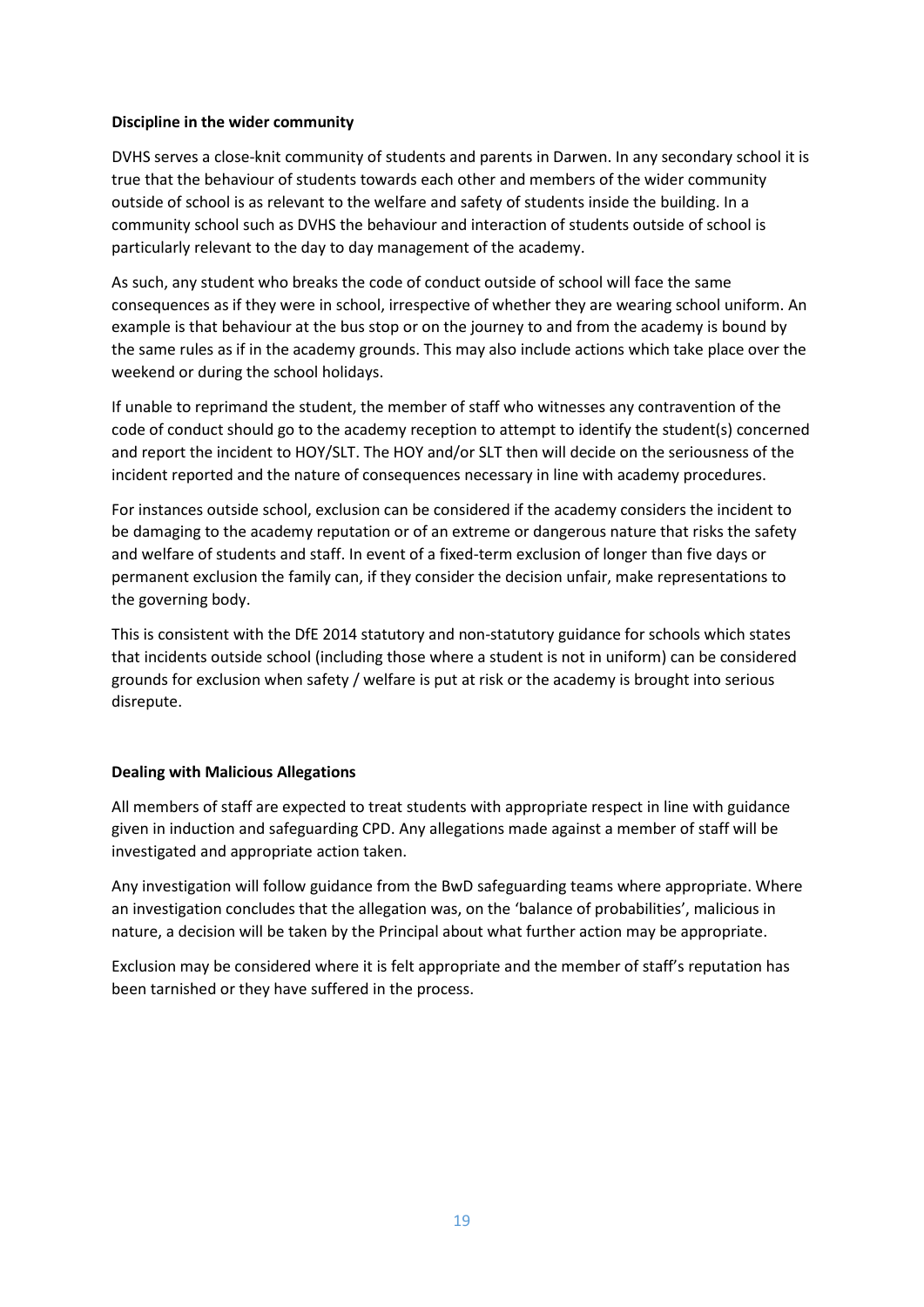#### **Discipline in the wider community**

DVHS serves a close-knit community of students and parents in Darwen. In any secondary school it is true that the behaviour of students towards each other and members of the wider community outside of school is as relevant to the welfare and safety of students inside the building. In a community school such as DVHS the behaviour and interaction of students outside of school is particularly relevant to the day to day management of the academy.

As such, any student who breaks the code of conduct outside of school will face the same consequences as if they were in school, irrespective of whether they are wearing school uniform. An example is that behaviour at the bus stop or on the journey to and from the academy is bound by the same rules as if in the academy grounds. This may also include actions which take place over the weekend or during the school holidays.

If unable to reprimand the student, the member of staff who witnesses any contravention of the code of conduct should go to the academy reception to attempt to identify the student(s) concerned and report the incident to HOY/SLT. The HOY and/or SLT then will decide on the seriousness of the incident reported and the nature of consequences necessary in line with academy procedures.

For instances outside school, exclusion can be considered if the academy considers the incident to be damaging to the academy reputation or of an extreme or dangerous nature that risks the safety and welfare of students and staff. In event of a fixed-term exclusion of longer than five days or permanent exclusion the family can, if they consider the decision unfair, make representations to the governing body.

This is consistent with the DfE 2014 statutory and non-statutory guidance for schools which states that incidents outside school (including those where a student is not in uniform) can be considered grounds for exclusion when safety / welfare is put at risk or the academy is brought into serious disrepute.

# **Dealing with Malicious Allegations**

All members of staff are expected to treat students with appropriate respect in line with guidance given in induction and safeguarding CPD. Any allegations made against a member of staff will be investigated and appropriate action taken.

Any investigation will follow guidance from the BwD safeguarding teams where appropriate. Where an investigation concludes that the allegation was, on the 'balance of probabilities', malicious in nature, a decision will be taken by the Principal about what further action may be appropriate.

Exclusion may be considered where it is felt appropriate and the member of staff's reputation has been tarnished or they have suffered in the process.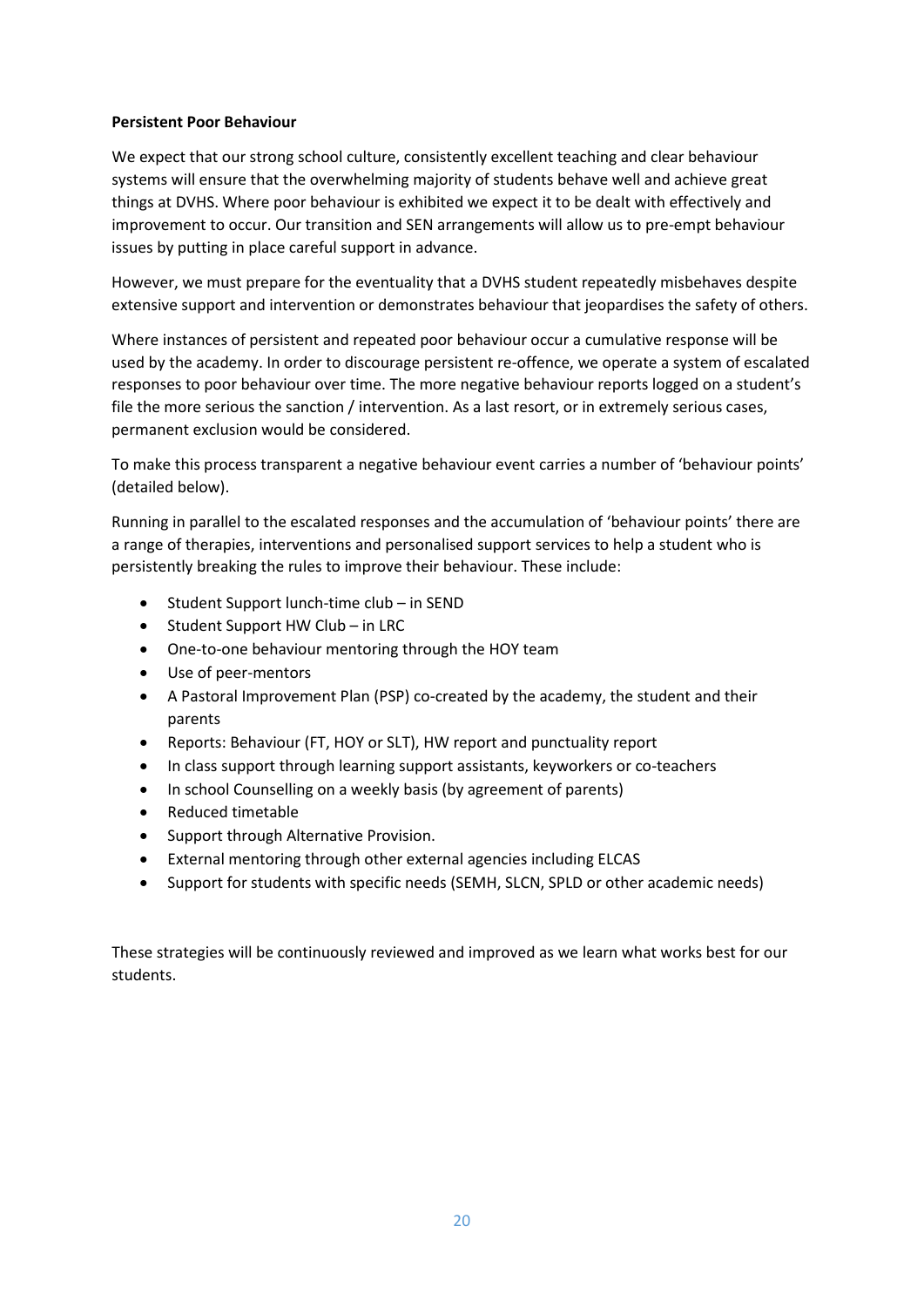#### **Persistent Poor Behaviour**

We expect that our strong school culture, consistently excellent teaching and clear behaviour systems will ensure that the overwhelming majority of students behave well and achieve great things at DVHS. Where poor behaviour is exhibited we expect it to be dealt with effectively and improvement to occur. Our transition and SEN arrangements will allow us to pre-empt behaviour issues by putting in place careful support in advance.

However, we must prepare for the eventuality that a DVHS student repeatedly misbehaves despite extensive support and intervention or demonstrates behaviour that jeopardises the safety of others.

Where instances of persistent and repeated poor behaviour occur a cumulative response will be used by the academy. In order to discourage persistent re-offence, we operate a system of escalated responses to poor behaviour over time. The more negative behaviour reports logged on a student's file the more serious the sanction / intervention. As a last resort, or in extremely serious cases, permanent exclusion would be considered.

To make this process transparent a negative behaviour event carries a number of 'behaviour points' (detailed below).

Running in parallel to the escalated responses and the accumulation of 'behaviour points' there are a range of therapies, interventions and personalised support services to help a student who is persistently breaking the rules to improve their behaviour. These include:

- Student Support lunch-time club in SEND
- Student Support HW Club in LRC
- One-to-one behaviour mentoring through the HOY team
- Use of peer-mentors
- A Pastoral Improvement Plan (PSP) co-created by the academy, the student and their parents
- Reports: Behaviour (FT, HOY or SLT), HW report and punctuality report
- In class support through learning support assistants, keyworkers or co-teachers
- In school Counselling on a weekly basis (by agreement of parents)
- Reduced timetable
- Support through Alternative Provision.
- External mentoring through other external agencies including ELCAS
- Support for students with specific needs (SEMH, SLCN, SPLD or other academic needs)

These strategies will be continuously reviewed and improved as we learn what works best for our students.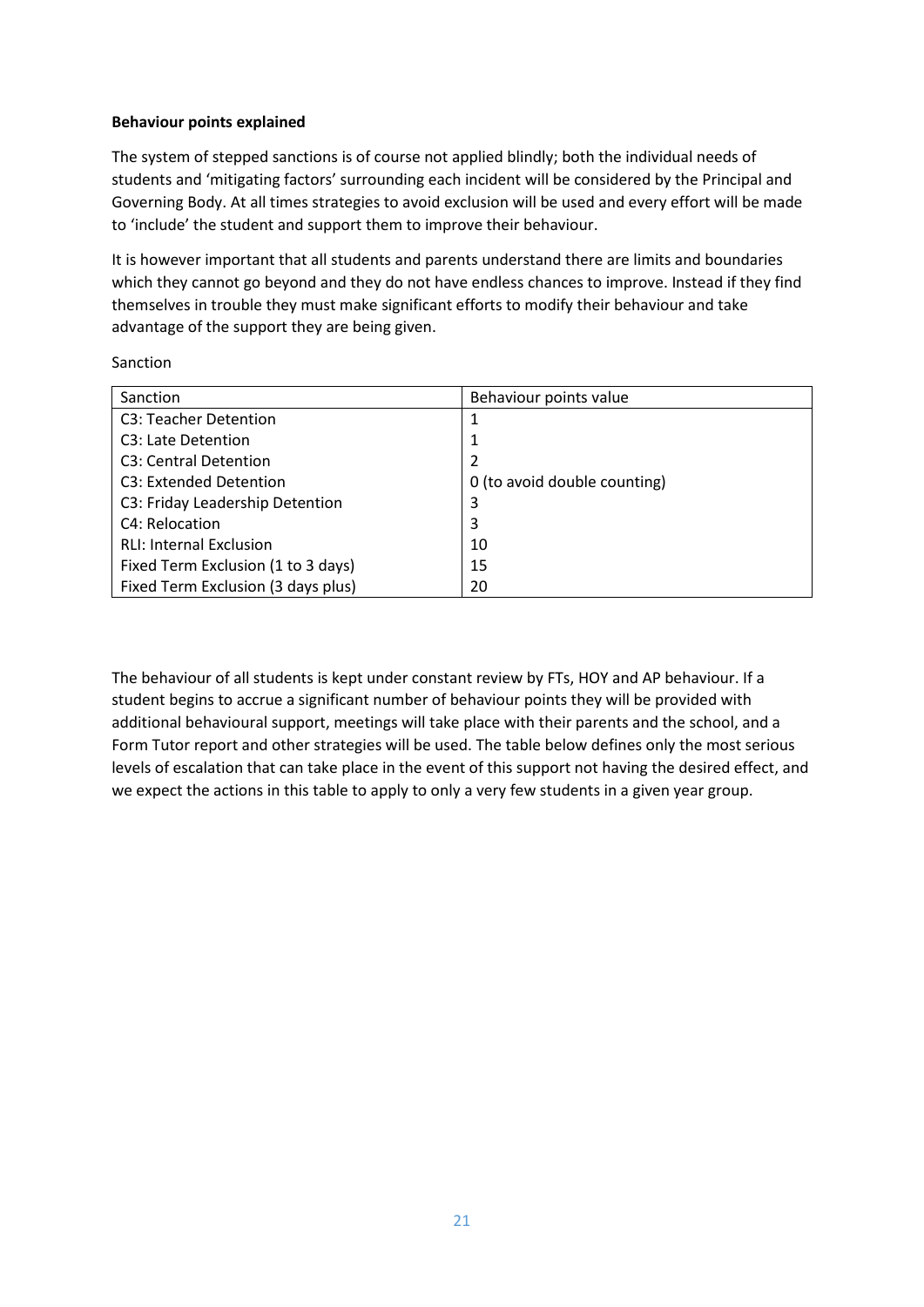# **Behaviour points explained**

The system of stepped sanctions is of course not applied blindly; both the individual needs of students and 'mitigating factors' surrounding each incident will be considered by the Principal and Governing Body. At all times strategies to avoid exclusion will be used and every effort will be made to 'include' the student and support them to improve their behaviour.

It is however important that all students and parents understand there are limits and boundaries which they cannot go beyond and they do not have endless chances to improve. Instead if they find themselves in trouble they must make significant efforts to modify their behaviour and take advantage of the support they are being given.

| Sanction |  |
|----------|--|
|          |  |

| Sanction                           | Behaviour points value       |
|------------------------------------|------------------------------|
| C3: Teacher Detention              |                              |
| C <sub>3</sub> : Late Detention    |                              |
| C <sub>3</sub> : Central Detention |                              |
| C3: Extended Detention             | 0 (to avoid double counting) |
| C3: Friday Leadership Detention    | 3                            |
| C4: Relocation                     | 3                            |
| <b>RLI: Internal Exclusion</b>     | 10                           |
| Fixed Term Exclusion (1 to 3 days) | 15                           |
| Fixed Term Exclusion (3 days plus) | 20                           |

The behaviour of all students is kept under constant review by FTs, HOY and AP behaviour. If a student begins to accrue a significant number of behaviour points they will be provided with additional behavioural support, meetings will take place with their parents and the school, and a Form Tutor report and other strategies will be used. The table below defines only the most serious levels of escalation that can take place in the event of this support not having the desired effect, and we expect the actions in this table to apply to only a very few students in a given year group.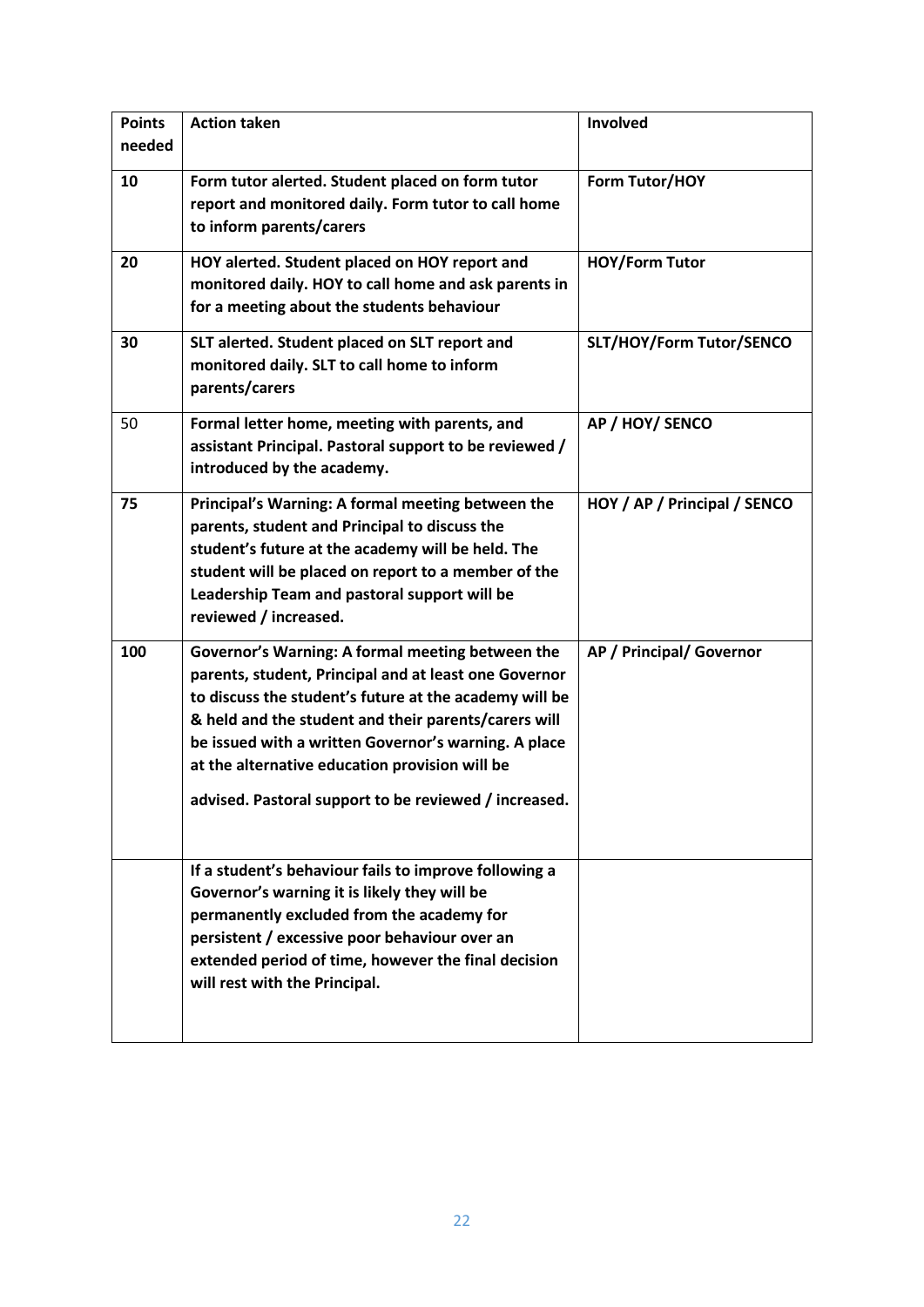| <b>Points</b><br>needed | <b>Action taken</b>                                                                                                                                                                                                                                                                                                                                                                            | Involved                     |
|-------------------------|------------------------------------------------------------------------------------------------------------------------------------------------------------------------------------------------------------------------------------------------------------------------------------------------------------------------------------------------------------------------------------------------|------------------------------|
| 10                      | Form tutor alerted. Student placed on form tutor<br>report and monitored daily. Form tutor to call home<br>to inform parents/carers                                                                                                                                                                                                                                                            | Form Tutor/HOY               |
| 20                      | HOY alerted. Student placed on HOY report and<br>monitored daily. HOY to call home and ask parents in<br>for a meeting about the students behaviour                                                                                                                                                                                                                                            | <b>HOY/Form Tutor</b>        |
| 30                      | SLT alerted. Student placed on SLT report and<br>monitored daily. SLT to call home to inform<br>parents/carers                                                                                                                                                                                                                                                                                 | SLT/HOY/Form Tutor/SENCO     |
| 50                      | Formal letter home, meeting with parents, and<br>assistant Principal. Pastoral support to be reviewed /<br>introduced by the academy.                                                                                                                                                                                                                                                          | AP / HOY/ SENCO              |
| 75                      | Principal's Warning: A formal meeting between the<br>parents, student and Principal to discuss the<br>student's future at the academy will be held. The<br>student will be placed on report to a member of the<br>Leadership Team and pastoral support will be<br>reviewed / increased.                                                                                                        | HOY / AP / Principal / SENCO |
| 100                     | Governor's Warning: A formal meeting between the<br>parents, student, Principal and at least one Governor<br>to discuss the student's future at the academy will be<br>& held and the student and their parents/carers will<br>be issued with a written Governor's warning. A place<br>at the alternative education provision will be<br>advised. Pastoral support to be reviewed / increased. | AP / Principal/ Governor     |
|                         | If a student's behaviour fails to improve following a<br>Governor's warning it is likely they will be<br>permanently excluded from the academy for<br>persistent / excessive poor behaviour over an<br>extended period of time, however the final decision<br>will rest with the Principal.                                                                                                    |                              |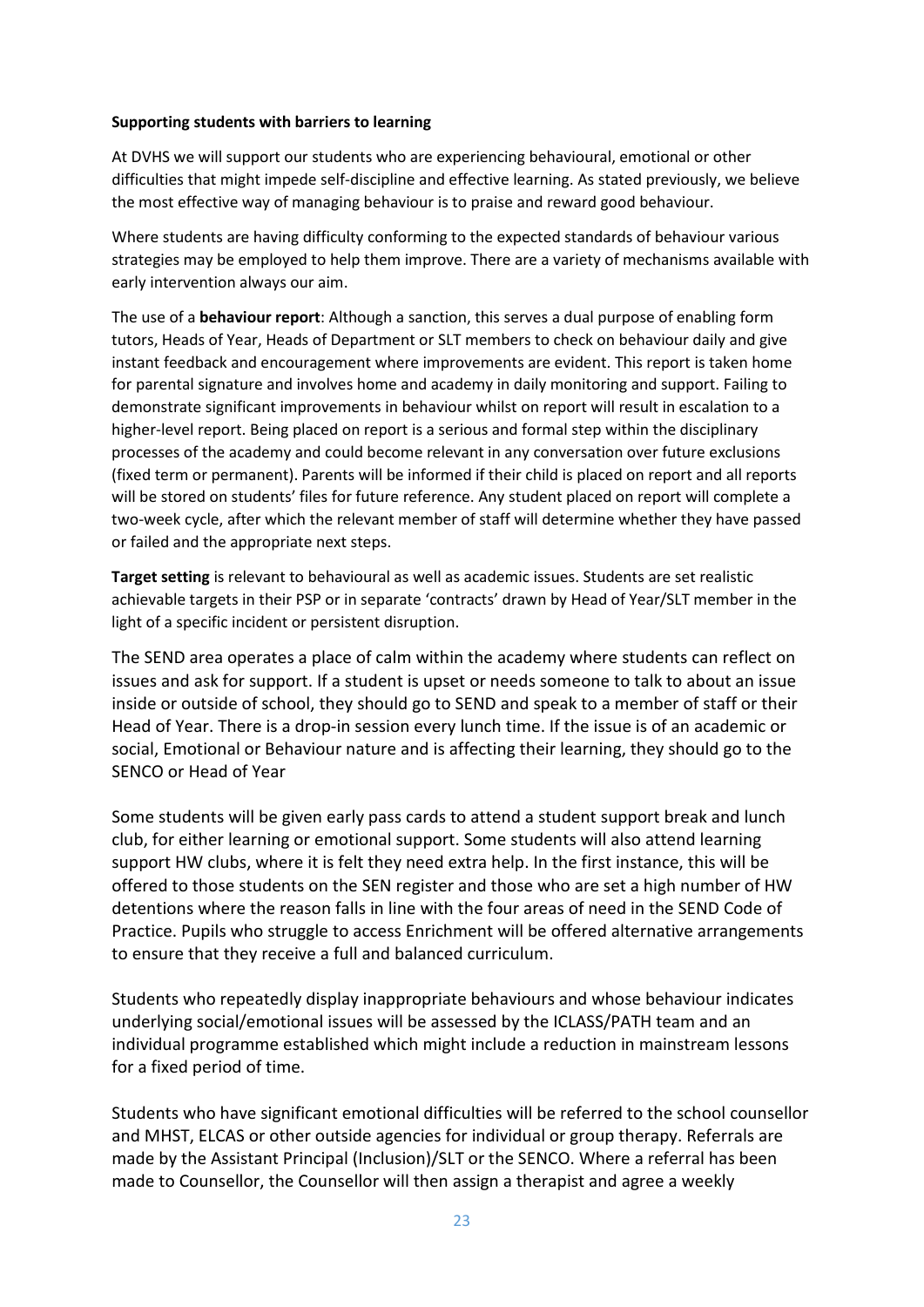#### **Supporting students with barriers to learning**

At DVHS we will support our students who are experiencing behavioural, emotional or other difficulties that might impede self-discipline and effective learning. As stated previously, we believe the most effective way of managing behaviour is to praise and reward good behaviour.

Where students are having difficulty conforming to the expected standards of behaviour various strategies may be employed to help them improve. There are a variety of mechanisms available with early intervention always our aim.

The use of a **behaviour report**: Although a sanction, this serves a dual purpose of enabling form tutors, Heads of Year, Heads of Department or SLT members to check on behaviour daily and give instant feedback and encouragement where improvements are evident. This report is taken home for parental signature and involves home and academy in daily monitoring and support. Failing to demonstrate significant improvements in behaviour whilst on report will result in escalation to a higher-level report. Being placed on report is a serious and formal step within the disciplinary processes of the academy and could become relevant in any conversation over future exclusions (fixed term or permanent). Parents will be informed if their child is placed on report and all reports will be stored on students' files for future reference. Any student placed on report will complete a two-week cycle, after which the relevant member of staff will determine whether they have passed or failed and the appropriate next steps.

**Target setting** is relevant to behavioural as well as academic issues. Students are set realistic achievable targets in their PSP or in separate 'contracts' drawn by Head of Year/SLT member in the light of a specific incident or persistent disruption.

The SEND area operates a place of calm within the academy where students can reflect on issues and ask for support. If a student is upset or needs someone to talk to about an issue inside or outside of school, they should go to SEND and speak to a member of staff or their Head of Year. There is a drop-in session every lunch time. If the issue is of an academic or social, Emotional or Behaviour nature and is affecting their learning, they should go to the SENCO or Head of Year

Some students will be given early pass cards to attend a student support break and lunch club, for either learning or emotional support. Some students will also attend learning support HW clubs, where it is felt they need extra help. In the first instance, this will be offered to those students on the SEN register and those who are set a high number of HW detentions where the reason falls in line with the four areas of need in the SEND Code of Practice. Pupils who struggle to access Enrichment will be offered alternative arrangements to ensure that they receive a full and balanced curriculum.

Students who repeatedly display inappropriate behaviours and whose behaviour indicates underlying social/emotional issues will be assessed by the ICLASS/PATH team and an individual programme established which might include a reduction in mainstream lessons for a fixed period of time.

Students who have significant emotional difficulties will be referred to the school counsellor and MHST, ELCAS or other outside agencies for individual or group therapy. Referrals are made by the Assistant Principal (Inclusion)/SLT or the SENCO. Where a referral has been made to Counsellor, the Counsellor will then assign a therapist and agree a weekly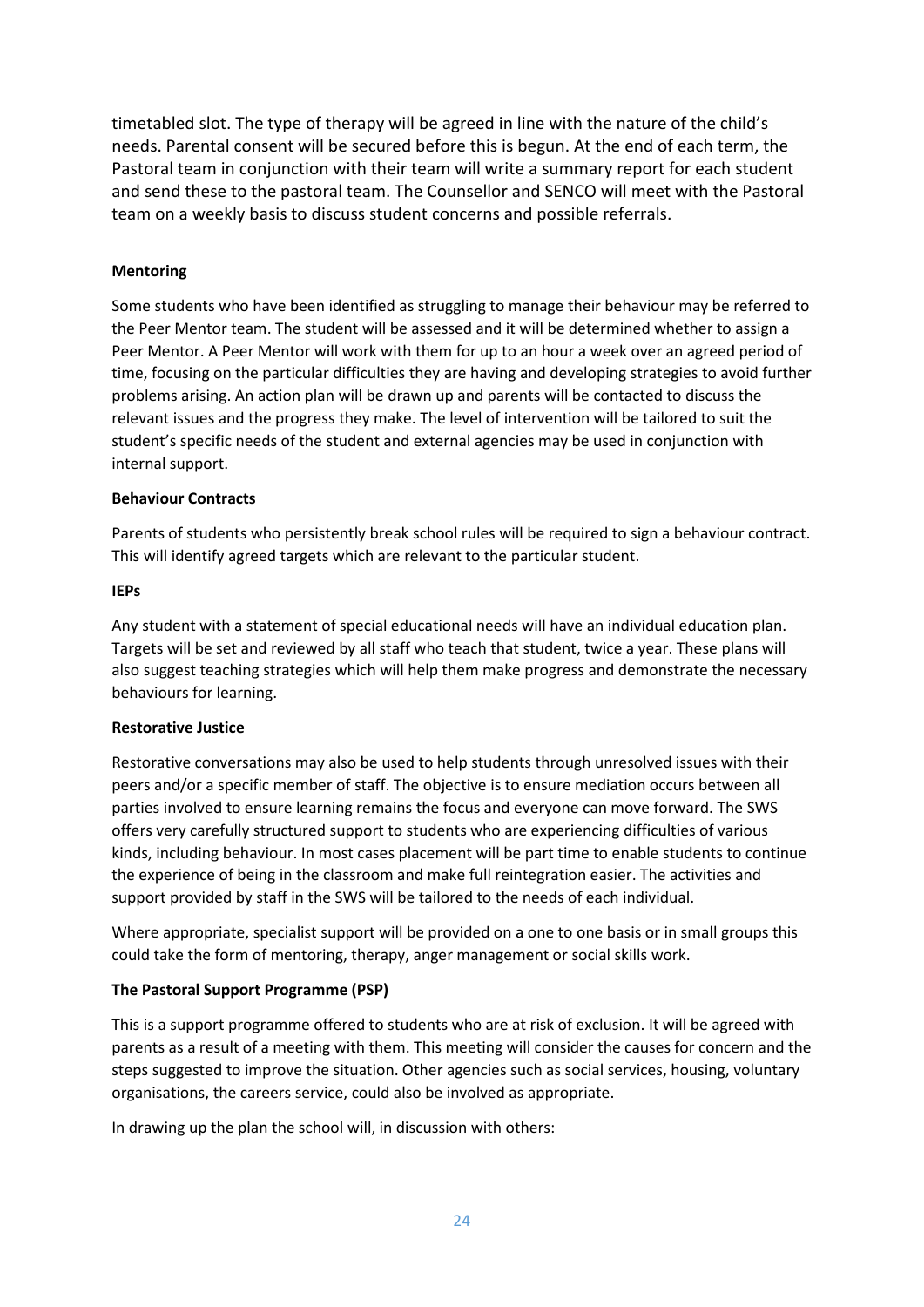timetabled slot. The type of therapy will be agreed in line with the nature of the child's needs. Parental consent will be secured before this is begun. At the end of each term, the Pastoral team in conjunction with their team will write a summary report for each student and send these to the pastoral team. The Counsellor and SENCO will meet with the Pastoral team on a weekly basis to discuss student concerns and possible referrals.

# **Mentoring**

Some students who have been identified as struggling to manage their behaviour may be referred to the Peer Mentor team. The student will be assessed and it will be determined whether to assign a Peer Mentor. A Peer Mentor will work with them for up to an hour a week over an agreed period of time, focusing on the particular difficulties they are having and developing strategies to avoid further problems arising. An action plan will be drawn up and parents will be contacted to discuss the relevant issues and the progress they make. The level of intervention will be tailored to suit the student's specific needs of the student and external agencies may be used in conjunction with internal support.

#### **Behaviour Contracts**

Parents of students who persistently break school rules will be required to sign a behaviour contract. This will identify agreed targets which are relevant to the particular student.

#### **IEPs**

Any student with a statement of special educational needs will have an individual education plan. Targets will be set and reviewed by all staff who teach that student, twice a year. These plans will also suggest teaching strategies which will help them make progress and demonstrate the necessary behaviours for learning.

#### **Restorative Justice**

Restorative conversations may also be used to help students through unresolved issues with their peers and/or a specific member of staff. The objective is to ensure mediation occurs between all parties involved to ensure learning remains the focus and everyone can move forward. The SWS offers very carefully structured support to students who are experiencing difficulties of various kinds, including behaviour. In most cases placement will be part time to enable students to continue the experience of being in the classroom and make full reintegration easier. The activities and support provided by staff in the SWS will be tailored to the needs of each individual.

Where appropriate, specialist support will be provided on a one to one basis or in small groups this could take the form of mentoring, therapy, anger management or social skills work.

#### **The Pastoral Support Programme (PSP)**

This is a support programme offered to students who are at risk of exclusion. It will be agreed with parents as a result of a meeting with them. This meeting will consider the causes for concern and the steps suggested to improve the situation. Other agencies such as social services, housing, voluntary organisations, the careers service, could also be involved as appropriate.

In drawing up the plan the school will, in discussion with others: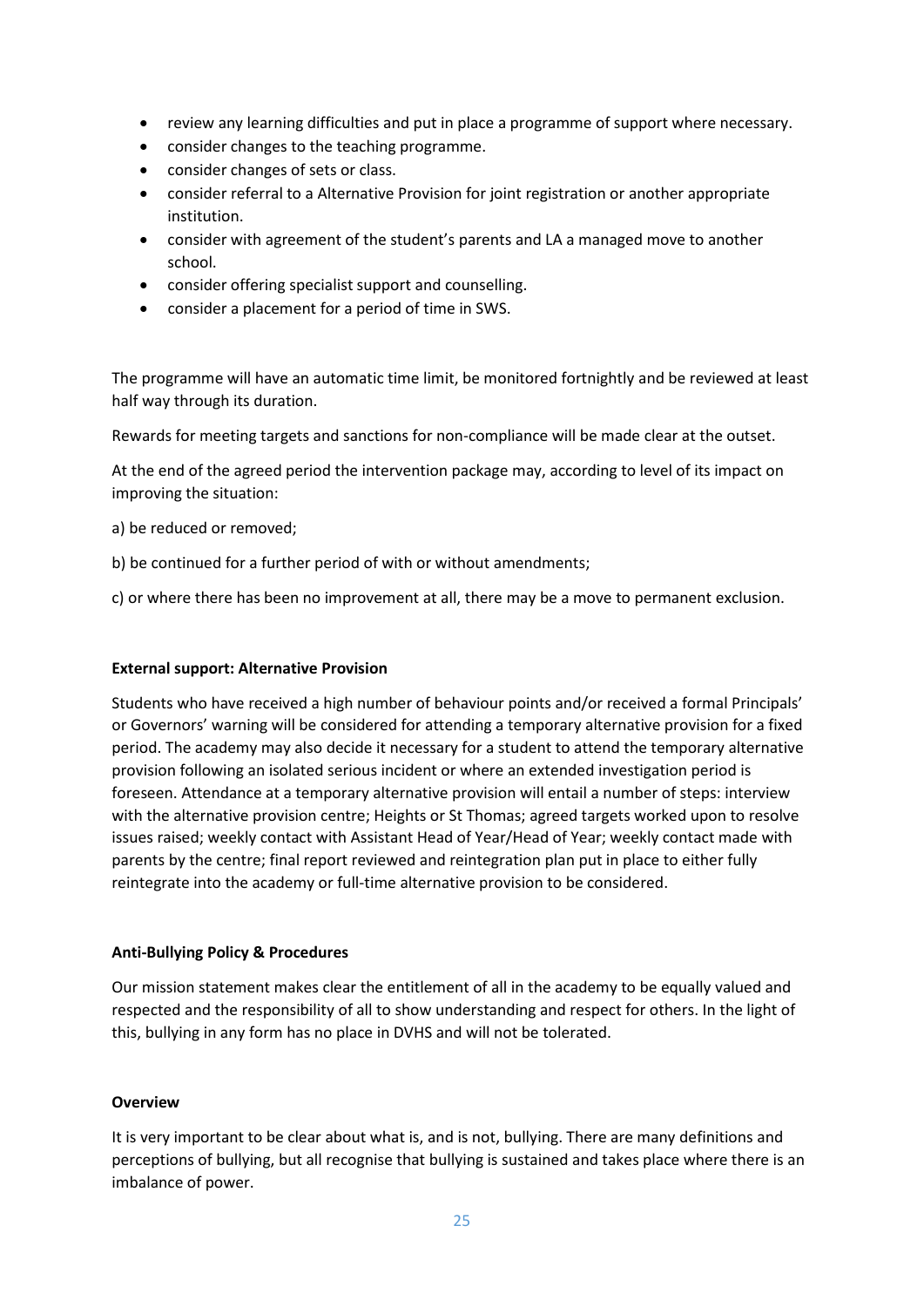- review any learning difficulties and put in place a programme of support where necessary.
- consider changes to the teaching programme.
- consider changes of sets or class.
- consider referral to a Alternative Provision for joint registration or another appropriate institution.
- consider with agreement of the student's parents and LA a managed move to another school.
- consider offering specialist support and counselling.
- consider a placement for a period of time in SWS.

The programme will have an automatic time limit, be monitored fortnightly and be reviewed at least half way through its duration.

Rewards for meeting targets and sanctions for non-compliance will be made clear at the outset.

At the end of the agreed period the intervention package may, according to level of its impact on improving the situation:

a) be reduced or removed;

b) be continued for a further period of with or without amendments;

c) or where there has been no improvement at all, there may be a move to permanent exclusion.

#### **External support: Alternative Provision**

Students who have received a high number of behaviour points and/or received a formal Principals' or Governors' warning will be considered for attending a temporary alternative provision for a fixed period. The academy may also decide it necessary for a student to attend the temporary alternative provision following an isolated serious incident or where an extended investigation period is foreseen. Attendance at a temporary alternative provision will entail a number of steps: interview with the alternative provision centre; Heights or St Thomas; agreed targets worked upon to resolve issues raised; weekly contact with Assistant Head of Year/Head of Year; weekly contact made with parents by the centre; final report reviewed and reintegration plan put in place to either fully reintegrate into the academy or full-time alternative provision to be considered.

#### **Anti-Bullying Policy & Procedures**

Our mission statement makes clear the entitlement of all in the academy to be equally valued and respected and the responsibility of all to show understanding and respect for others. In the light of this, bullying in any form has no place in DVHS and will not be tolerated.

#### **Overview**

It is very important to be clear about what is, and is not, bullying. There are many definitions and perceptions of bullying, but all recognise that bullying is sustained and takes place where there is an imbalance of power.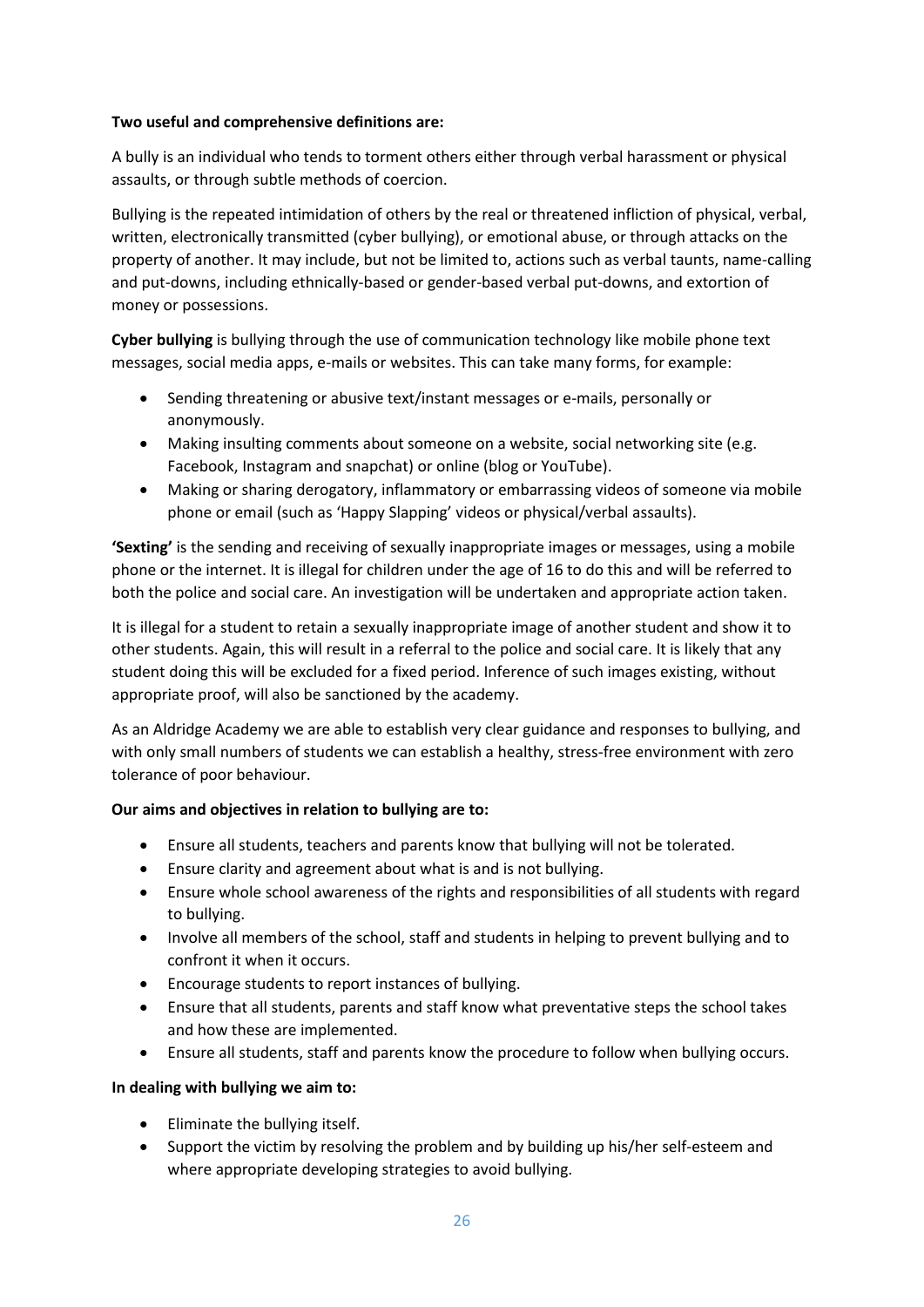# **Two useful and comprehensive definitions are:**

A bully is an individual who tends to torment others either through verbal harassment or physical assaults, or through subtle methods of coercion.

Bullying is the repeated intimidation of others by the real or threatened infliction of physical, verbal, written, electronically transmitted (cyber bullying), or emotional abuse, or through attacks on the property of another. It may include, but not be limited to, actions such as verbal taunts, name-calling and put-downs, including ethnically-based or gender-based verbal put-downs, and extortion of money or possessions.

**Cyber bullying** is bullying through the use of communication technology like mobile phone text messages, social media apps, e-mails or websites. This can take many forms, for example:

- Sending threatening or abusive text/instant messages or e-mails, personally or anonymously.
- Making insulting comments about someone on a website, social networking site (e.g. Facebook, Instagram and snapchat) or online (blog or YouTube).
- Making or sharing derogatory, inflammatory or embarrassing videos of someone via mobile phone or email (such as 'Happy Slapping' videos or physical/verbal assaults).

**'Sexting'** is the sending and receiving of sexually inappropriate images or messages, using a mobile phone or the internet. It is illegal for children under the age of 16 to do this and will be referred to both the police and social care. An investigation will be undertaken and appropriate action taken.

It is illegal for a student to retain a sexually inappropriate image of another student and show it to other students. Again, this will result in a referral to the police and social care. It is likely that any student doing this will be excluded for a fixed period. Inference of such images existing, without appropriate proof, will also be sanctioned by the academy.

As an Aldridge Academy we are able to establish very clear guidance and responses to bullying, and with only small numbers of students we can establish a healthy, stress-free environment with zero tolerance of poor behaviour.

# **Our aims and objectives in relation to bullying are to:**

- Ensure all students, teachers and parents know that bullying will not be tolerated.
- Ensure clarity and agreement about what is and is not bullying.
- Ensure whole school awareness of the rights and responsibilities of all students with regard to bullying.
- Involve all members of the school, staff and students in helping to prevent bullying and to confront it when it occurs.
- Encourage students to report instances of bullying.
- Ensure that all students, parents and staff know what preventative steps the school takes and how these are implemented.
- Ensure all students, staff and parents know the procedure to follow when bullying occurs.

#### **In dealing with bullying we aim to:**

- Eliminate the bullying itself.
- Support the victim by resolving the problem and by building up his/her self-esteem and where appropriate developing strategies to avoid bullying.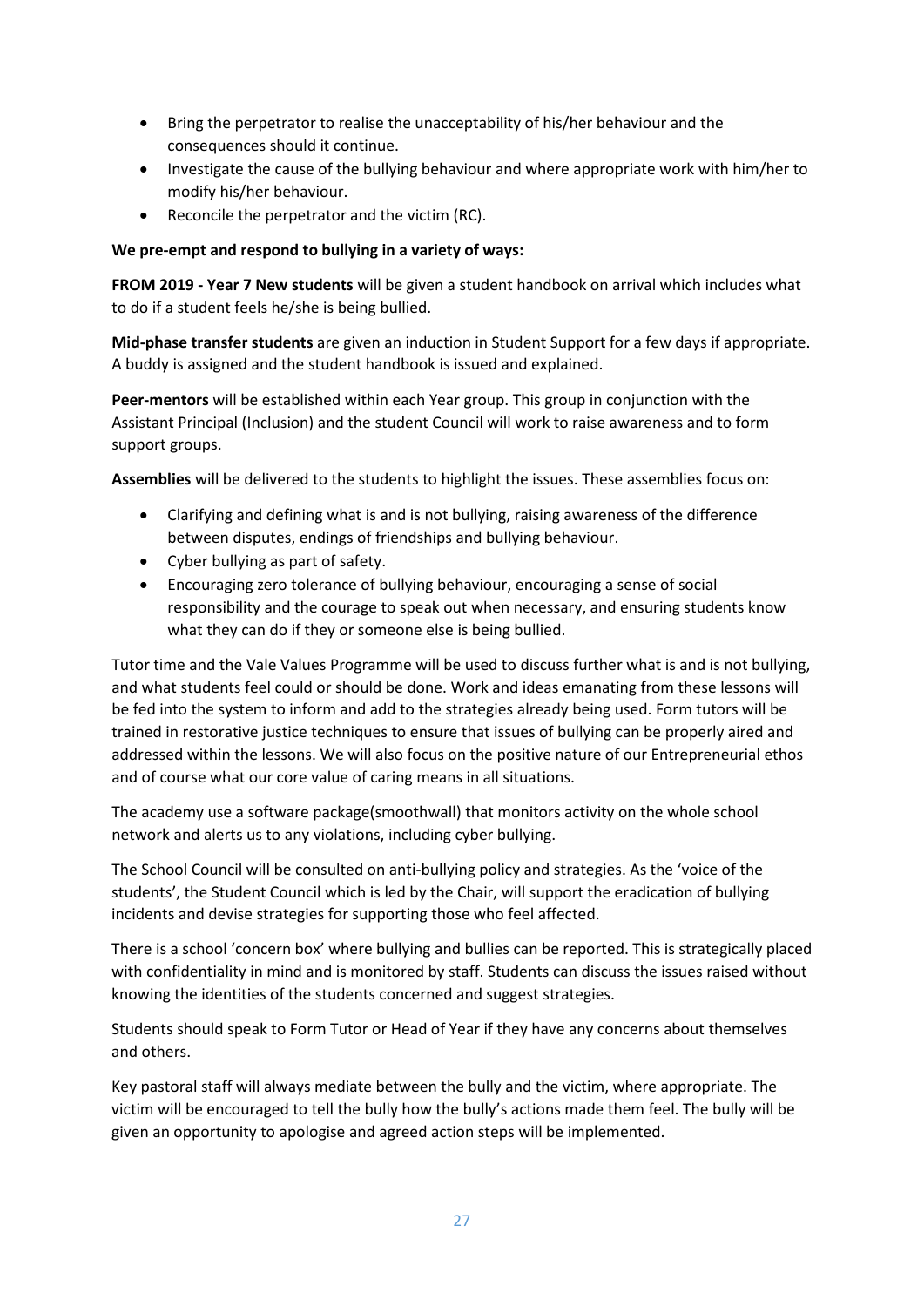- Bring the perpetrator to realise the unacceptability of his/her behaviour and the consequences should it continue.
- Investigate the cause of the bullying behaviour and where appropriate work with him/her to modify his/her behaviour.
- Reconcile the perpetrator and the victim (RC).

# **We pre-empt and respond to bullying in a variety of ways:**

**FROM 2019 - Year 7 New students** will be given a student handbook on arrival which includes what to do if a student feels he/she is being bullied.

**Mid-phase transfer students** are given an induction in Student Support for a few days if appropriate. A buddy is assigned and the student handbook is issued and explained.

**Peer-mentors** will be established within each Year group. This group in conjunction with the Assistant Principal (Inclusion) and the student Council will work to raise awareness and to form support groups.

**Assemblies** will be delivered to the students to highlight the issues. These assemblies focus on:

- Clarifying and defining what is and is not bullying, raising awareness of the difference between disputes, endings of friendships and bullying behaviour.
- Cyber bullying as part of safety.
- Encouraging zero tolerance of bullying behaviour, encouraging a sense of social responsibility and the courage to speak out when necessary, and ensuring students know what they can do if they or someone else is being bullied.

Tutor time and the Vale Values Programme will be used to discuss further what is and is not bullying, and what students feel could or should be done. Work and ideas emanating from these lessons will be fed into the system to inform and add to the strategies already being used. Form tutors will be trained in restorative justice techniques to ensure that issues of bullying can be properly aired and addressed within the lessons. We will also focus on the positive nature of our Entrepreneurial ethos and of course what our core value of caring means in all situations.

The academy use a software package(smoothwall) that monitors activity on the whole school network and alerts us to any violations, including cyber bullying.

The School Council will be consulted on anti-bullying policy and strategies. As the 'voice of the students', the Student Council which is led by the Chair, will support the eradication of bullying incidents and devise strategies for supporting those who feel affected.

There is a school 'concern box' where bullying and bullies can be reported. This is strategically placed with confidentiality in mind and is monitored by staff. Students can discuss the issues raised without knowing the identities of the students concerned and suggest strategies.

Students should speak to Form Tutor or Head of Year if they have any concerns about themselves and others.

Key pastoral staff will always mediate between the bully and the victim, where appropriate. The victim will be encouraged to tell the bully how the bully's actions made them feel. The bully will be given an opportunity to apologise and agreed action steps will be implemented.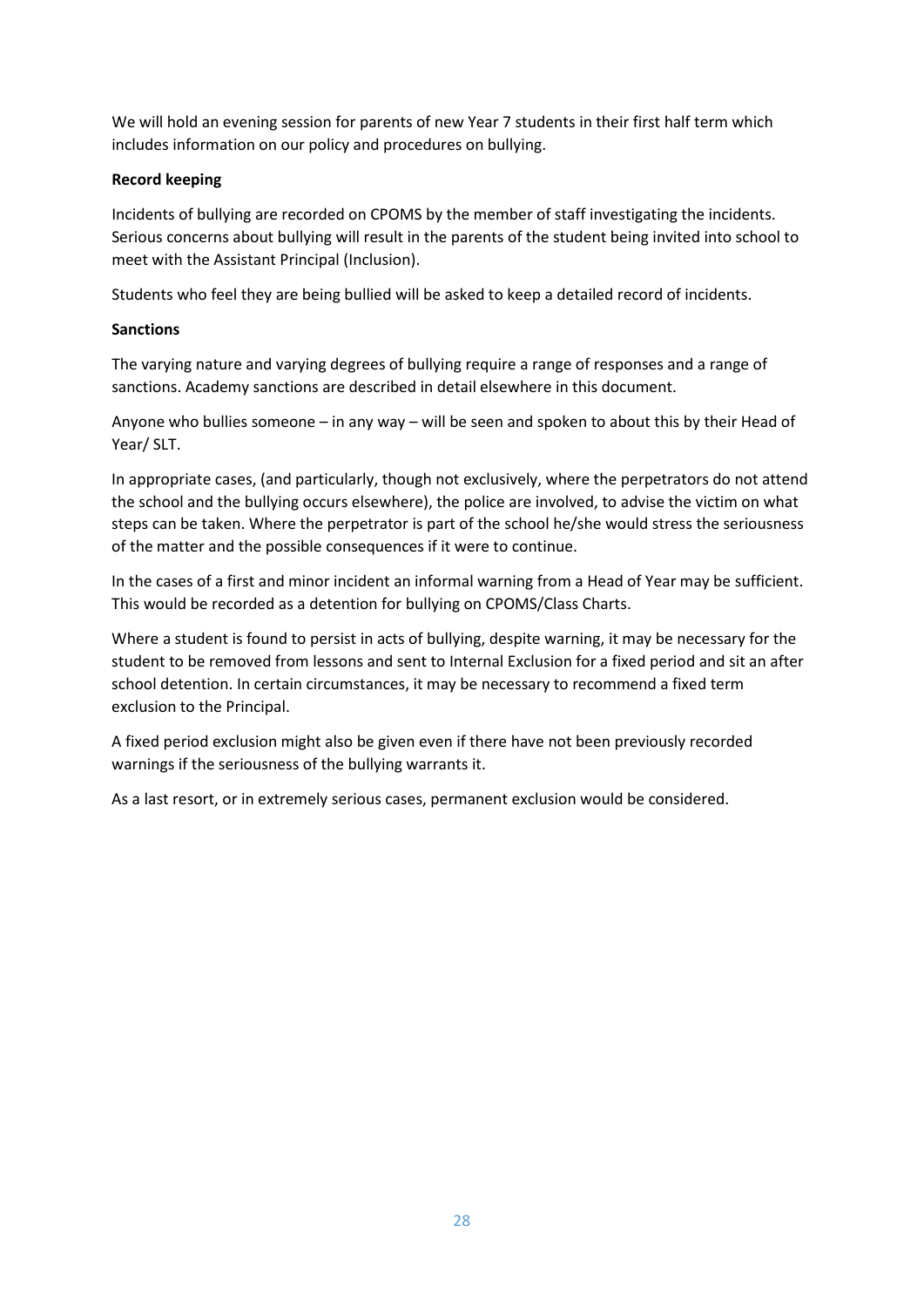We will hold an evening session for parents of new Year 7 students in their first half term which includes information on our policy and procedures on bullying.

# **Record keeping**

Incidents of bullying are recorded on CPOMS by the member of staff investigating the incidents. Serious concerns about bullying will result in the parents of the student being invited into school to meet with the Assistant Principal (Inclusion).

Students who feel they are being bullied will be asked to keep a detailed record of incidents.

# **Sanctions**

The varying nature and varying degrees of bullying require a range of responses and a range of sanctions. Academy sanctions are described in detail elsewhere in this document.

Anyone who bullies someone – in any way – will be seen and spoken to about this by their Head of Year/ SLT.

In appropriate cases, (and particularly, though not exclusively, where the perpetrators do not attend the school and the bullying occurs elsewhere), the police are involved, to advise the victim on what steps can be taken. Where the perpetrator is part of the school he/she would stress the seriousness of the matter and the possible consequences if it were to continue.

In the cases of a first and minor incident an informal warning from a Head of Year may be sufficient. This would be recorded as a detention for bullying on CPOMS/Class Charts.

Where a student is found to persist in acts of bullying, despite warning, it may be necessary for the student to be removed from lessons and sent to Internal Exclusion for a fixed period and sit an after school detention. In certain circumstances, it may be necessary to recommend a fixed term exclusion to the Principal.

A fixed period exclusion might also be given even if there have not been previously recorded warnings if the seriousness of the bullying warrants it.

As a last resort, or in extremely serious cases, permanent exclusion would be considered.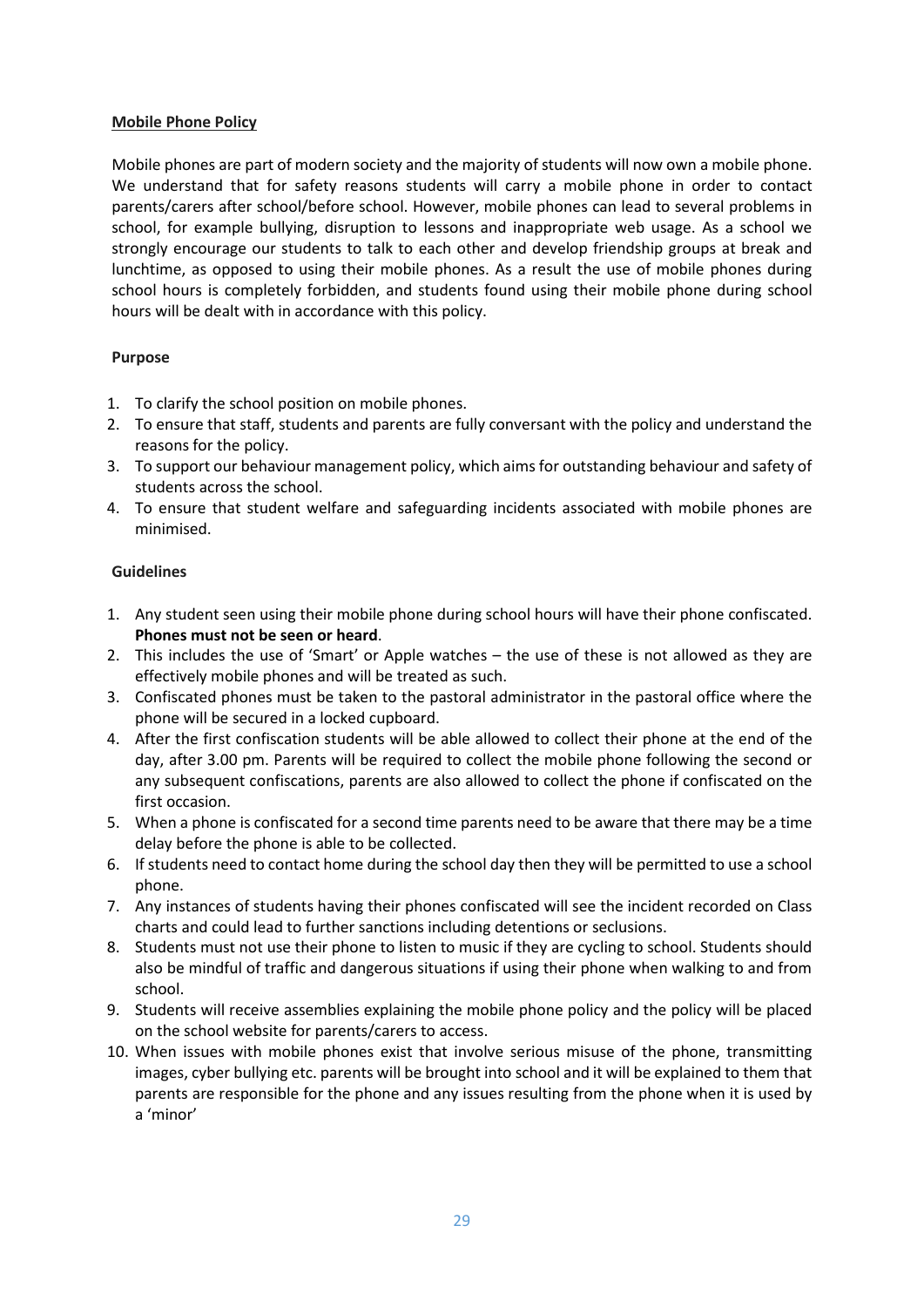#### **Mobile Phone Policy**

Mobile phones are part of modern society and the majority of students will now own a mobile phone. We understand that for safety reasons students will carry a mobile phone in order to contact parents/carers after school/before school. However, mobile phones can lead to several problems in school, for example bullying, disruption to lessons and inappropriate web usage. As a school we strongly encourage our students to talk to each other and develop friendship groups at break and lunchtime, as opposed to using their mobile phones. As a result the use of mobile phones during school hours is completely forbidden, and students found using their mobile phone during school hours will be dealt with in accordance with this policy.

# **Purpose**

- 1. To clarify the school position on mobile phones.
- 2. To ensure that staff, students and parents are fully conversant with the policy and understand the reasons for the policy.
- 3. To support our behaviour management policy, which aims for outstanding behaviour and safety of students across the school.
- 4. To ensure that student welfare and safeguarding incidents associated with mobile phones are minimised.

#### **Guidelines**

- 1. Any student seen using their mobile phone during school hours will have their phone confiscated. **Phones must not be seen or heard**.
- 2. This includes the use of 'Smart' or Apple watches the use of these is not allowed as they are effectively mobile phones and will be treated as such.
- 3. Confiscated phones must be taken to the pastoral administrator in the pastoral office where the phone will be secured in a locked cupboard.
- 4. After the first confiscation students will be able allowed to collect their phone at the end of the day, after 3.00 pm. Parents will be required to collect the mobile phone following the second or any subsequent confiscations, parents are also allowed to collect the phone if confiscated on the first occasion.
- 5. When a phone is confiscated for a second time parents need to be aware that there may be a time delay before the phone is able to be collected.
- 6. If students need to contact home during the school day then they will be permitted to use a school phone.
- 7. Any instances of students having their phones confiscated will see the incident recorded on Class charts and could lead to further sanctions including detentions or seclusions.
- 8. Students must not use their phone to listen to music if they are cycling to school. Students should also be mindful of traffic and dangerous situations if using their phone when walking to and from school.
- 9. Students will receive assemblies explaining the mobile phone policy and the policy will be placed on the school website for parents/carers to access.
- 10. When issues with mobile phones exist that involve serious misuse of the phone, transmitting images, cyber bullying etc. parents will be brought into school and it will be explained to them that parents are responsible for the phone and any issues resulting from the phone when it is used by a 'minor'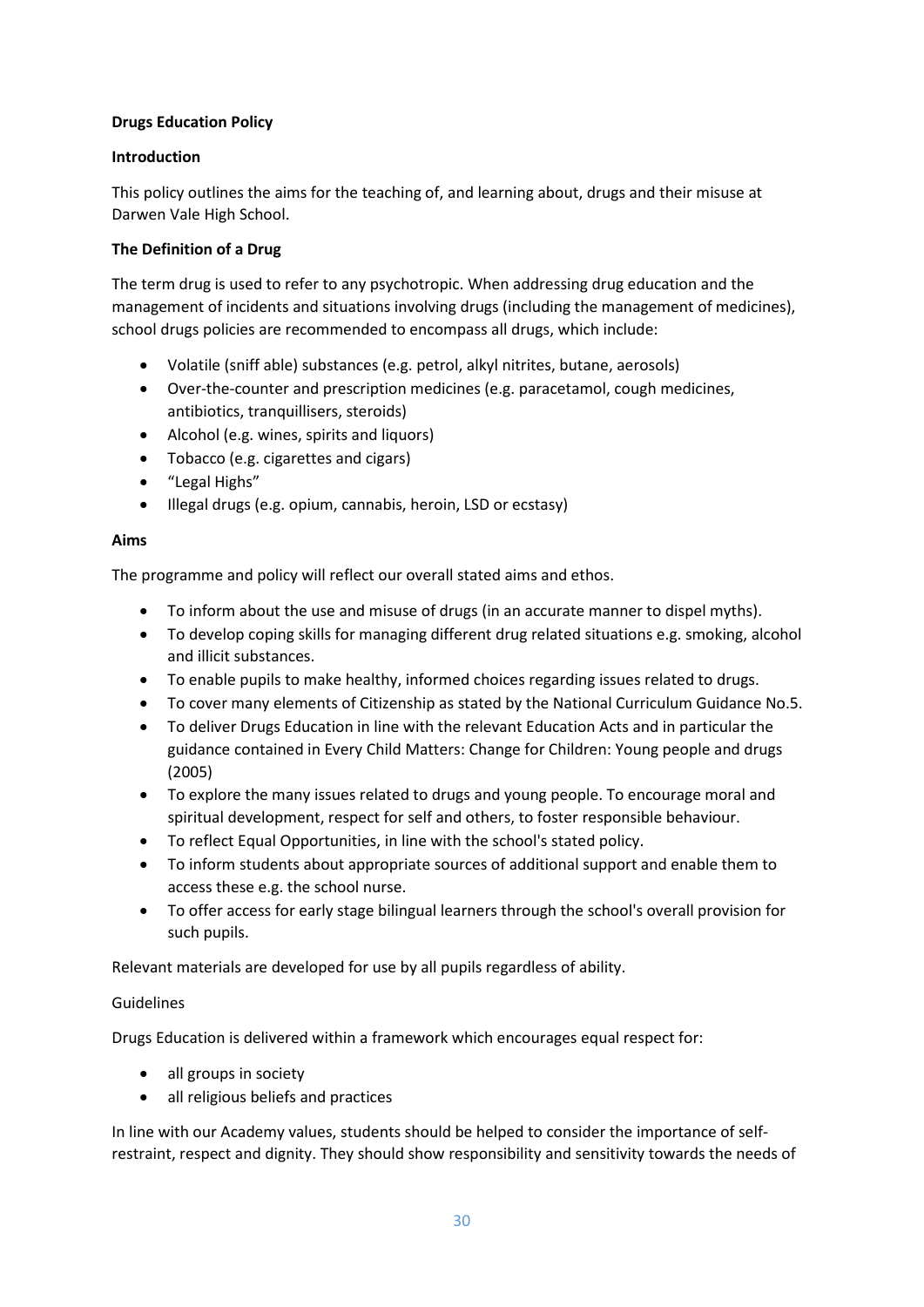# **Drugs Education Policy**

# **Introduction**

This policy outlines the aims for the teaching of, and learning about, drugs and their misuse at Darwen Vale High School.

# **The Definition of a Drug**

The term drug is used to refer to any psychotropic. When addressing drug education and the management of incidents and situations involving drugs (including the management of medicines), school drugs policies are recommended to encompass all drugs, which include:

- Volatile (sniff able) substances (e.g. petrol, alkyl nitrites, butane, aerosols)
- Over-the-counter and prescription medicines (e.g. paracetamol, cough medicines, antibiotics, tranquillisers, steroids)
- Alcohol (e.g. wines, spirits and liquors)
- Tobacco (e.g. cigarettes and cigars)
- "Legal Highs"
- Illegal drugs (e.g. opium, cannabis, heroin, LSD or ecstasy)

# **Aims**

The programme and policy will reflect our overall stated aims and ethos.

- To inform about the use and misuse of drugs (in an accurate manner to dispel myths).
- To develop coping skills for managing different drug related situations e.g. smoking, alcohol and illicit substances.
- To enable pupils to make healthy, informed choices regarding issues related to drugs.
- To cover many elements of Citizenship as stated by the National Curriculum Guidance No.5.
- To deliver Drugs Education in line with the relevant Education Acts and in particular the guidance contained in Every Child Matters: Change for Children: Young people and drugs (2005)
- To explore the many issues related to drugs and young people. To encourage moral and spiritual development, respect for self and others, to foster responsible behaviour.
- To reflect Equal Opportunities, in line with the school's stated policy.
- To inform students about appropriate sources of additional support and enable them to access these e.g. the school nurse.
- To offer access for early stage bilingual learners through the school's overall provision for such pupils.

Relevant materials are developed for use by all pupils regardless of ability.

# Guidelines

Drugs Education is delivered within a framework which encourages equal respect for:

- all groups in society
- all religious beliefs and practices

In line with our Academy values, students should be helped to consider the importance of selfrestraint, respect and dignity. They should show responsibility and sensitivity towards the needs of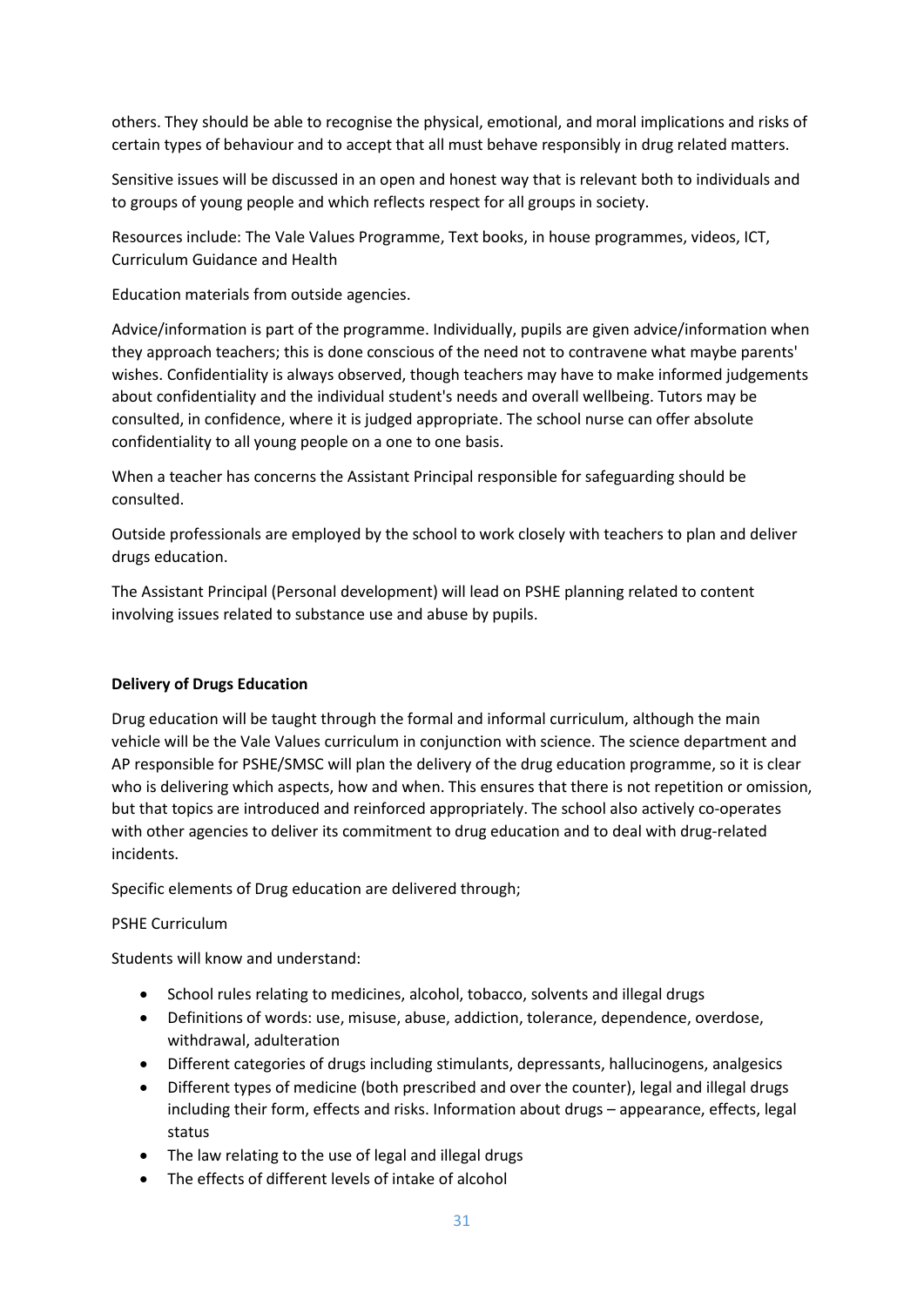others. They should be able to recognise the physical, emotional, and moral implications and risks of certain types of behaviour and to accept that all must behave responsibly in drug related matters.

Sensitive issues will be discussed in an open and honest way that is relevant both to individuals and to groups of young people and which reflects respect for all groups in society.

Resources include: The Vale Values Programme, Text books, in house programmes, videos, ICT, Curriculum Guidance and Health

Education materials from outside agencies.

Advice/information is part of the programme. Individually, pupils are given advice/information when they approach teachers; this is done conscious of the need not to contravene what maybe parents' wishes. Confidentiality is always observed, though teachers may have to make informed judgements about confidentiality and the individual student's needs and overall wellbeing. Tutors may be consulted, in confidence, where it is judged appropriate. The school nurse can offer absolute confidentiality to all young people on a one to one basis.

When a teacher has concerns the Assistant Principal responsible for safeguarding should be consulted.

Outside professionals are employed by the school to work closely with teachers to plan and deliver drugs education.

The Assistant Principal (Personal development) will lead on PSHE planning related to content involving issues related to substance use and abuse by pupils.

# **Delivery of Drugs Education**

Drug education will be taught through the formal and informal curriculum, although the main vehicle will be the Vale Values curriculum in conjunction with science. The science department and AP responsible for PSHE/SMSC will plan the delivery of the drug education programme, so it is clear who is delivering which aspects, how and when. This ensures that there is not repetition or omission, but that topics are introduced and reinforced appropriately. The school also actively co-operates with other agencies to deliver its commitment to drug education and to deal with drug-related incidents.

Specific elements of Drug education are delivered through;

#### PSHE Curriculum

Students will know and understand:

- School rules relating to medicines, alcohol, tobacco, solvents and illegal drugs
- Definitions of words: use, misuse, abuse, addiction, tolerance, dependence, overdose, withdrawal, adulteration
- Different categories of drugs including stimulants, depressants, hallucinogens, analgesics
- Different types of medicine (both prescribed and over the counter), legal and illegal drugs including their form, effects and risks. Information about drugs – appearance, effects, legal status
- The law relating to the use of legal and illegal drugs
- The effects of different levels of intake of alcohol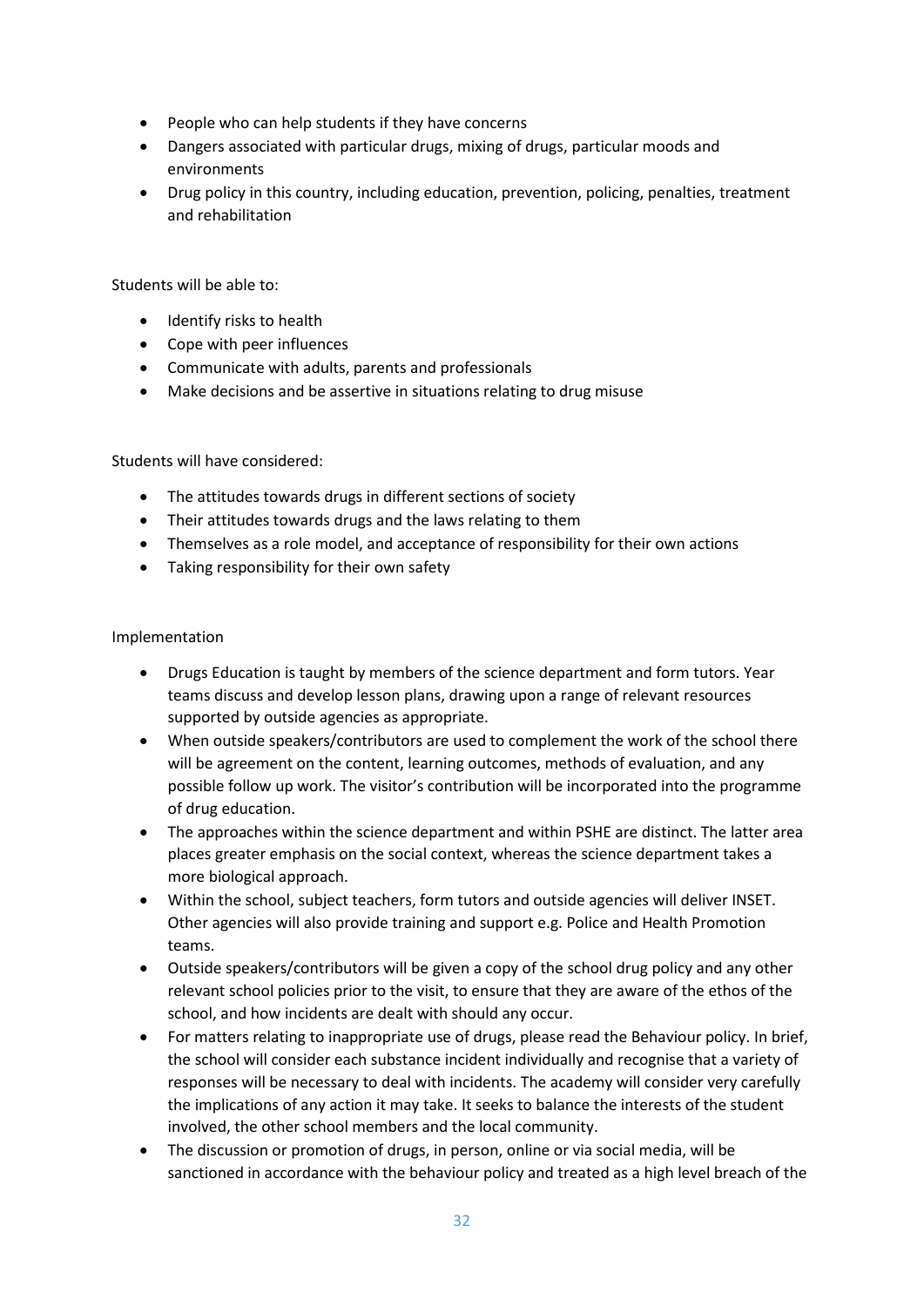- People who can help students if they have concerns
- Dangers associated with particular drugs, mixing of drugs, particular moods and environments
- Drug policy in this country, including education, prevention, policing, penalties, treatment and rehabilitation

Students will be able to:

- Identify risks to health
- Cope with peer influences
- Communicate with adults, parents and professionals
- Make decisions and be assertive in situations relating to drug misuse

Students will have considered:

- The attitudes towards drugs in different sections of society
- Their attitudes towards drugs and the laws relating to them
- Themselves as a role model, and acceptance of responsibility for their own actions
- Taking responsibility for their own safety

Implementation

- Drugs Education is taught by members of the science department and form tutors. Year teams discuss and develop lesson plans, drawing upon a range of relevant resources supported by outside agencies as appropriate.
- When outside speakers/contributors are used to complement the work of the school there will be agreement on the content, learning outcomes, methods of evaluation, and any possible follow up work. The visitor's contribution will be incorporated into the programme of drug education.
- The approaches within the science department and within PSHE are distinct. The latter area places greater emphasis on the social context, whereas the science department takes a more biological approach.
- Within the school, subject teachers, form tutors and outside agencies will deliver INSET. Other agencies will also provide training and support e.g. Police and Health Promotion teams.
- Outside speakers/contributors will be given a copy of the school drug policy and any other relevant school policies prior to the visit, to ensure that they are aware of the ethos of the school, and how incidents are dealt with should any occur.
- For matters relating to inappropriate use of drugs, please read the Behaviour policy. In brief, the school will consider each substance incident individually and recognise that a variety of responses will be necessary to deal with incidents. The academy will consider very carefully the implications of any action it may take. It seeks to balance the interests of the student involved, the other school members and the local community.
- The discussion or promotion of drugs, in person, online or via social media, will be sanctioned in accordance with the behaviour policy and treated as a high level breach of the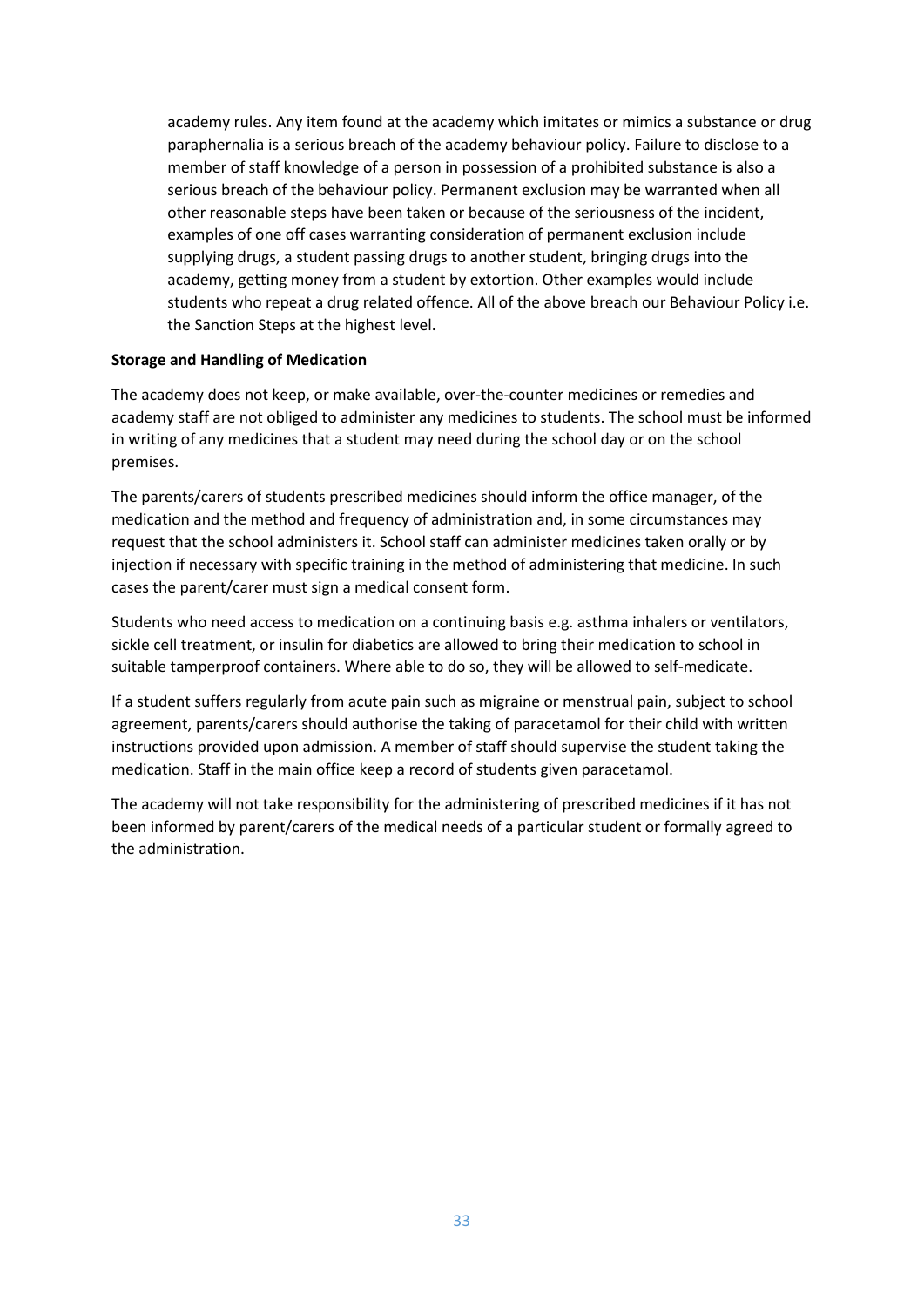academy rules. Any item found at the academy which imitates or mimics a substance or drug paraphernalia is a serious breach of the academy behaviour policy. Failure to disclose to a member of staff knowledge of a person in possession of a prohibited substance is also a serious breach of the behaviour policy. Permanent exclusion may be warranted when all other reasonable steps have been taken or because of the seriousness of the incident, examples of one off cases warranting consideration of permanent exclusion include supplying drugs, a student passing drugs to another student, bringing drugs into the academy, getting money from a student by extortion. Other examples would include students who repeat a drug related offence. All of the above breach our Behaviour Policy i.e. the Sanction Steps at the highest level.

#### **Storage and Handling of Medication**

The academy does not keep, or make available, over-the-counter medicines or remedies and academy staff are not obliged to administer any medicines to students. The school must be informed in writing of any medicines that a student may need during the school day or on the school premises.

The parents/carers of students prescribed medicines should inform the office manager, of the medication and the method and frequency of administration and, in some circumstances may request that the school administers it. School staff can administer medicines taken orally or by injection if necessary with specific training in the method of administering that medicine. In such cases the parent/carer must sign a medical consent form.

Students who need access to medication on a continuing basis e.g. asthma inhalers or ventilators, sickle cell treatment, or insulin for diabetics are allowed to bring their medication to school in suitable tamperproof containers. Where able to do so, they will be allowed to self-medicate.

If a student suffers regularly from acute pain such as migraine or menstrual pain, subject to school agreement, parents/carers should authorise the taking of paracetamol for their child with written instructions provided upon admission. A member of staff should supervise the student taking the medication. Staff in the main office keep a record of students given paracetamol.

The academy will not take responsibility for the administering of prescribed medicines if it has not been informed by parent/carers of the medical needs of a particular student or formally agreed to the administration.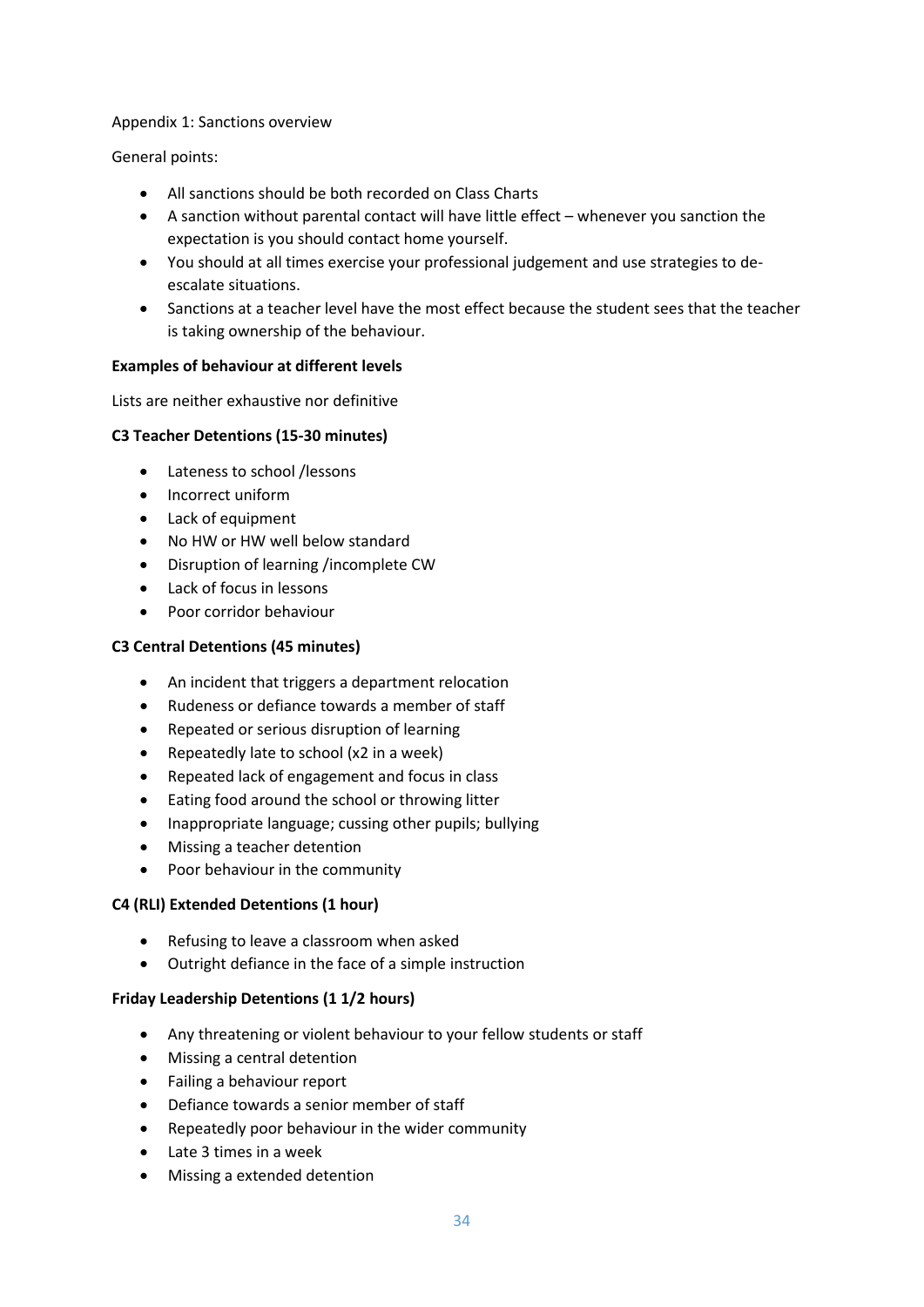#### Appendix 1: Sanctions overview

General points:

- All sanctions should be both recorded on Class Charts
- A sanction without parental contact will have little effect whenever you sanction the expectation is you should contact home yourself.
- You should at all times exercise your professional judgement and use strategies to deescalate situations.
- Sanctions at a teacher level have the most effect because the student sees that the teacher is taking ownership of the behaviour.

#### **Examples of behaviour at different levels**

Lists are neither exhaustive nor definitive

# **C3 Teacher Detentions (15-30 minutes)**

- Lateness to school /lessons
- Incorrect uniform
- Lack of equipment
- No HW or HW well below standard
- Disruption of learning /incomplete CW
- Lack of focus in lessons
- Poor corridor behaviour

# **C3 Central Detentions (45 minutes)**

- An incident that triggers a department relocation
- Rudeness or defiance towards a member of staff
- Repeated or serious disruption of learning
- Repeatedly late to school (x2 in a week)
- Repeated lack of engagement and focus in class
- Eating food around the school or throwing litter
- Inappropriate language; cussing other pupils; bullying
- Missing a teacher detention
- Poor behaviour in the community

#### **C4 (RLI) Extended Detentions (1 hour)**

- Refusing to leave a classroom when asked
- Outright defiance in the face of a simple instruction

#### **Friday Leadership Detentions (1 1/2 hours)**

- Any threatening or violent behaviour to your fellow students or staff
- Missing a central detention
- Failing a behaviour report
- Defiance towards a senior member of staff
- Repeatedly poor behaviour in the wider community
- Late 3 times in a week
- Missing a extended detention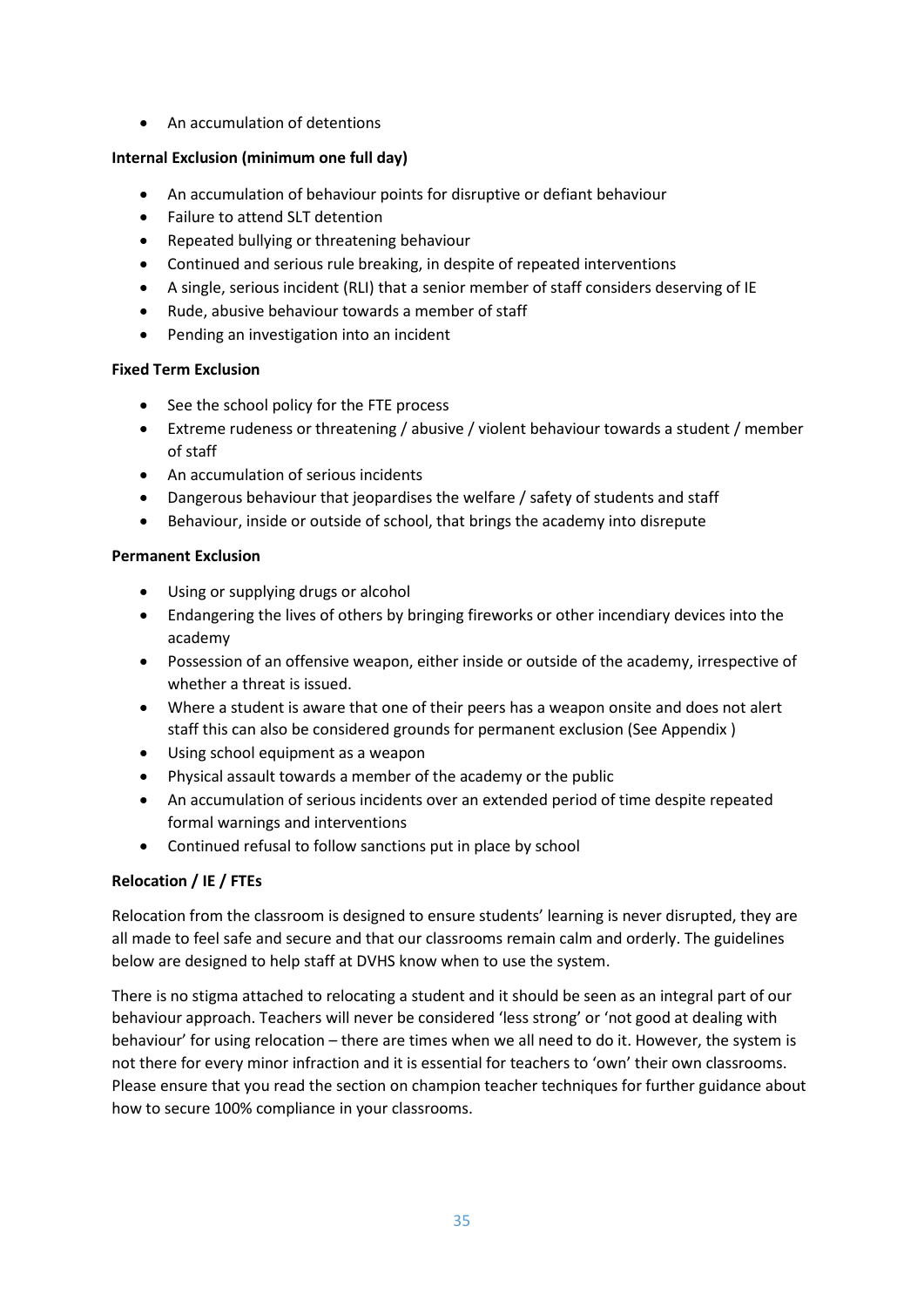• An accumulation of detentions

# **Internal Exclusion (minimum one full day)**

- An accumulation of behaviour points for disruptive or defiant behaviour
- Failure to attend SLT detention
- Repeated bullying or threatening behaviour
- Continued and serious rule breaking, in despite of repeated interventions
- A single, serious incident (RLI) that a senior member of staff considers deserving of IE
- Rude, abusive behaviour towards a member of staff
- Pending an investigation into an incident

# **Fixed Term Exclusion**

- See the school policy for the FTE process
- Extreme rudeness or threatening / abusive / violent behaviour towards a student / member of staff
- An accumulation of serious incidents
- Dangerous behaviour that jeopardises the welfare / safety of students and staff
- Behaviour, inside or outside of school, that brings the academy into disrepute

# **Permanent Exclusion**

- Using or supplying drugs or alcohol
- Endangering the lives of others by bringing fireworks or other incendiary devices into the academy
- Possession of an offensive weapon, either inside or outside of the academy, irrespective of whether a threat is issued.
- Where a student is aware that one of their peers has a weapon onsite and does not alert staff this can also be considered grounds for permanent exclusion (See Appendix )
- Using school equipment as a weapon
- Physical assault towards a member of the academy or the public
- An accumulation of serious incidents over an extended period of time despite repeated formal warnings and interventions
- Continued refusal to follow sanctions put in place by school

# **Relocation / IE / FTEs**

Relocation from the classroom is designed to ensure students' learning is never disrupted, they are all made to feel safe and secure and that our classrooms remain calm and orderly. The guidelines below are designed to help staff at DVHS know when to use the system.

There is no stigma attached to relocating a student and it should be seen as an integral part of our behaviour approach. Teachers will never be considered 'less strong' or 'not good at dealing with behaviour' for using relocation – there are times when we all need to do it. However, the system is not there for every minor infraction and it is essential for teachers to 'own' their own classrooms. Please ensure that you read the section on champion teacher techniques for further guidance about how to secure 100% compliance in your classrooms.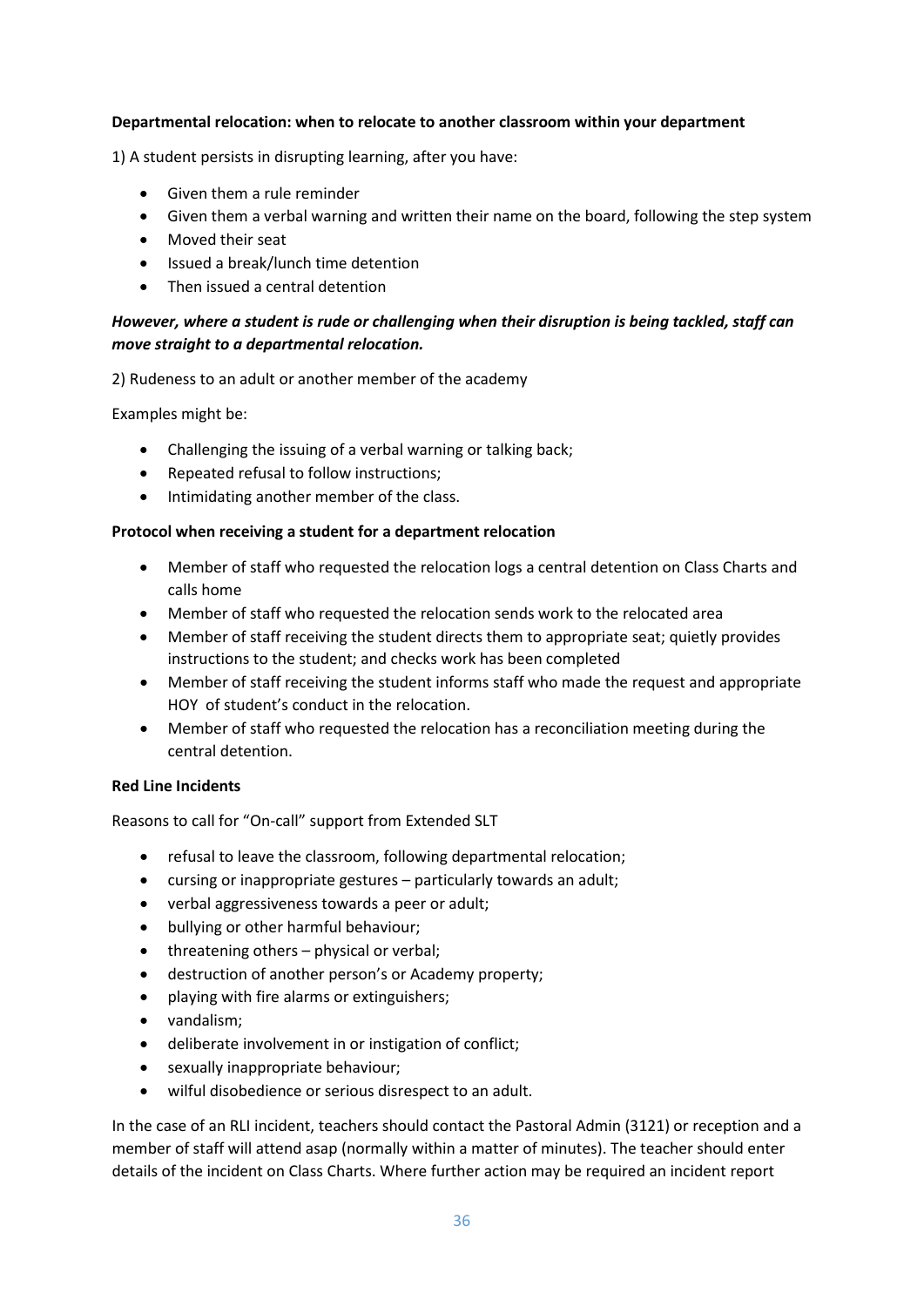#### **Departmental relocation: when to relocate to another classroom within your department**

1) A student persists in disrupting learning, after you have:

- Given them a rule reminder
- Given them a verbal warning and written their name on the board, following the step system
- Moved their seat
- Issued a break/lunch time detention
- Then issued a central detention

# *However, where a student is rude or challenging when their disruption is being tackled, staff can move straight to a departmental relocation.*

2) Rudeness to an adult or another member of the academy

Examples might be:

- Challenging the issuing of a verbal warning or talking back;
- Repeated refusal to follow instructions;
- Intimidating another member of the class.

#### **Protocol when receiving a student for a department relocation**

- Member of staff who requested the relocation logs a central detention on Class Charts and calls home
- Member of staff who requested the relocation sends work to the relocated area
- Member of staff receiving the student directs them to appropriate seat; quietly provides instructions to the student; and checks work has been completed
- Member of staff receiving the student informs staff who made the request and appropriate HOY of student's conduct in the relocation.
- Member of staff who requested the relocation has a reconciliation meeting during the central detention.

#### **Red Line Incidents**

Reasons to call for "On-call" support from Extended SLT

- refusal to leave the classroom, following departmental relocation;
- cursing or inappropriate gestures particularly towards an adult;
- verbal aggressiveness towards a peer or adult;
- bullying or other harmful behaviour;
- threatening others physical or verbal;
- destruction of another person's or Academy property;
- playing with fire alarms or extinguishers;
- vandalism;
- deliberate involvement in or instigation of conflict;
- sexually inappropriate behaviour;
- wilful disobedience or serious disrespect to an adult.

In the case of an RLI incident, teachers should contact the Pastoral Admin (3121) or reception and a member of staff will attend asap (normally within a matter of minutes). The teacher should enter details of the incident on Class Charts. Where further action may be required an incident report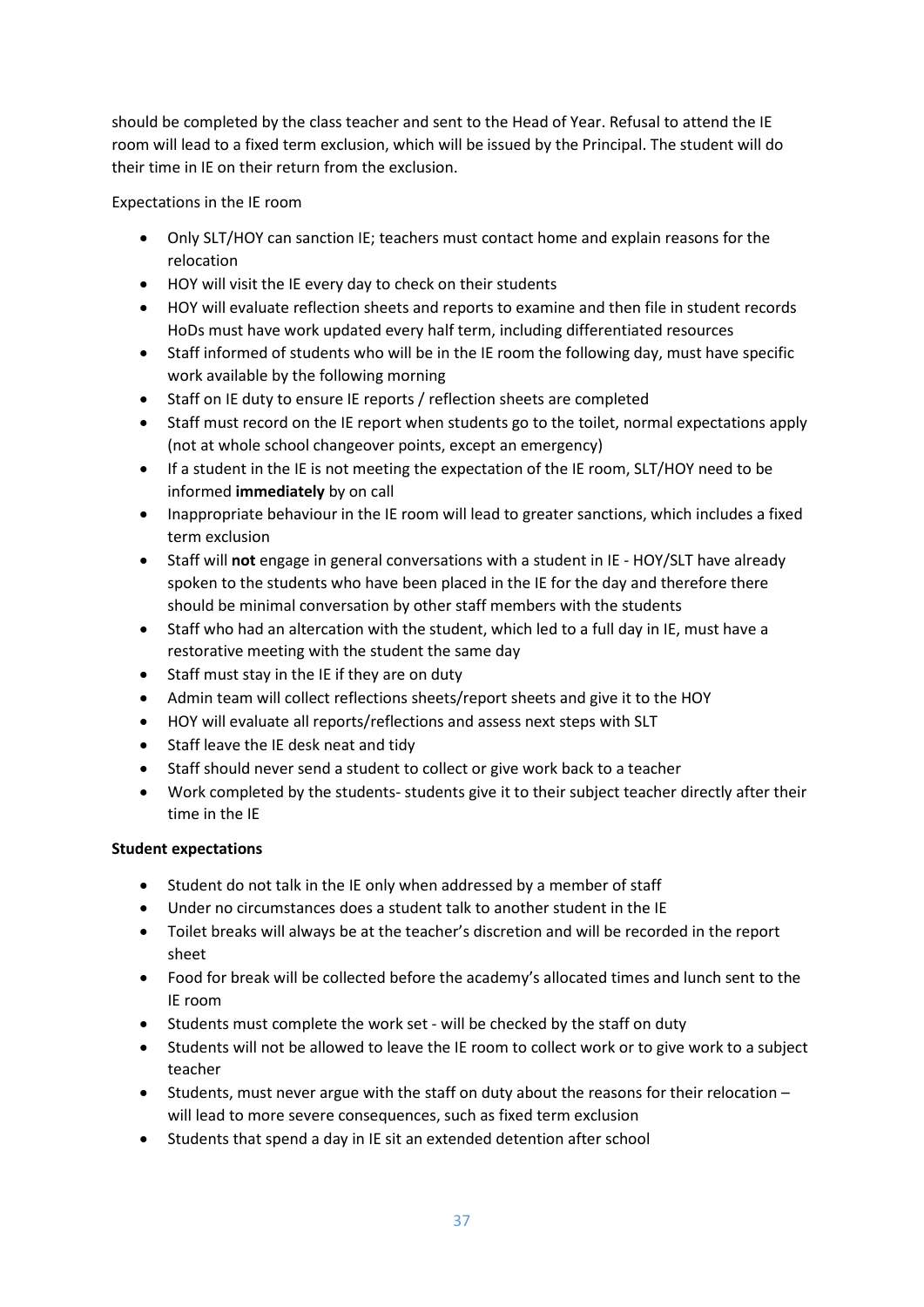should be completed by the class teacher and sent to the Head of Year. Refusal to attend the IE room will lead to a fixed term exclusion, which will be issued by the Principal. The student will do their time in IE on their return from the exclusion.

Expectations in the IE room

- Only SLT/HOY can sanction IE; teachers must contact home and explain reasons for the relocation
- HOY will visit the IE every day to check on their students
- HOY will evaluate reflection sheets and reports to examine and then file in student records HoDs must have work updated every half term, including differentiated resources
- Staff informed of students who will be in the IE room the following day, must have specific work available by the following morning
- Staff on IE duty to ensure IE reports / reflection sheets are completed
- Staff must record on the IE report when students go to the toilet, normal expectations apply (not at whole school changeover points, except an emergency)
- If a student in the IE is not meeting the expectation of the IE room, SLT/HOY need to be informed **immediately** by on call
- Inappropriate behaviour in the IE room will lead to greater sanctions, which includes a fixed term exclusion
- Staff will **not** engage in general conversations with a student in IE HOY/SLT have already spoken to the students who have been placed in the IE for the day and therefore there should be minimal conversation by other staff members with the students
- Staff who had an altercation with the student, which led to a full day in IE, must have a restorative meeting with the student the same day
- Staff must stay in the IE if they are on duty
- Admin team will collect reflections sheets/report sheets and give it to the HOY
- HOY will evaluate all reports/reflections and assess next steps with SLT
- Staff leave the IE desk neat and tidy
- Staff should never send a student to collect or give work back to a teacher
- Work completed by the students- students give it to their subject teacher directly after their time in the IE

# **Student expectations**

- Student do not talk in the IE only when addressed by a member of staff
- Under no circumstances does a student talk to another student in the IE
- Toilet breaks will always be at the teacher's discretion and will be recorded in the report sheet
- Food for break will be collected before the academy's allocated times and lunch sent to the IE room
- Students must complete the work set will be checked by the staff on duty
- Students will not be allowed to leave the IE room to collect work or to give work to a subject teacher
- Students, must never argue with the staff on duty about the reasons for their relocation will lead to more severe consequences, such as fixed term exclusion
- Students that spend a day in IE sit an extended detention after school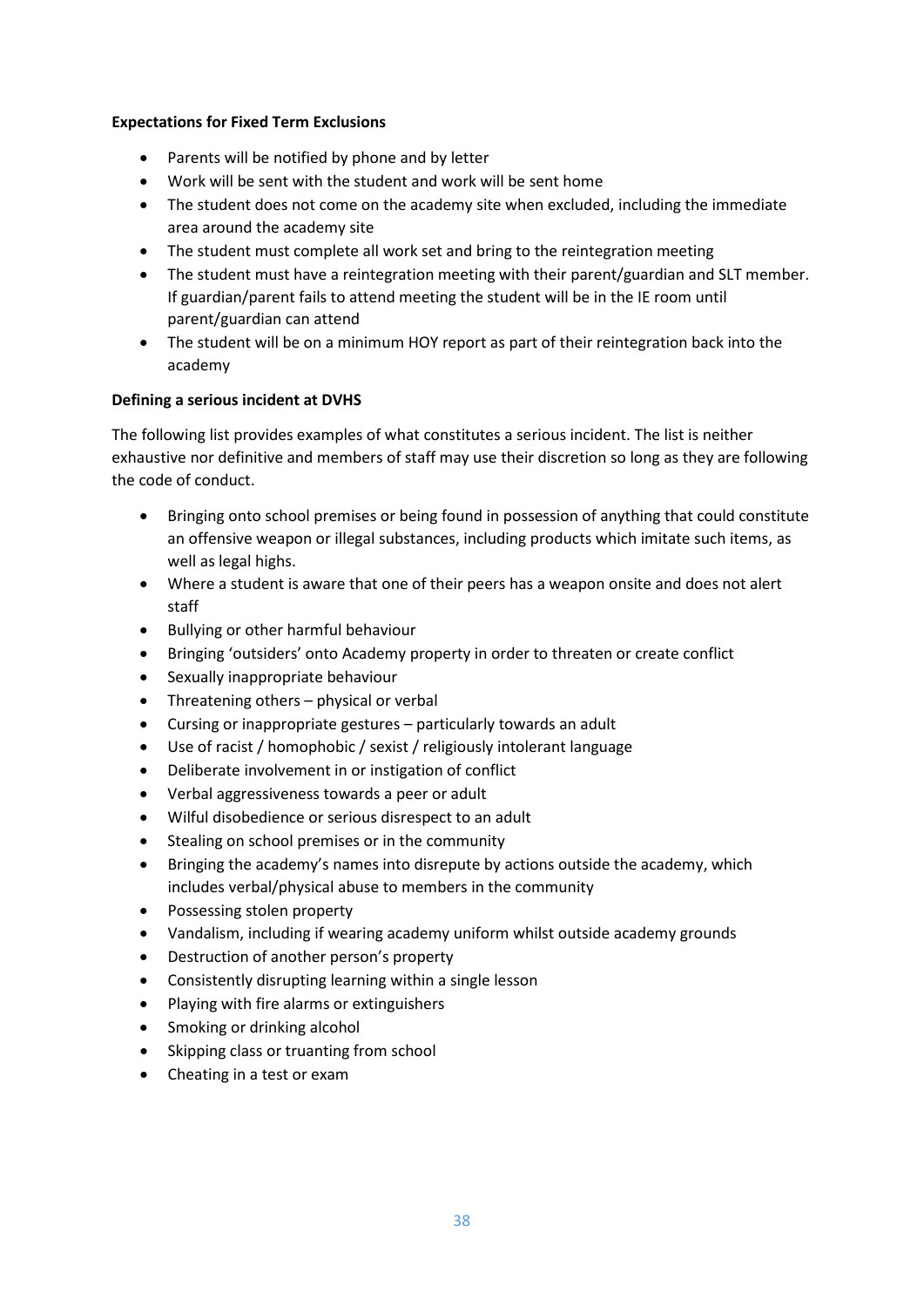# **Expectations for Fixed Term Exclusions**

- Parents will be notified by phone and by letter
- Work will be sent with the student and work will be sent home
- The student does not come on the academy site when excluded, including the immediate area around the academy site
- The student must complete all work set and bring to the reintegration meeting
- The student must have a reintegration meeting with their parent/guardian and SLT member. If guardian/parent fails to attend meeting the student will be in the IE room until parent/guardian can attend
- The student will be on a minimum HOY report as part of their reintegration back into the academy

# **Defining a serious incident at DVHS**

The following list provides examples of what constitutes a serious incident. The list is neither exhaustive nor definitive and members of staff may use their discretion so long as they are following the code of conduct.

- Bringing onto school premises or being found in possession of anything that could constitute an offensive weapon or illegal substances, including products which imitate such items, as well as legal highs.
- Where a student is aware that one of their peers has a weapon onsite and does not alert staff
- Bullying or other harmful behaviour
- Bringing 'outsiders' onto Academy property in order to threaten or create conflict
- Sexually inappropriate behaviour
- Threatening others physical or verbal
- Cursing or inappropriate gestures particularly towards an adult
- Use of racist / homophobic / sexist / religiously intolerant language
- Deliberate involvement in or instigation of conflict
- Verbal aggressiveness towards a peer or adult
- Wilful disobedience or serious disrespect to an adult
- Stealing on school premises or in the community
- Bringing the academy's names into disrepute by actions outside the academy, which includes verbal/physical abuse to members in the community
- Possessing stolen property
- Vandalism, including if wearing academy uniform whilst outside academy grounds
- Destruction of another person's property
- Consistently disrupting learning within a single lesson
- Playing with fire alarms or extinguishers
- Smoking or drinking alcohol
- Skipping class or truanting from school
- Cheating in a test or exam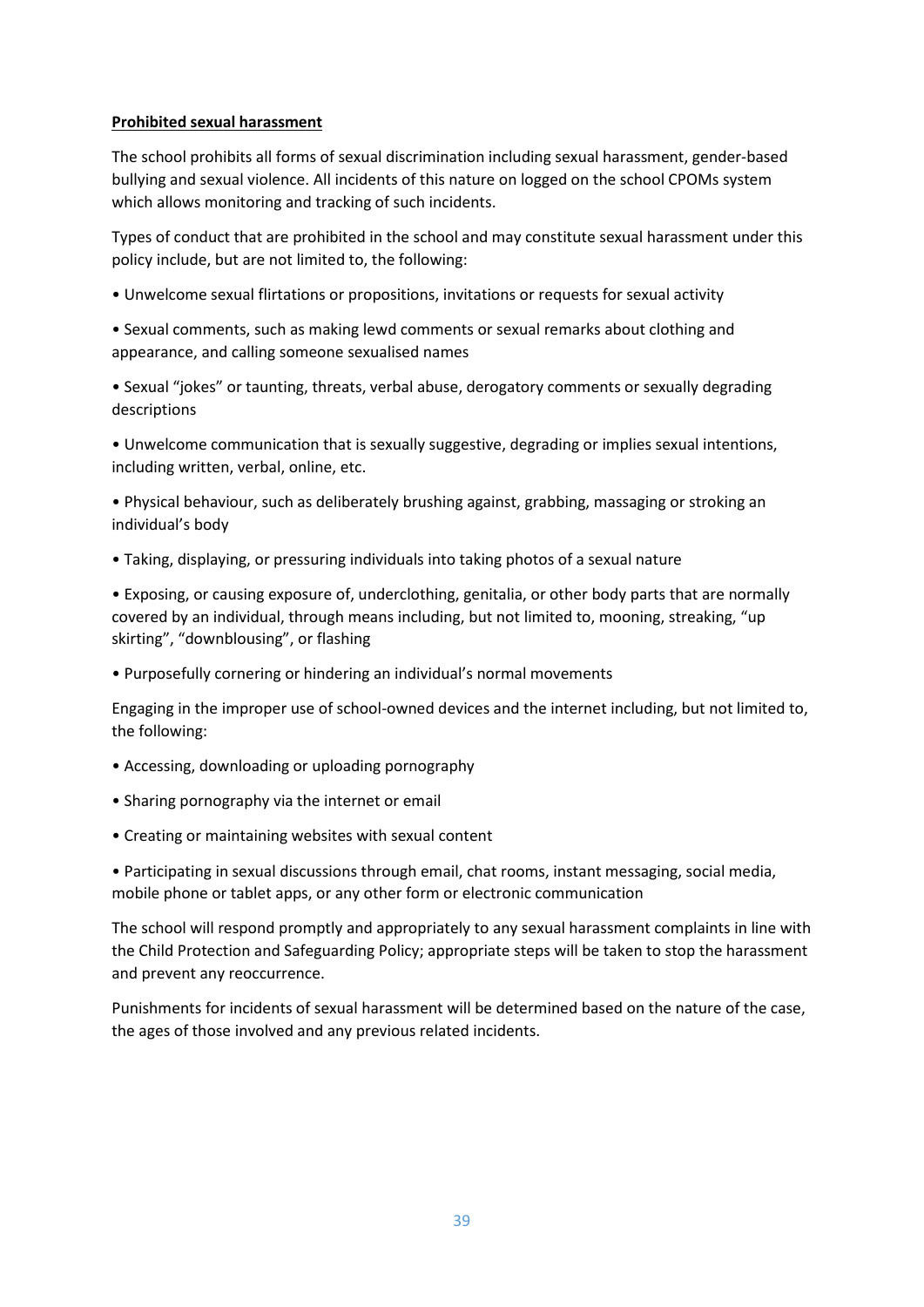#### **Prohibited sexual harassment**

The school prohibits all forms of sexual discrimination including sexual harassment, gender-based bullying and sexual violence. All incidents of this nature on logged on the school CPOMs system which allows monitoring and tracking of such incidents.

Types of conduct that are prohibited in the school and may constitute sexual harassment under this policy include, but are not limited to, the following:

• Unwelcome sexual flirtations or propositions, invitations or requests for sexual activity

• Sexual comments, such as making lewd comments or sexual remarks about clothing and appearance, and calling someone sexualised names

• Sexual "jokes" or taunting, threats, verbal abuse, derogatory comments or sexually degrading descriptions

• Unwelcome communication that is sexually suggestive, degrading or implies sexual intentions, including written, verbal, online, etc.

• Physical behaviour, such as deliberately brushing against, grabbing, massaging or stroking an individual's body

• Taking, displaying, or pressuring individuals into taking photos of a sexual nature

• Exposing, or causing exposure of, underclothing, genitalia, or other body parts that are normally covered by an individual, through means including, but not limited to, mooning, streaking, "up skirting", "downblousing", or flashing

• Purposefully cornering or hindering an individual's normal movements

Engaging in the improper use of school-owned devices and the internet including, but not limited to, the following:

- Accessing, downloading or uploading pornography
- Sharing pornography via the internet or email
- Creating or maintaining websites with sexual content

• Participating in sexual discussions through email, chat rooms, instant messaging, social media, mobile phone or tablet apps, or any other form or electronic communication

The school will respond promptly and appropriately to any sexual harassment complaints in line with the Child Protection and Safeguarding Policy; appropriate steps will be taken to stop the harassment and prevent any reoccurrence.

Punishments for incidents of sexual harassment will be determined based on the nature of the case, the ages of those involved and any previous related incidents.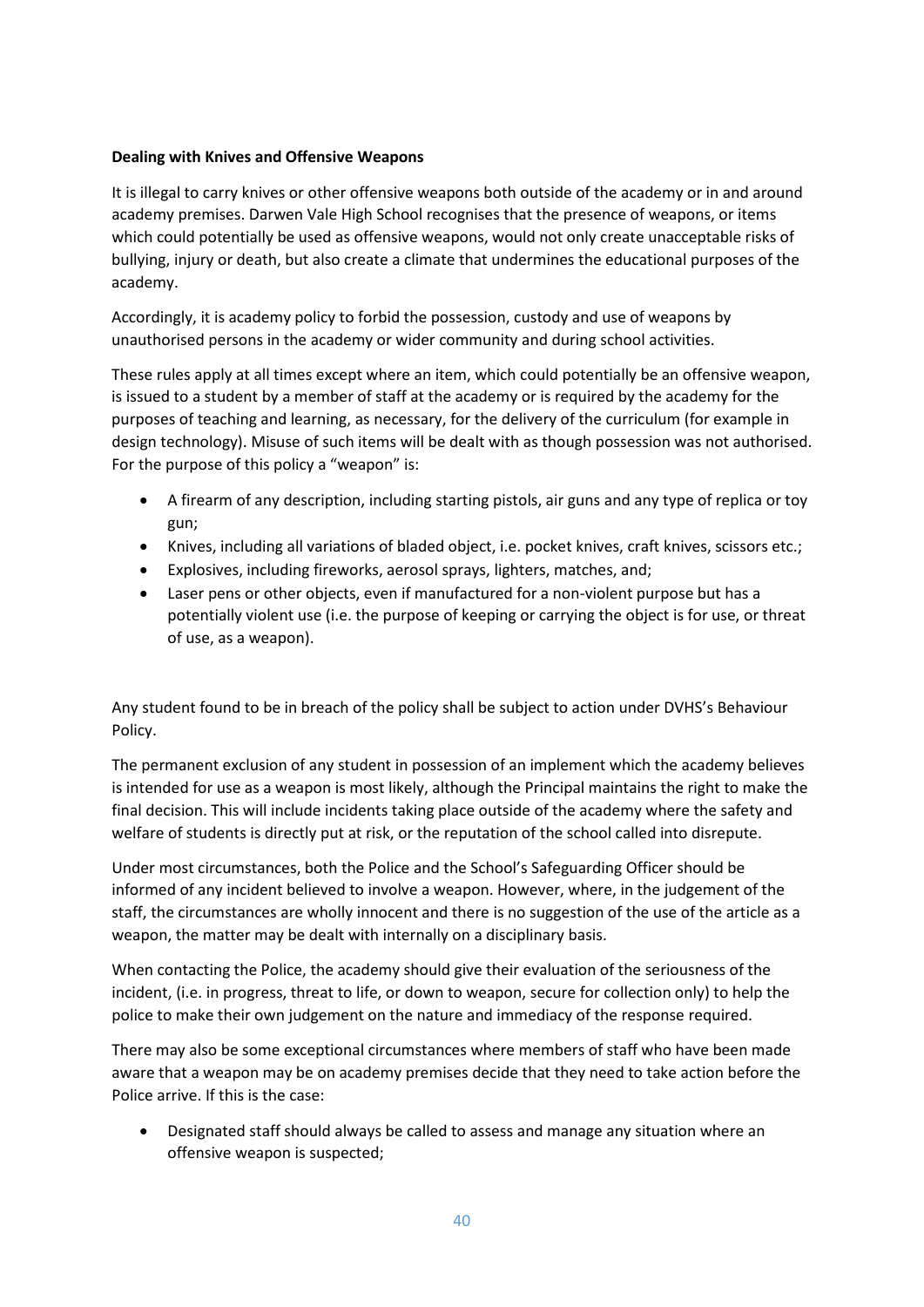# **Dealing with Knives and Offensive Weapons**

It is illegal to carry knives or other offensive weapons both outside of the academy or in and around academy premises. Darwen Vale High School recognises that the presence of weapons, or items which could potentially be used as offensive weapons, would not only create unacceptable risks of bullying, injury or death, but also create a climate that undermines the educational purposes of the academy.

Accordingly, it is academy policy to forbid the possession, custody and use of weapons by unauthorised persons in the academy or wider community and during school activities.

These rules apply at all times except where an item, which could potentially be an offensive weapon, is issued to a student by a member of staff at the academy or is required by the academy for the purposes of teaching and learning, as necessary, for the delivery of the curriculum (for example in design technology). Misuse of such items will be dealt with as though possession was not authorised. For the purpose of this policy a "weapon" is:

- A firearm of any description, including starting pistols, air guns and any type of replica or toy gun;
- Knives, including all variations of bladed object, i.e. pocket knives, craft knives, scissors etc.;
- Explosives, including fireworks, aerosol sprays, lighters, matches, and;
- Laser pens or other objects, even if manufactured for a non-violent purpose but has a potentially violent use (i.e. the purpose of keeping or carrying the object is for use, or threat of use, as a weapon).

Any student found to be in breach of the policy shall be subject to action under DVHS's Behaviour Policy.

The permanent exclusion of any student in possession of an implement which the academy believes is intended for use as a weapon is most likely, although the Principal maintains the right to make the final decision. This will include incidents taking place outside of the academy where the safety and welfare of students is directly put at risk, or the reputation of the school called into disrepute.

Under most circumstances, both the Police and the School's Safeguarding Officer should be informed of any incident believed to involve a weapon. However, where, in the judgement of the staff, the circumstances are wholly innocent and there is no suggestion of the use of the article as a weapon, the matter may be dealt with internally on a disciplinary basis.

When contacting the Police, the academy should give their evaluation of the seriousness of the incident, (i.e. in progress, threat to life, or down to weapon, secure for collection only) to help the police to make their own judgement on the nature and immediacy of the response required.

There may also be some exceptional circumstances where members of staff who have been made aware that a weapon may be on academy premises decide that they need to take action before the Police arrive. If this is the case:

• Designated staff should always be called to assess and manage any situation where an offensive weapon is suspected;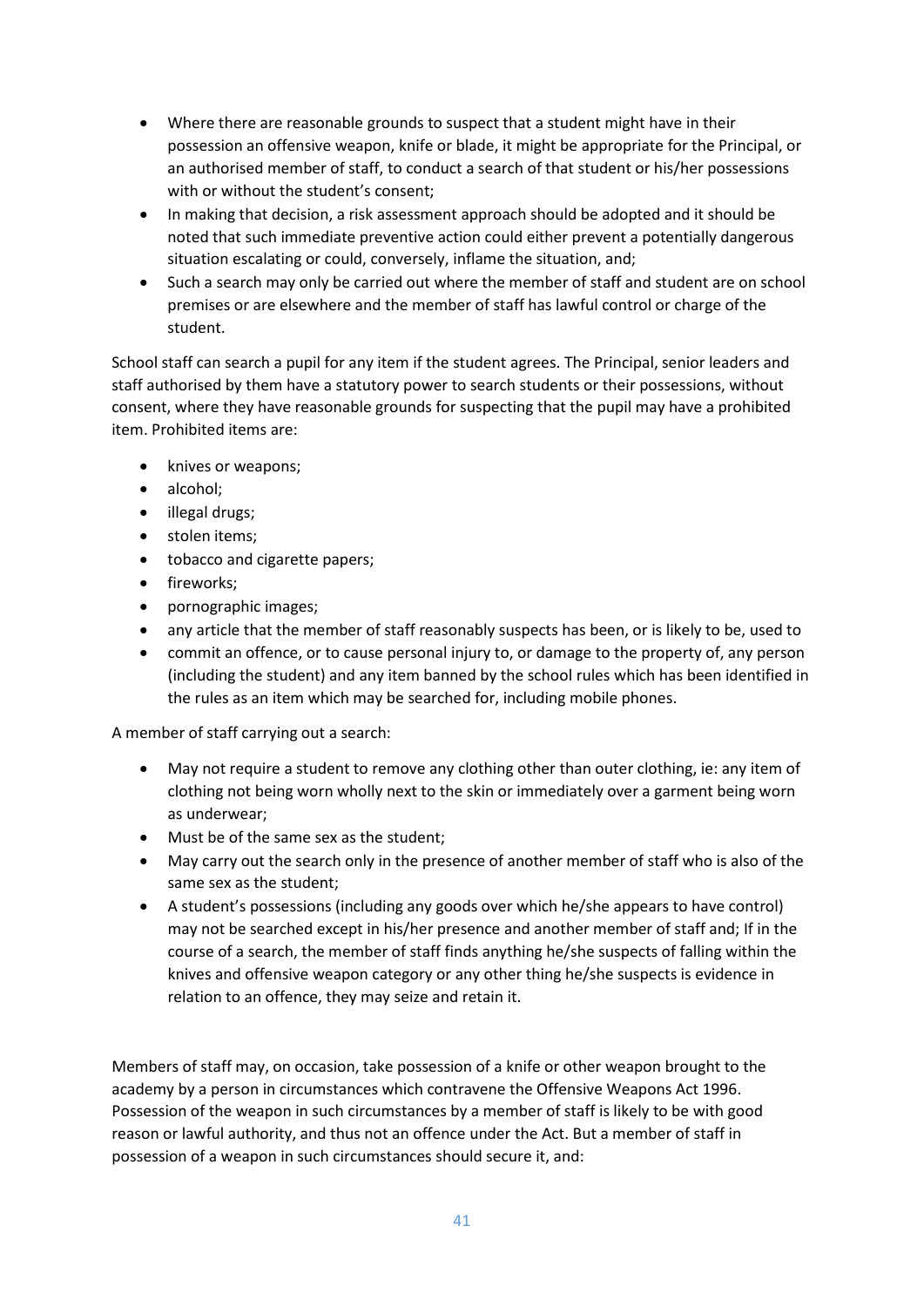- Where there are reasonable grounds to suspect that a student might have in their possession an offensive weapon, knife or blade, it might be appropriate for the Principal, or an authorised member of staff, to conduct a search of that student or his/her possessions with or without the student's consent;
- In making that decision, a risk assessment approach should be adopted and it should be noted that such immediate preventive action could either prevent a potentially dangerous situation escalating or could, conversely, inflame the situation, and;
- Such a search may only be carried out where the member of staff and student are on school premises or are elsewhere and the member of staff has lawful control or charge of the student.

School staff can search a pupil for any item if the student agrees. The Principal, senior leaders and staff authorised by them have a statutory power to search students or their possessions, without consent, where they have reasonable grounds for suspecting that the pupil may have a prohibited item. Prohibited items are:

- knives or weapons;
- alcohol;
- illegal drugs;
- stolen items;
- tobacco and cigarette papers;
- fireworks;
- pornographic images;
- any article that the member of staff reasonably suspects has been, or is likely to be, used to
- commit an offence, or to cause personal injury to, or damage to the property of, any person (including the student) and any item banned by the school rules which has been identified in the rules as an item which may be searched for, including mobile phones.

A member of staff carrying out a search:

- May not require a student to remove any clothing other than outer clothing, ie: any item of clothing not being worn wholly next to the skin or immediately over a garment being worn as underwear;
- Must be of the same sex as the student;
- May carry out the search only in the presence of another member of staff who is also of the same sex as the student;
- A student's possessions (including any goods over which he/she appears to have control) may not be searched except in his/her presence and another member of staff and; If in the course of a search, the member of staff finds anything he/she suspects of falling within the knives and offensive weapon category or any other thing he/she suspects is evidence in relation to an offence, they may seize and retain it.

Members of staff may, on occasion, take possession of a knife or other weapon brought to the academy by a person in circumstances which contravene the Offensive Weapons Act 1996. Possession of the weapon in such circumstances by a member of staff is likely to be with good reason or lawful authority, and thus not an offence under the Act. But a member of staff in possession of a weapon in such circumstances should secure it, and: